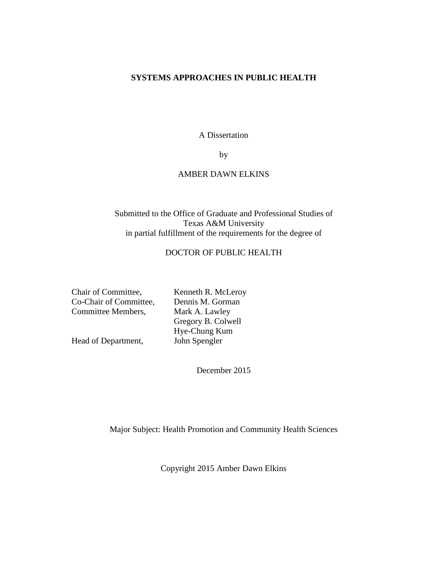#### **SYSTEMS APPROACHES IN PUBLIC HEALTH**

A Dissertation

by

#### AMBER DAWN ELKINS

#### Submitted to the Office of Graduate and Professional Studies of Texas A&M University in partial fulfillment of the requirements for the degree of

#### DOCTOR OF PUBLIC HEALTH

| Chair of Committee,    |  |
|------------------------|--|
| Co-Chair of Committee, |  |
| Committee Members,     |  |

Kenneth R. McLeroy Dennis M. Gorman Mark A. Lawley Gregory B. Colwell Hye-Chung Kum

Head of Department,

December 2015

Major Subject: Health Promotion and Community Health Sciences

Copyright 2015 Amber Dawn Elkins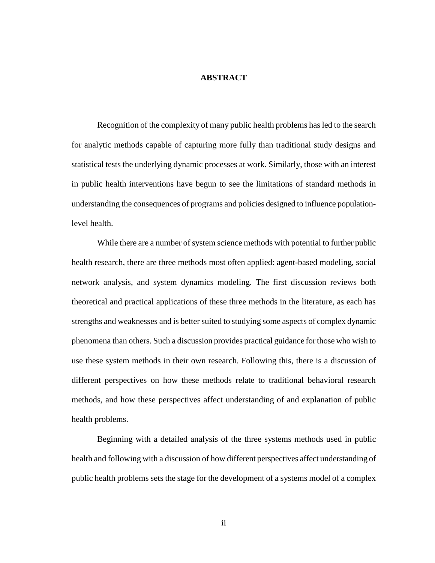#### **ABSTRACT**

<span id="page-1-0"></span>Recognition of the complexity of many public health problems has led to the search for analytic methods capable of capturing more fully than traditional study designs and statistical tests the underlying dynamic processes at work. Similarly, those with an interest in public health interventions have begun to see the limitations of standard methods in understanding the consequences of programs and policies designed to influence populationlevel health.

While there are a number of system science methods with potential to further public health research, there are three methods most often applied: agent-based modeling, social network analysis, and system dynamics modeling. The first discussion reviews both theoretical and practical applications of these three methods in the literature, as each has strengths and weaknesses and is better suited to studying some aspects of complex dynamic phenomena than others. Such a discussion provides practical guidance for those who wish to use these system methods in their own research. Following this, there is a discussion of different perspectives on how these methods relate to traditional behavioral research methods, and how these perspectives affect understanding of and explanation of public health problems.

Beginning with a detailed analysis of the three systems methods used in public health and following with a discussion of how different perspectives affect understanding of public health problems sets the stage for the development of a systems model of a complex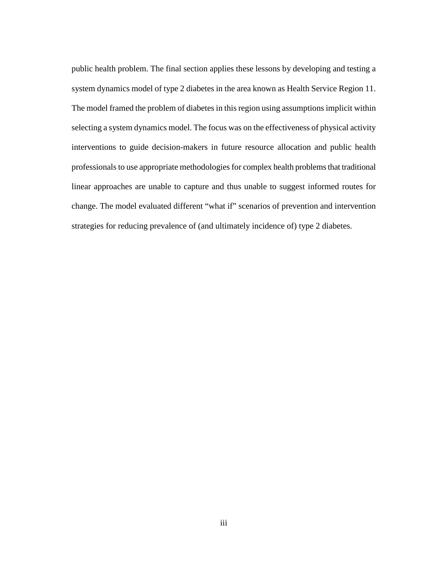public health problem. The final section applies these lessons by developing and testing a system dynamics model of type 2 diabetes in the area known as Health Service Region 11. The model framed the problem of diabetes in this region using assumptions implicit within selecting a system dynamics model. The focus was on the effectiveness of physical activity interventions to guide decision-makers in future resource allocation and public health professionals to use appropriate methodologies for complex health problems that traditional linear approaches are unable to capture and thus unable to suggest informed routes for change. The model evaluated different "what if" scenarios of prevention and intervention strategies for reducing prevalence of (and ultimately incidence of) type 2 diabetes.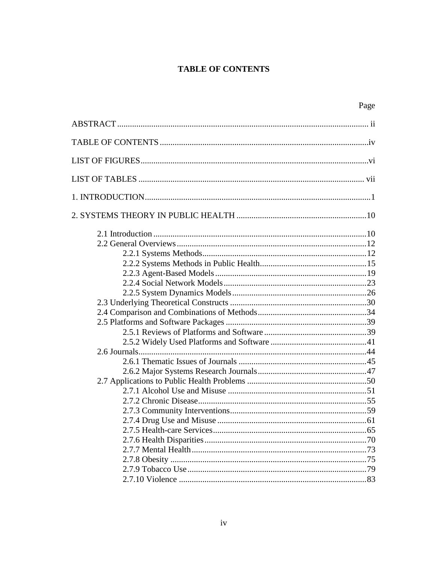#### **TABLE OF CONTENTS**

<span id="page-3-0"></span>

| Page |
|------|
|      |
|      |
|      |
|      |
|      |
|      |
|      |
|      |
|      |
|      |
|      |
|      |
|      |
|      |
|      |
|      |
|      |
|      |
|      |
|      |
|      |
|      |
|      |
|      |
|      |
|      |
|      |
|      |
|      |
|      |
|      |
|      |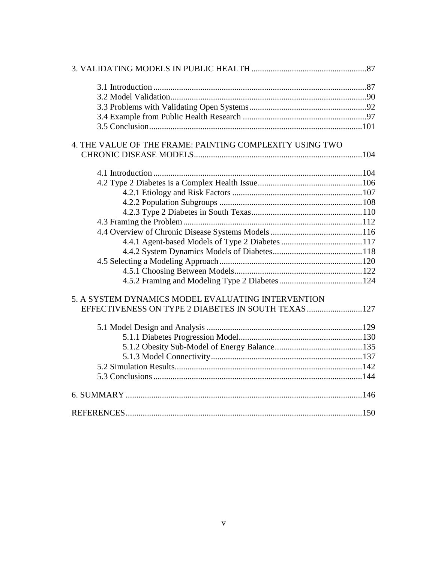| 4. THE VALUE OF THE FRAME: PAINTING COMPLEXITY USING TWO |  |
|----------------------------------------------------------|--|
|                                                          |  |
|                                                          |  |
|                                                          |  |
|                                                          |  |
|                                                          |  |
|                                                          |  |
|                                                          |  |
|                                                          |  |
|                                                          |  |
|                                                          |  |
|                                                          |  |
|                                                          |  |
|                                                          |  |
| 5. A SYSTEM DYNAMICS MODEL EVALUATING INTERVENTION       |  |
| EFFECTIVENESS ON TYPE 2 DIABETES IN SOUTH TEXAS 127      |  |
|                                                          |  |
|                                                          |  |
|                                                          |  |
|                                                          |  |
|                                                          |  |
|                                                          |  |
|                                                          |  |
|                                                          |  |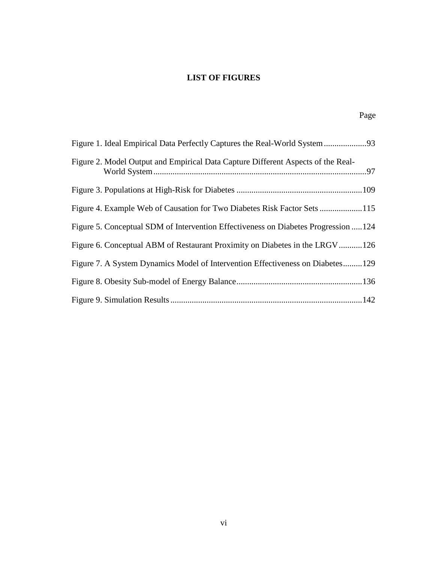#### **LIST OF FIGURES**

Page

<span id="page-5-0"></span>

| Figure 2. Model Output and Empirical Data Capture Different Aspects of the Real-   |
|------------------------------------------------------------------------------------|
|                                                                                    |
| Figure 4. Example Web of Causation for Two Diabetes Risk Factor Sets115            |
| Figure 5. Conceptual SDM of Intervention Effectiveness on Diabetes Progression 124 |
| Figure 6. Conceptual ABM of Restaurant Proximity on Diabetes in the LRGV126        |
| Figure 7. A System Dynamics Model of Intervention Effectiveness on Diabetes129     |
|                                                                                    |
|                                                                                    |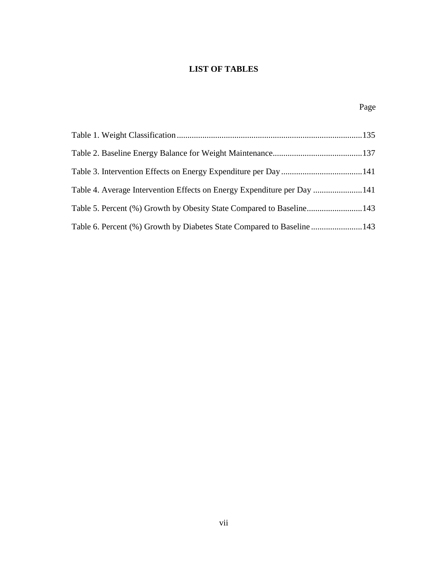#### **LIST OF TABLES**

### Page

<span id="page-6-0"></span>

| Table 4. Average Intervention Effects on Energy Expenditure per Day  141 |  |
|--------------------------------------------------------------------------|--|
|                                                                          |  |
| Table 6. Percent (%) Growth by Diabetes State Compared to Baseline  143  |  |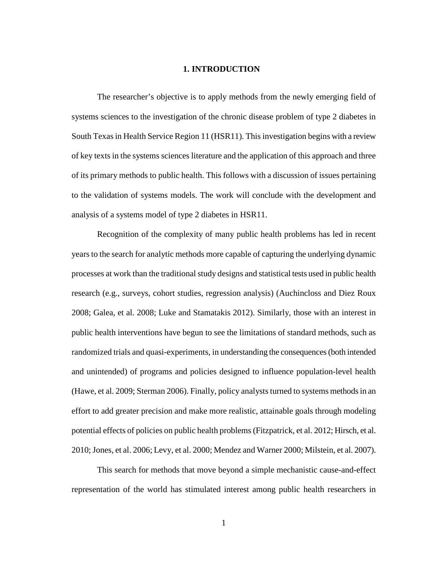#### **1. INTRODUCTION**

<span id="page-7-0"></span>The researcher's objective is to apply methods from the newly emerging field of systems sciences to the investigation of the chronic disease problem of type 2 diabetes in South Texas in Health Service Region 11 (HSR11). This investigation begins with a review of key texts in the systems sciences literature and the application of this approach and three of its primary methods to public health. This follows with a discussion of issues pertaining to the validation of systems models. The work will conclude with the development and analysis of a systems model of type 2 diabetes in HSR11.

Recognition of the complexity of many public health problems has led in recent years to the search for analytic methods more capable of capturing the underlying dynamic processes at work than the traditional study designs and statistical tests used in public health research (e.g., surveys, cohort studies, regression analysis) (Auchincloss and Diez Roux 2008; Galea, et al. 2008; Luke and Stamatakis 2012). Similarly, those with an interest in public health interventions have begun to see the limitations of standard methods, such as randomized trials and quasi-experiments, in understanding the consequences (both intended and unintended) of programs and policies designed to influence population-level health (Hawe, et al. 2009; Sterman 2006). Finally, policy analysts turned to systems methods in an effort to add greater precision and make more realistic, attainable goals through modeling potential effects of policies on public health problems (Fitzpatrick, et al. 2012; Hirsch, et al. 2010; Jones, et al. 2006; Levy, et al. 2000; Mendez and Warner 2000; Milstein, et al. 2007).

This search for methods that move beyond a simple mechanistic cause-and-effect representation of the world has stimulated interest among public health researchers in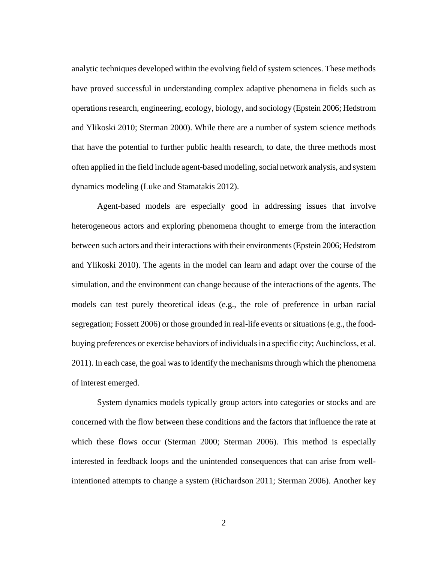analytic techniques developed within the evolving field of system sciences. These methods have proved successful in understanding complex adaptive phenomena in fields such as operations research, engineering, ecology, biology, and sociology (Epstein 2006; Hedstrom and Ylikoski 2010; Sterman 2000). While there are a number of system science methods that have the potential to further public health research, to date, the three methods most often applied in the field include agent-based modeling, social network analysis, and system dynamics modeling (Luke and Stamatakis 2012).

Agent-based models are especially good in addressing issues that involve heterogeneous actors and exploring phenomena thought to emerge from the interaction between such actors and their interactions with their environments (Epstein 2006; Hedstrom and Ylikoski 2010). The agents in the model can learn and adapt over the course of the simulation, and the environment can change because of the interactions of the agents. The models can test purely theoretical ideas (e.g., the role of preference in urban racial segregation; Fossett 2006) or those grounded in real-life events or situations (e.g., the foodbuying preferences or exercise behaviors of individuals in a specific city; Auchincloss, et al. 2011). In each case, the goal was to identify the mechanisms through which the phenomena of interest emerged.

System dynamics models typically group actors into categories or stocks and are concerned with the flow between these conditions and the factors that influence the rate at which these flows occur (Sterman 2000; Sterman 2006). This method is especially interested in feedback loops and the unintended consequences that can arise from wellintentioned attempts to change a system (Richardson 2011; Sterman 2006). Another key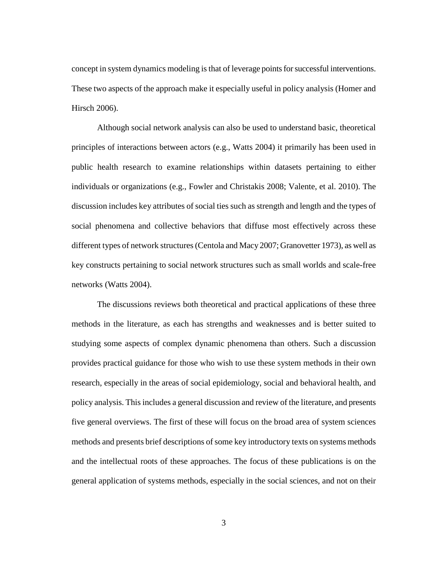concept in system dynamics modeling is that of leverage points for successful interventions. These two aspects of the approach make it especially useful in policy analysis (Homer and Hirsch 2006).

Although social network analysis can also be used to understand basic, theoretical principles of interactions between actors (e.g., Watts 2004) it primarily has been used in public health research to examine relationships within datasets pertaining to either individuals or organizations (e.g., Fowler and Christakis 2008; Valente, et al. 2010). The discussion includes key attributes of social ties such as strength and length and the types of social phenomena and collective behaviors that diffuse most effectively across these different types of network structures (Centola and Macy 2007; Granovetter 1973), as well as key constructs pertaining to social network structures such as small worlds and scale-free networks (Watts 2004).

The discussions reviews both theoretical and practical applications of these three methods in the literature, as each has strengths and weaknesses and is better suited to studying some aspects of complex dynamic phenomena than others. Such a discussion provides practical guidance for those who wish to use these system methods in their own research, especially in the areas of social epidemiology, social and behavioral health, and policy analysis. This includes a general discussion and review of the literature, and presents five general overviews. The first of these will focus on the broad area of system sciences methods and presents brief descriptions of some key introductory texts on systems methods and the intellectual roots of these approaches. The focus of these publications is on the general application of systems methods, especially in the social sciences, and not on their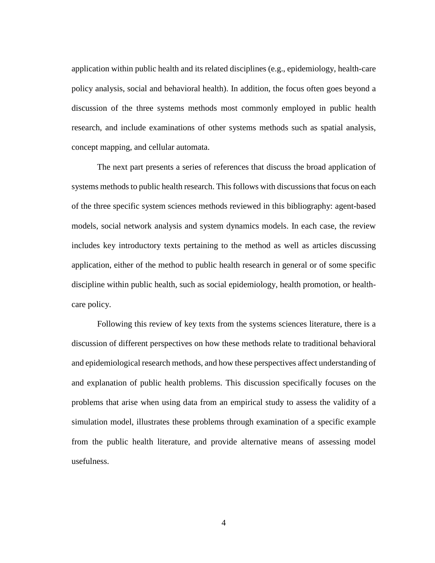application within public health and its related disciplines (e.g., epidemiology, health-care policy analysis, social and behavioral health). In addition, the focus often goes beyond a discussion of the three systems methods most commonly employed in public health research, and include examinations of other systems methods such as spatial analysis, concept mapping, and cellular automata.

The next part presents a series of references that discuss the broad application of systems methods to public health research. This follows with discussions that focus on each of the three specific system sciences methods reviewed in this bibliography: agent-based models, social network analysis and system dynamics models. In each case, the review includes key introductory texts pertaining to the method as well as articles discussing application, either of the method to public health research in general or of some specific discipline within public health, such as social epidemiology, health promotion, or healthcare policy.

Following this review of key texts from the systems sciences literature, there is a discussion of different perspectives on how these methods relate to traditional behavioral and epidemiological research methods, and how these perspectives affect understanding of and explanation of public health problems. This discussion specifically focuses on the problems that arise when using data from an empirical study to assess the validity of a simulation model, illustrates these problems through examination of a specific example from the public health literature, and provide alternative means of assessing model usefulness.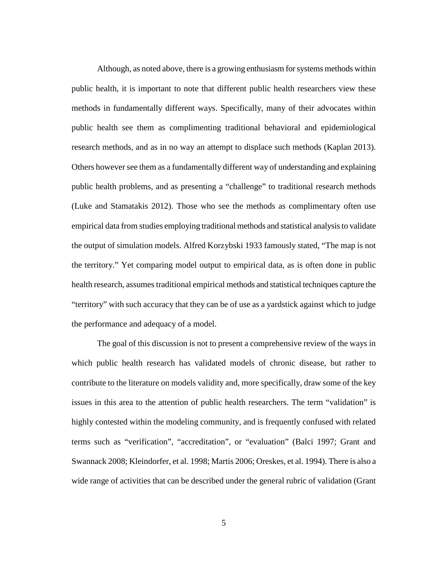Although, as noted above, there is a growing enthusiasm for systems methods within public health, it is important to note that different public health researchers view these methods in fundamentally different ways. Specifically, many of their advocates within public health see them as complimenting traditional behavioral and epidemiological research methods, and as in no way an attempt to displace such methods (Kaplan 2013). Others however see them as a fundamentally different way of understanding and explaining public health problems, and as presenting a "challenge" to traditional research methods (Luke and Stamatakis 2012). Those who see the methods as complimentary often use empirical data from studies employing traditional methods and statistical analysis to validate the output of simulation models. Alfred Korzybski 1933 famously stated, "The map is not the territory." Yet comparing model output to empirical data, as is often done in public health research, assumes traditional empirical methods and statistical techniques capture the "territory" with such accuracy that they can be of use as a yardstick against which to judge the performance and adequacy of a model.

The goal of this discussion is not to present a comprehensive review of the ways in which public health research has validated models of chronic disease, but rather to contribute to the literature on models validity and, more specifically, draw some of the key issues in this area to the attention of public health researchers. The term "validation" is highly contested within the modeling community, and is frequently confused with related terms such as "verification", "accreditation", or "evaluation" (Balci 1997; Grant and Swannack 2008; Kleindorfer, et al. 1998; Martis 2006; Oreskes, et al. 1994). There is also a wide range of activities that can be described under the general rubric of validation (Grant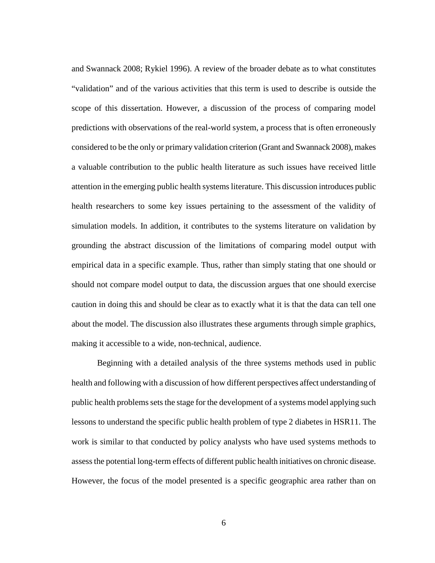and Swannack 2008; Rykiel 1996). A review of the broader debate as to what constitutes "validation" and of the various activities that this term is used to describe is outside the scope of this dissertation. However, a discussion of the process of comparing model predictions with observations of the real-world system, a process that is often erroneously considered to be the only or primary validation criterion (Grant and Swannack 2008), makes a valuable contribution to the public health literature as such issues have received little attention in the emerging public health systems literature. This discussion introduces public health researchers to some key issues pertaining to the assessment of the validity of simulation models. In addition, it contributes to the systems literature on validation by grounding the abstract discussion of the limitations of comparing model output with empirical data in a specific example. Thus, rather than simply stating that one should or should not compare model output to data, the discussion argues that one should exercise caution in doing this and should be clear as to exactly what it is that the data can tell one about the model. The discussion also illustrates these arguments through simple graphics, making it accessible to a wide, non-technical, audience.

Beginning with a detailed analysis of the three systems methods used in public health and following with a discussion of how different perspectives affect understanding of public health problems sets the stage for the development of a systems model applying such lessons to understand the specific public health problem of type 2 diabetes in HSR11. The work is similar to that conducted by policy analysts who have used systems methods to assess the potential long-term effects of different public health initiatives on chronic disease. However, the focus of the model presented is a specific geographic area rather than on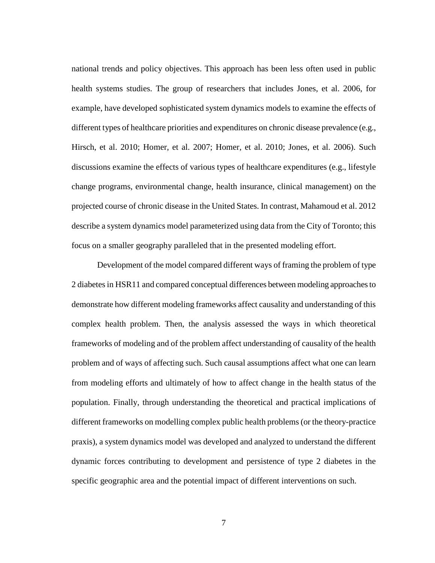national trends and policy objectives. This approach has been less often used in public health systems studies. The group of researchers that includes Jones, et al. 2006, for example, have developed sophisticated system dynamics models to examine the effects of different types of healthcare priorities and expenditures on chronic disease prevalence (e.g., Hirsch, et al. 2010; Homer, et al. 2007; Homer, et al. 2010; Jones, et al. 2006). Such discussions examine the effects of various types of healthcare expenditures (e.g., lifestyle change programs, environmental change, health insurance, clinical management) on the projected course of chronic disease in the United States. In contrast, Mahamoud et al. 2012 describe a system dynamics model parameterized using data from the City of Toronto; this focus on a smaller geography paralleled that in the presented modeling effort.

Development of the model compared different ways of framing the problem of type 2 diabetes in HSR11 and compared conceptual differences between modeling approaches to demonstrate how different modeling frameworks affect causality and understanding of this complex health problem. Then, the analysis assessed the ways in which theoretical frameworks of modeling and of the problem affect understanding of causality of the health problem and of ways of affecting such. Such causal assumptions affect what one can learn from modeling efforts and ultimately of how to affect change in the health status of the population. Finally, through understanding the theoretical and practical implications of different frameworks on modelling complex public health problems(or the theory-practice praxis), a system dynamics model was developed and analyzed to understand the different dynamic forces contributing to development and persistence of type 2 diabetes in the specific geographic area and the potential impact of different interventions on such.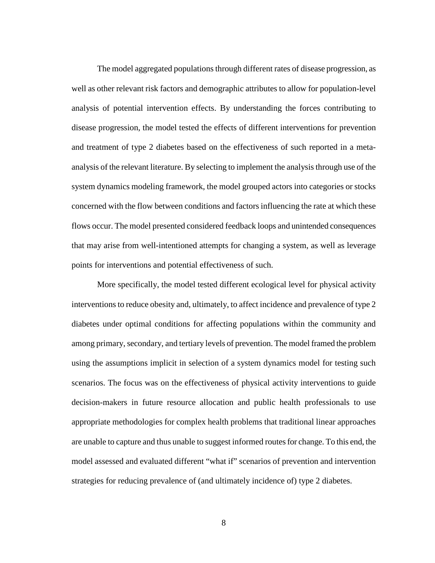The model aggregated populations through different rates of disease progression, as well as other relevant risk factors and demographic attributes to allow for population-level analysis of potential intervention effects. By understanding the forces contributing to disease progression, the model tested the effects of different interventions for prevention and treatment of type 2 diabetes based on the effectiveness of such reported in a metaanalysis of the relevant literature. By selecting to implement the analysis through use of the system dynamics modeling framework, the model grouped actors into categories or stocks concerned with the flow between conditions and factors influencing the rate at which these flows occur. The model presented considered feedback loops and unintended consequences that may arise from well-intentioned attempts for changing a system, as well as leverage points for interventions and potential effectiveness of such.

More specifically, the model tested different ecological level for physical activity interventions to reduce obesity and, ultimately, to affect incidence and prevalence of type 2 diabetes under optimal conditions for affecting populations within the community and among primary, secondary, and tertiary levels of prevention. The model framed the problem using the assumptions implicit in selection of a system dynamics model for testing such scenarios. The focus was on the effectiveness of physical activity interventions to guide decision-makers in future resource allocation and public health professionals to use appropriate methodologies for complex health problems that traditional linear approaches are unable to capture and thus unable to suggest informed routes for change. To this end, the model assessed and evaluated different "what if" scenarios of prevention and intervention strategies for reducing prevalence of (and ultimately incidence of) type 2 diabetes.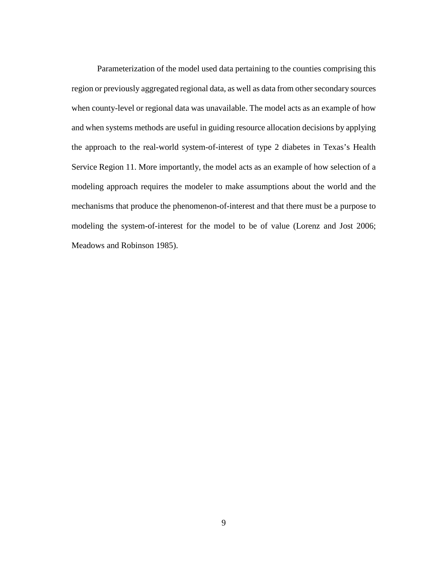Parameterization of the model used data pertaining to the counties comprising this region or previously aggregated regional data, as well as data from other secondary sources when county-level or regional data was unavailable. The model acts as an example of how and when systems methods are useful in guiding resource allocation decisions by applying the approach to the real-world system-of-interest of type 2 diabetes in Texas's Health Service Region 11. More importantly, the model acts as an example of how selection of a modeling approach requires the modeler to make assumptions about the world and the mechanisms that produce the phenomenon-of-interest and that there must be a purpose to modeling the system-of-interest for the model to be of value (Lorenz and Jost 2006; Meadows and Robinson 1985).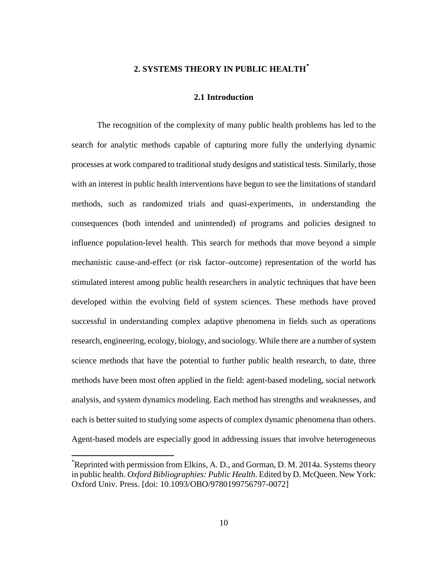#### **2. SYSTEMS THEORY IN PUBLIC HEALTH[\\*](#page-23-0)**

#### **2.1 Introduction**

<span id="page-16-1"></span><span id="page-16-0"></span>The recognition of the complexity of many public health problems has led to the search for analytic methods capable of capturing more fully the underlying dynamic processes at work compared to traditional study designs and statistical tests. Similarly, those with an interest in public health interventions have begun to see the limitations of standard methods, such as randomized trials and quasi-experiments, in understanding the consequences (both intended and unintended) of programs and policies designed to influence population-level health. This search for methods that move beyond a simple mechanistic cause-and-effect (or risk factor–outcome) representation of the world has stimulated interest among public health researchers in analytic techniques that have been developed within the evolving field of system sciences. These methods have proved successful in understanding complex adaptive phenomena in fields such as operations research, engineering, ecology, biology, and sociology. While there are a number of system science methods that have the potential to further public health research, to date, three methods have been most often applied in the field: agent-based modeling, social network analysis, and system dynamics modeling. Each method has strengths and weaknesses, and each is better suited to studying some aspects of complex dynamic phenomena than others. Agent-based models are especially good in addressing issues that involve heterogeneous

<sup>\*&</sup>lt;br>
\*Reprinted with permission from Elkins, A. D., and Gorman, D. M. 2014a. Systems theory in public health. *Oxford Bibliographies: Public Health*. Edited by D. McQueen. New York: Oxford Univ. Press. [doi: 10.1093/OBO/9780199756797-0072]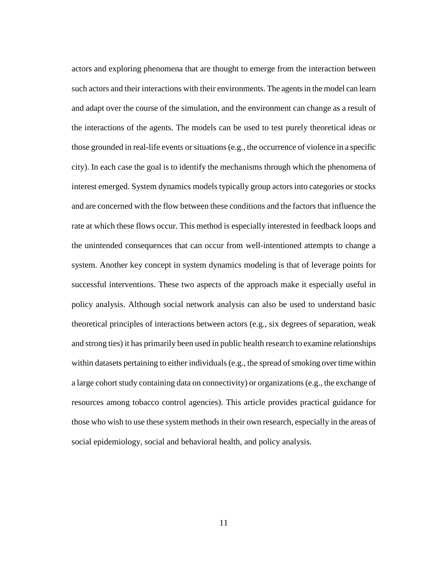actors and exploring phenomena that are thought to emerge from the interaction between such actors and their interactions with their environments. The agents in the model can learn and adapt over the course of the simulation, and the environment can change as a result of the interactions of the agents. The models can be used to test purely theoretical ideas or those grounded in real-life events or situations (e.g., the occurrence of violence in a specific city). In each case the goal is to identify the mechanisms through which the phenomena of interest emerged. System dynamics models typically group actors into categories or stocks and are concerned with the flow between these conditions and the factors that influence the rate at which these flows occur. This method is especially interested in feedback loops and the unintended consequences that can occur from well-intentioned attempts to change a system. Another key concept in system dynamics modeling is that of leverage points for successful interventions. These two aspects of the approach make it especially useful in policy analysis. Although social network analysis can also be used to understand basic theoretical principles of interactions between actors (e.g., six degrees of separation, weak and strong ties) it has primarily been used in public health research to examine relationships within datasets pertaining to either individuals (e.g., the spread of smoking over time within a large cohort study containing data on connectivity) or organizations (e.g., the exchange of resources among tobacco control agencies). This article provides practical guidance for those who wish to use these system methods in their own research, especially in the areas of social epidemiology, social and behavioral health, and policy analysis.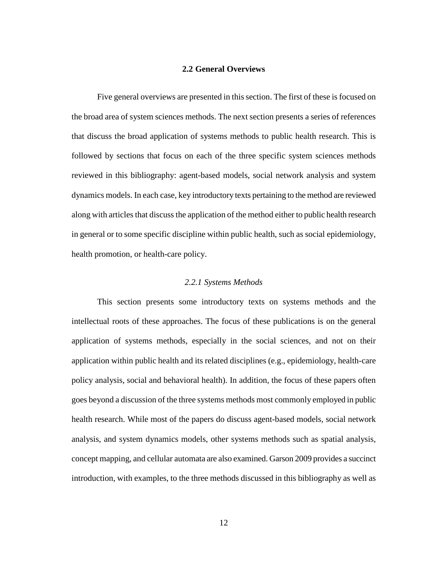#### **2.2 General Overviews**

<span id="page-18-0"></span>Five general overviews are presented in this section. The first of these is focused on the broad area of system sciences methods. The next section presents a series of references that discuss the broad application of systems methods to public health research. This is followed by sections that focus on each of the three specific system sciences methods reviewed in this bibliography: agent-based models, social network analysis and system dynamics models. In each case, key introductory texts pertaining to the method are reviewed along with articles that discuss the application of the method either to public health research in general or to some specific discipline within public health, such as social epidemiology, health promotion, or health-care policy.

#### *2.2.1 Systems Methods*

<span id="page-18-1"></span>This section presents some introductory texts on systems methods and the intellectual roots of these approaches. The focus of these publications is on the general application of systems methods, especially in the social sciences, and not on their application within public health and its related disciplines (e.g., epidemiology, health-care policy analysis, social and behavioral health). In addition, the focus of these papers often goes beyond a discussion of the three systems methods most commonly employed in public health research. While most of the papers do discuss agent-based models, social network analysis, and system dynamics models, other systems methods such as spatial analysis, concept mapping, and cellular automata are also examined. Garson 2009 provides a succinct introduction, with examples, to the three methods discussed in this bibliography as well as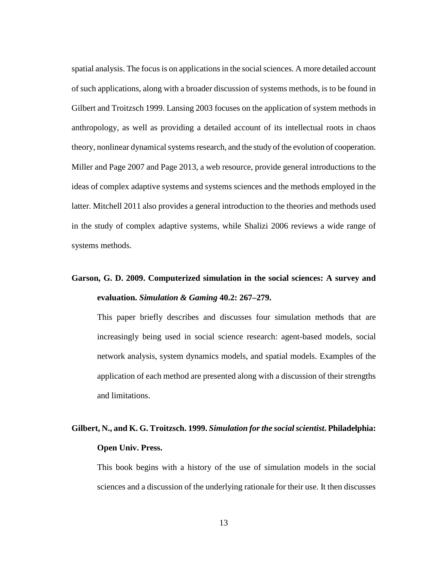spatial analysis. The focus is on applications in the social sciences. A more detailed account of such applications, along with a broader discussion of systems methods, is to be found in Gilbert and Troitzsch 1999. Lansing 2003 focuses on the application of system methods in anthropology, as well as providing a detailed account of its intellectual roots in chaos theory, nonlinear dynamical systems research, and the study of the evolution of cooperation. Miller and Page 2007 and Page 2013, a web resource, provide general introductions to the ideas of complex adaptive systems and systems sciences and the methods employed in the latter. Mitchell 2011 also provides a general introduction to the theories and methods used in the study of complex adaptive systems, while Shalizi 2006 reviews a wide range of systems methods.

### **Garson, G. D. 2009. Computerized simulation in the social sciences: A survey and evaluation.** *Simulation & Gaming* **40.2: 267–279.**

This paper briefly describes and discusses four simulation methods that are increasingly being used in social science research: agent-based models, social network analysis, system dynamics models, and spatial models. Examples of the application of each method are presented along with a discussion of their strengths and limitations.

### **Gilbert, N., and K. G. Troitzsch. 1999.** *Simulation for the social scientist***. Philadelphia: Open Univ. Press.**

This book begins with a history of the use of simulation models in the social sciences and a discussion of the underlying rationale for their use. It then discusses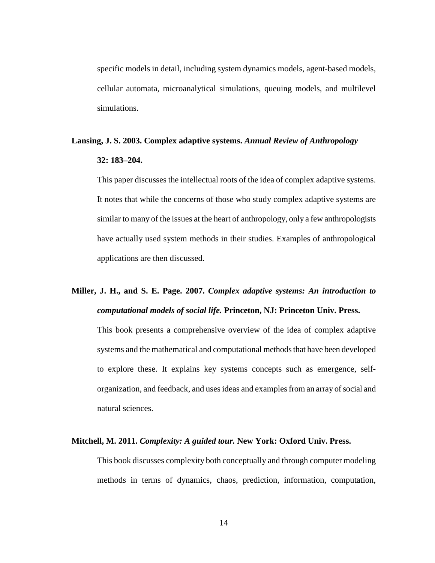specific models in detail, including system dynamics models, agent-based models, cellular automata, microanalytical simulations, queuing models, and multilevel simulations.

### **Lansing, J. S. 2003. Complex adaptive systems.** *Annual Review of Anthropology* **32: 183–204.**

This paper discusses the intellectual roots of the idea of complex adaptive systems. It notes that while the concerns of those who study complex adaptive systems are similar to many of the issues at the heart of anthropology, only a few anthropologists have actually used system methods in their studies. Examples of anthropological applications are then discussed.

### **Miller, J. H., and S. E. Page. 2007.** *Complex adaptive systems: An introduction to computational models of social life.* **Princeton, NJ: Princeton Univ. Press.**

This book presents a comprehensive overview of the idea of complex adaptive systems and the mathematical and computational methods that have been developed to explore these. It explains key systems concepts such as emergence, selforganization, and feedback, and uses ideas and examples from an array of social and natural sciences.

#### **Mitchell, M. 2011.** *Complexity: A guided tour.* **New York: Oxford Univ. Press.**

This book discusses complexity both conceptually and through computer modeling methods in terms of dynamics, chaos, prediction, information, computation,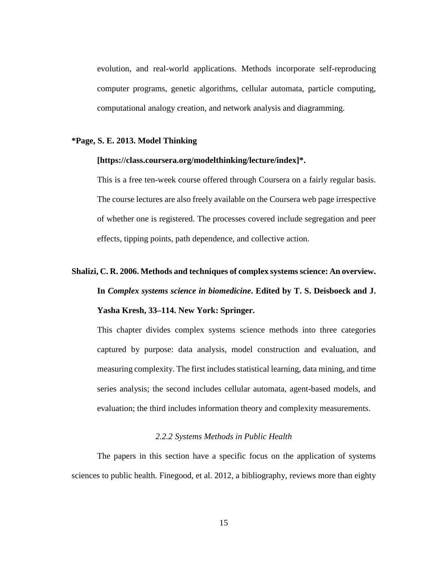evolution, and real-world applications. Methods incorporate self-reproducing computer programs, genetic algorithms, cellular automata, particle computing, computational analogy creation, and network analysis and diagramming.

#### **\*Page, S. E. 2013. Model Thinking**

#### **[https://class.coursera.org/modelthinking/lecture/index]\*.**

This is a free ten-week course offered through Coursera on a fairly regular basis. The course lectures are also freely available on the Coursera web page irrespective of whether one is registered. The processes covered include segregation and peer effects, tipping points, path dependence, and collective action.

#### **Shalizi, C. R. 2006. Methods and techniques of complex systems science: An overview.**

**In** *Complex systems science in biomedicine***. Edited by T. S. Deisboeck and J. Yasha Kresh, 33–114. New York: Springer.**

This chapter divides complex systems science methods into three categories captured by purpose: data analysis, model construction and evaluation, and measuring complexity. The first includes statistical learning, data mining, and time series analysis; the second includes cellular automata, agent-based models, and evaluation; the third includes information theory and complexity measurements.

#### *2.2.2 Systems Methods in Public Health*

<span id="page-21-0"></span>The papers in this section have a specific focus on the application of systems sciences to public health. Finegood, et al. 2012, a bibliography, reviews more than eighty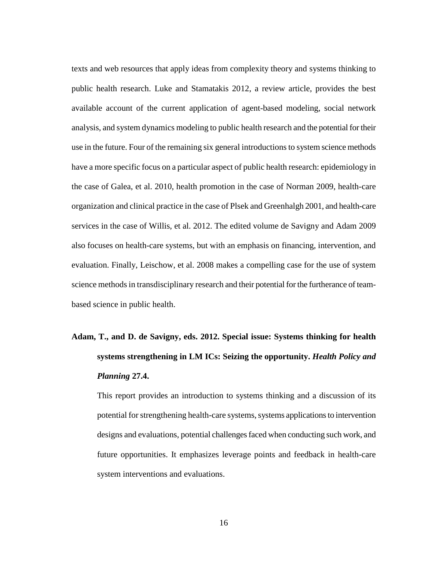texts and web resources that apply ideas from complexity theory and systems thinking to public health research. Luke and Stamatakis 2012, a review article, provides the best available account of the current application of agent-based modeling, social network analysis, and system dynamics modeling to public health research and the potential for their use in the future. Four of the remaining six general introductions to system science methods have a more specific focus on a particular aspect of public health research: epidemiology in the case of Galea, et al. 2010, health promotion in the case of Norman 2009, health-care organization and clinical practice in the case of Plsek and Greenhalgh 2001, and health-care services in the case of Willis, et al. 2012. The edited volume de Savigny and Adam 2009 also focuses on health-care systems, but with an emphasis on financing, intervention, and evaluation. Finally, Leischow, et al. 2008 makes a compelling case for the use of system science methods in transdisciplinary research and their potential for the furtherance of teambased science in public health.

# **Adam, T., and D. de Savigny, eds. 2012. Special issue: Systems thinking for health systems strengthening in LM ICs: Seizing the opportunity.** *Health Policy and Planning* **27.4.**

This report provides an introduction to systems thinking and a discussion of its potential for strengthening health-care systems, systems applications to intervention designs and evaluations, potential challenges faced when conducting such work, and future opportunities. It emphasizes leverage points and feedback in health-care system interventions and evaluations.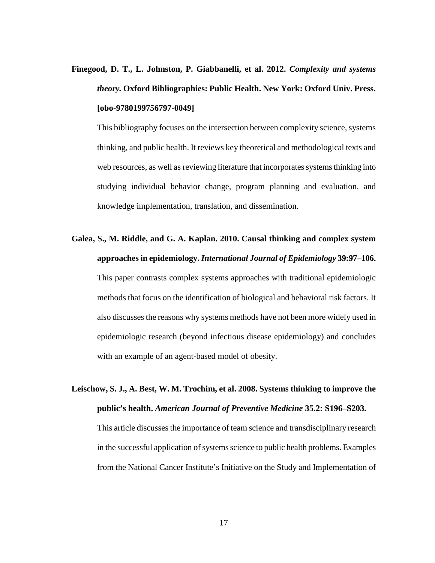**Finegood, D. T., L. Johnston, P. Giabbanelli, et al. 2012.** *Complexity and systems theory.* **Oxford Bibliographies: Public Health. New York: Oxford Univ. Press. [obo-9780199756797-0049]**

This bibliography focuses on the intersection between complexity science, systems thinking, and public health. It reviews key theoretical and methodological texts and web resources, as well as reviewing literature that incorporates systems thinking into studying individual behavior change, program planning and evaluation, and knowledge implementation, translation, and dissemination.

- **Galea, S., M. Riddle, and G. A. Kaplan. 2010. Causal thinking and complex system approaches in epidemiology.** *International Journal of Epidemiology* **39:97–106.** This paper contrasts complex systems approaches with traditional epidemiologic methods that focus on the identification of biological and behavioral risk factors. It also discusses the reasons why systems methods have not been more widely used in epidemiologic research (beyond infectious disease epidemiology) and concludes with an example of an agent-based model of obesity.
- <span id="page-23-0"></span>**Leischow, S. J., A. Best, W. M. Trochim, et al. 2008. Systems thinking to improve the public's health.** *American Journal of Preventive Medicine* **35.2: S196–S203.** This article discusses the importance of team science and transdisciplinary research in the successful application of systems science to public health problems. Examples from the National Cancer Institute's Initiative on the Study and Implementation of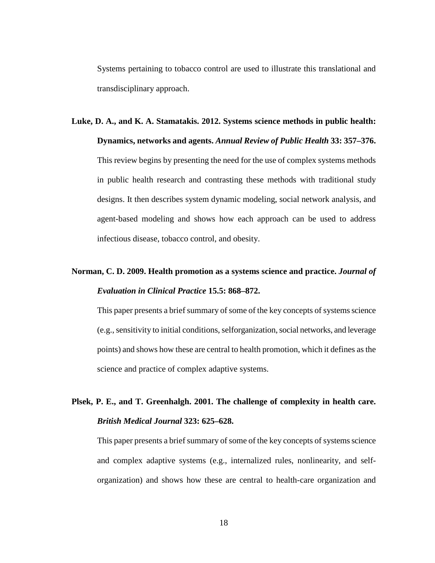Systems pertaining to tobacco control are used to illustrate this translational and transdisciplinary approach.

# **Luke, D. A., and K. A. Stamatakis. 2012. Systems science methods in public health: Dynamics, networks and agents.** *Annual Review of Public Health* **33: 357–376.** This review begins by presenting the need for the use of complex systems methods in public health research and contrasting these methods with traditional study designs. It then describes system dynamic modeling, social network analysis, and agent-based modeling and shows how each approach can be used to address

infectious disease, tobacco control, and obesity.

### **Norman, C. D. 2009. Health promotion as a systems science and practice.** *Journal of Evaluation in Clinical Practice* **15.5: 868–872.**

This paper presents a brief summary of some of the key concepts of systems science (e.g., sensitivity to initial conditions, selforganization, social networks, and leverage points) and shows how these are central to health promotion, which it defines as the science and practice of complex adaptive systems.

### **Plsek, P. E., and T. Greenhalgh. 2001. The challenge of complexity in health care.**  *British Medical Journal* **323: 625–628.**

This paper presents a brief summary of some of the key concepts of systems science and complex adaptive systems (e.g., internalized rules, nonlinearity, and selforganization) and shows how these are central to health-care organization and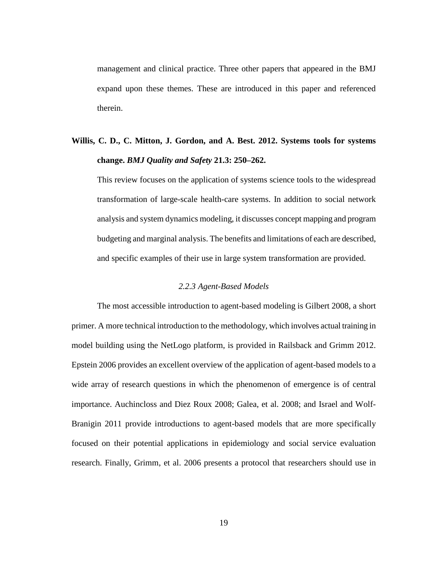management and clinical practice. Three other papers that appeared in the BMJ expand upon these themes. These are introduced in this paper and referenced therein.

### **Willis, C. D., C. Mitton, J. Gordon, and A. Best. 2012. Systems tools for systems change.** *BMJ Quality and Safety* **21.3: 250–262.**

This review focuses on the application of systems science tools to the widespread transformation of large-scale health-care systems. In addition to social network analysis and system dynamics modeling, it discusses concept mapping and program budgeting and marginal analysis. The benefits and limitations of each are described, and specific examples of their use in large system transformation are provided.

#### *2.2.3 Agent-Based Models*

<span id="page-25-0"></span>The most accessible introduction to agent-based modeling is Gilbert 2008, a short primer. A more technical introduction to the methodology, which involves actual training in model building using the NetLogo platform, is provided in Railsback and Grimm 2012. Epstein 2006 provides an excellent overview of the application of agent-based models to a wide array of research questions in which the phenomenon of emergence is of central importance. Auchincloss and Diez Roux 2008; Galea, et al. 2008; and Israel and Wolf-Branigin 2011 provide introductions to agent-based models that are more specifically focused on their potential applications in epidemiology and social service evaluation research. Finally, Grimm, et al. 2006 presents a protocol that researchers should use in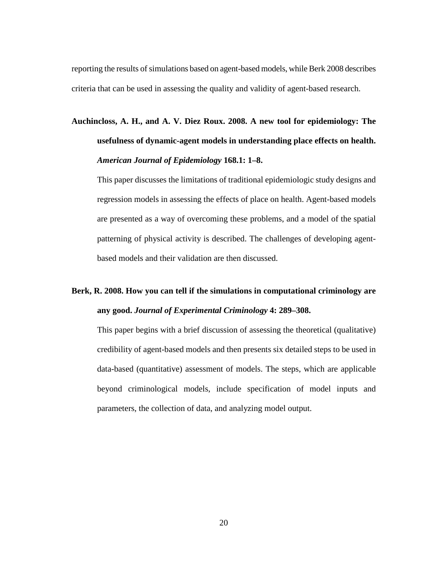reporting the results of simulations based on agent-based models, while Berk 2008 describes criteria that can be used in assessing the quality and validity of agent-based research.

# **Auchincloss, A. H., and A. V. Diez Roux. 2008. A new tool for epidemiology: The usefulness of dynamic-agent models in understanding place effects on health.**  *American Journal of Epidemiology* **168.1: 1–8.**

This paper discusses the limitations of traditional epidemiologic study designs and regression models in assessing the effects of place on health. Agent-based models are presented as a way of overcoming these problems, and a model of the spatial patterning of physical activity is described. The challenges of developing agentbased models and their validation are then discussed.

### **Berk, R. 2008. How you can tell if the simulations in computational criminology are any good.** *Journal of Experimental Criminology* **4: 289–308.**

This paper begins with a brief discussion of assessing the theoretical (qualitative) credibility of agent-based models and then presents six detailed steps to be used in data-based (quantitative) assessment of models. The steps, which are applicable beyond criminological models, include specification of model inputs and parameters, the collection of data, and analyzing model output.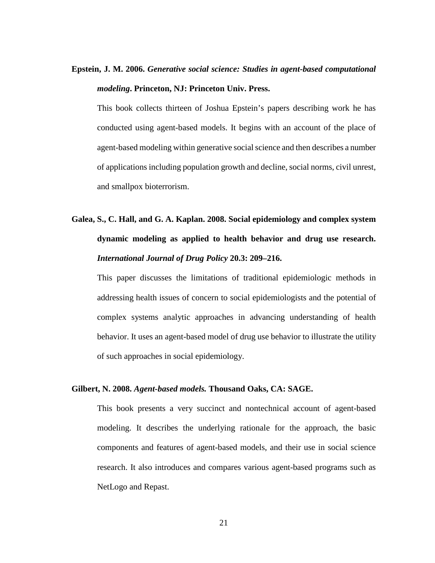**Epstein, J. M. 2006.** *Generative social science: Studies in agent-based computational modeling***. Princeton, NJ: Princeton Univ. Press.**

This book collects thirteen of Joshua Epstein's papers describing work he has conducted using agent-based models. It begins with an account of the place of agent-based modeling within generative social science and then describes a number of applications including population growth and decline, social norms, civil unrest, and smallpox bioterrorism.

**Galea, S., C. Hall, and G. A. Kaplan. 2008. Social epidemiology and complex system dynamic modeling as applied to health behavior and drug use research.**  *International Journal of Drug Policy* **20.3: 209–216.**

This paper discusses the limitations of traditional epidemiologic methods in addressing health issues of concern to social epidemiologists and the potential of complex systems analytic approaches in advancing understanding of health behavior. It uses an agent-based model of drug use behavior to illustrate the utility of such approaches in social epidemiology.

#### **Gilbert, N. 2008.** *Agent-based models.* **Thousand Oaks, CA: SAGE.**

This book presents a very succinct and nontechnical account of agent-based modeling. It describes the underlying rationale for the approach, the basic components and features of agent-based models, and their use in social science research. It also introduces and compares various agent-based programs such as NetLogo and Repast.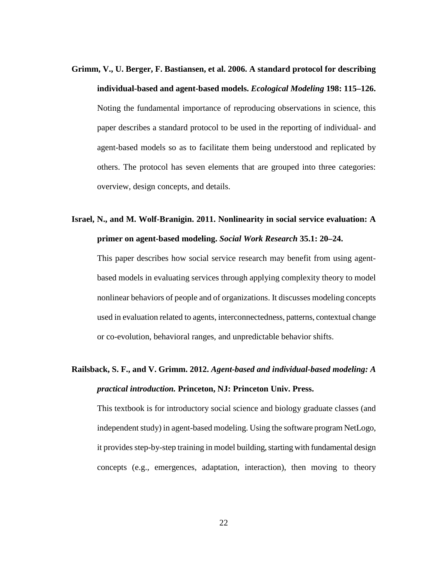**Grimm, V., U. Berger, F. Bastiansen, et al. 2006. A standard protocol for describing individual-based and agent-based models.** *Ecological Modeling* **198: 115–126.** Noting the fundamental importance of reproducing observations in science, this paper describes a standard protocol to be used in the reporting of individual- and agent-based models so as to facilitate them being understood and replicated by others. The protocol has seven elements that are grouped into three categories: overview, design concepts, and details.

### **Israel, N., and M. Wolf-Branigin. 2011. Nonlinearity in social service evaluation: A primer on agent-based modeling.** *Social Work Research* **35.1: 20–24.**

This paper describes how social service research may benefit from using agentbased models in evaluating services through applying complexity theory to model nonlinear behaviors of people and of organizations. It discusses modeling concepts used in evaluation related to agents, interconnectedness, patterns, contextual change or co-evolution, behavioral ranges, and unpredictable behavior shifts.

### **Railsback, S. F., and V. Grimm. 2012.** *Agent-based and individual-based modeling: A practical introduction.* **Princeton, NJ: Princeton Univ. Press.**

This textbook is for introductory social science and biology graduate classes (and independent study) in agent-based modeling. Using the software program NetLogo, it provides step-by-step training in model building, starting with fundamental design concepts (e.g., emergences, adaptation, interaction), then moving to theory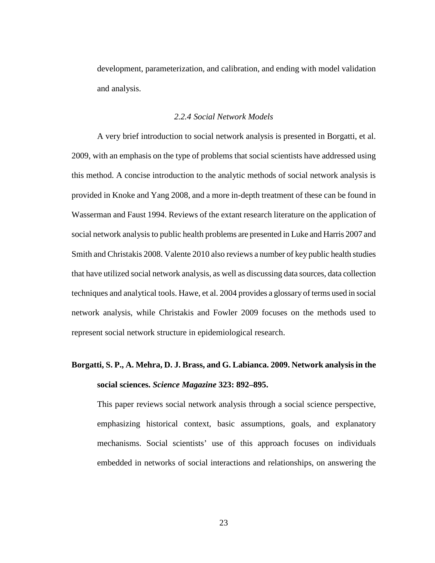development, parameterization, and calibration, and ending with model validation and analysis.

#### *2.2.4 Social Network Models*

<span id="page-29-0"></span>A very brief introduction to social network analysis is presented in Borgatti, et al. 2009, with an emphasis on the type of problems that social scientists have addressed using this method. A concise introduction to the analytic methods of social network analysis is provided in Knoke and Yang 2008, and a more in-depth treatment of these can be found in Wasserman and Faust 1994. Reviews of the extant research literature on the application of social network analysis to public health problems are presented in Luke and Harris 2007 and Smith and Christakis 2008. Valente 2010 also reviews a number of key public health studies that have utilized social network analysis, as well as discussing data sources, data collection techniques and analytical tools. Hawe, et al. 2004 provides a glossary of terms used in social network analysis, while Christakis and Fowler 2009 focuses on the methods used to represent social network structure in epidemiological research.

### **Borgatti, S. P., A. Mehra, D. J. Brass, and G. Labianca. 2009. Network analysis in the social sciences.** *Science Magazine* **323: 892–895.**

This paper reviews social network analysis through a social science perspective, emphasizing historical context, basic assumptions, goals, and explanatory mechanisms. Social scientists' use of this approach focuses on individuals embedded in networks of social interactions and relationships, on answering the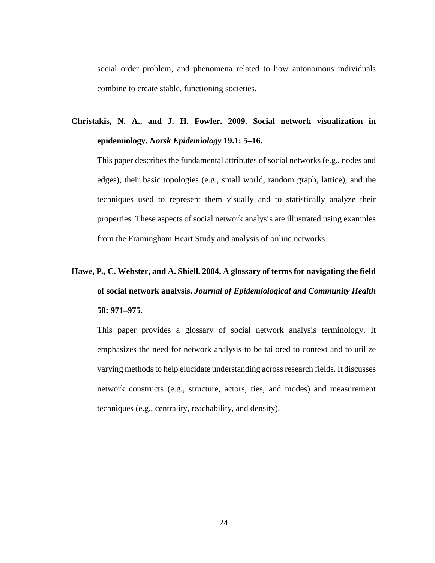social order problem, and phenomena related to how autonomous individuals combine to create stable, functioning societies.

### **Christakis, N. A., and J. H. Fowler. 2009. Social network visualization in epidemiology.** *Norsk Epidemiology* **19.1: 5–16.**

This paper describes the fundamental attributes of social networks (e.g., nodes and edges), their basic topologies (e.g., small world, random graph, lattice), and the techniques used to represent them visually and to statistically analyze their properties. These aspects of social network analysis are illustrated using examples from the Framingham Heart Study and analysis of online networks.

# **Hawe, P., C. Webster, and A. Shiell. 2004. A glossary of terms for navigating the field of social network analysis.** *Journal of Epidemiological and Community Health* **58: 971–975.**

This paper provides a glossary of social network analysis terminology. It emphasizes the need for network analysis to be tailored to context and to utilize varying methods to help elucidate understanding across research fields. It discusses network constructs (e.g., structure, actors, ties, and modes) and measurement techniques (e.g., centrality, reachability, and density).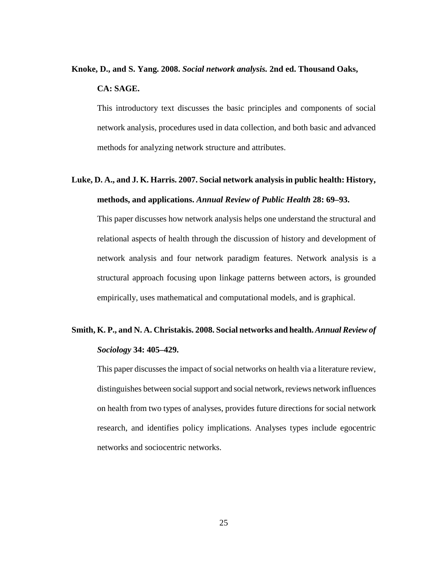### **Knoke, D., and S. Yang. 2008.** *Social network analysis.* **2nd ed. Thousand Oaks, CA: SAGE.**

This introductory text discusses the basic principles and components of social network analysis, procedures used in data collection, and both basic and advanced methods for analyzing network structure and attributes.

### **Luke, D. A., and J. K. Harris. 2007. Social network analysis in public health: History, methods, and applications.** *Annual Review of Public Health* **28: 69–93.**

This paper discusses how network analysis helps one understand the structural and relational aspects of health through the discussion of history and development of network analysis and four network paradigm features. Network analysis is a structural approach focusing upon linkage patterns between actors, is grounded empirically, uses mathematical and computational models, and is graphical.

### **Smith, K. P., and N. A. Christakis. 2008. Social networks and health.** *Annual Review of Sociology* **34: 405–429.**

This paper discusses the impact of social networks on health via a literature review, distinguishes between social support and social network, reviews network influences on health from two types of analyses, provides future directions for social network research, and identifies policy implications. Analyses types include egocentric networks and sociocentric networks.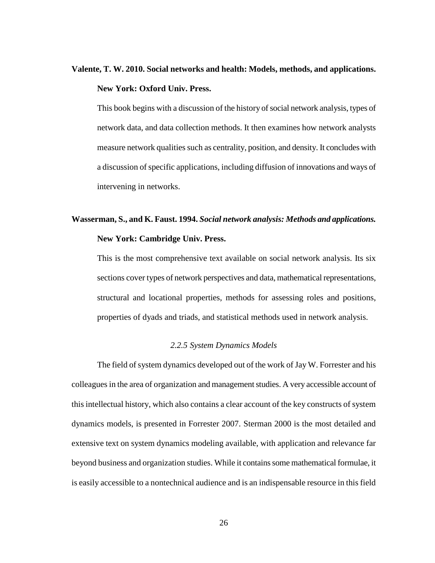### **Valente, T. W. 2010. Social networks and health: Models, methods, and applications. New York: Oxford Univ. Press.**

This book begins with a discussion of the history of social network analysis, types of network data, and data collection methods. It then examines how network analysts measure network qualities such as centrality, position, and density. It concludes with a discussion of specific applications, including diffusion of innovations and ways of intervening in networks.

### **Wasserman, S., and K. Faust. 1994.** *Social network analysis: Methods and applications.* **New York: Cambridge Univ. Press.**

This is the most comprehensive text available on social network analysis. Its six sections cover types of network perspectives and data, mathematical representations, structural and locational properties, methods for assessing roles and positions, properties of dyads and triads, and statistical methods used in network analysis.

#### *2.2.5 System Dynamics Models*

<span id="page-32-0"></span>The field of system dynamics developed out of the work of Jay W. Forrester and his colleagues in the area of organization and management studies. A very accessible account of this intellectual history, which also contains a clear account of the key constructs of system dynamics models, is presented in Forrester 2007. Sterman 2000 is the most detailed and extensive text on system dynamics modeling available, with application and relevance far beyond business and organization studies. While it contains some mathematical formulae, it is easily accessible to a nontechnical audience and is an indispensable resource in this field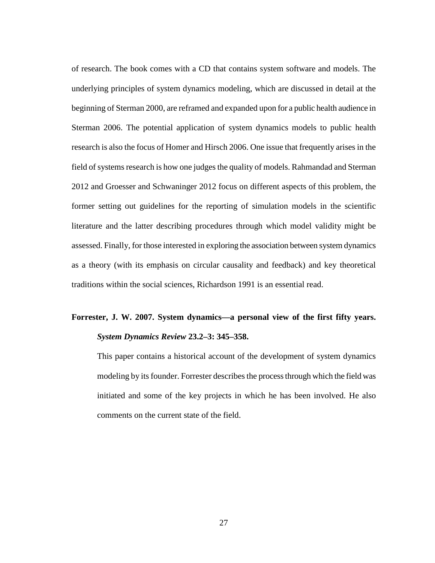of research. The book comes with a CD that contains system software and models. The underlying principles of system dynamics modeling, which are discussed in detail at the beginning of Sterman 2000, are reframed and expanded upon for a public health audience in Sterman 2006. The potential application of system dynamics models to public health research is also the focus of Homer and Hirsch 2006. One issue that frequently arises in the field of systems research is how one judges the quality of models. Rahmandad and Sterman 2012 and Groesser and Schwaninger 2012 focus on different aspects of this problem, the former setting out guidelines for the reporting of simulation models in the scientific literature and the latter describing procedures through which model validity might be assessed. Finally, for those interested in exploring the association between system dynamics as a theory (with its emphasis on circular causality and feedback) and key theoretical traditions within the social sciences, Richardson 1991 is an essential read.

### **Forrester, J. W. 2007. System dynamics—a personal view of the first fifty years.**  *System Dynamics Review* **23.2–3: 345–358.**

This paper contains a historical account of the development of system dynamics modeling by its founder. Forrester describes the process through which the field was initiated and some of the key projects in which he has been involved. He also comments on the current state of the field.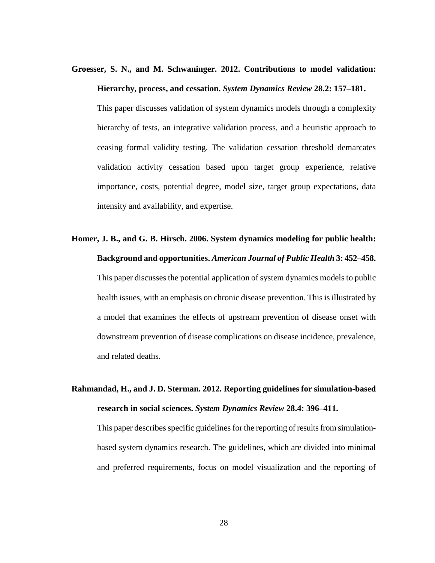**Groesser, S. N., and M. Schwaninger. 2012. Contributions to model validation: Hierarchy, process, and cessation.** *System Dynamics Review* **28.2: 157–181.**

This paper discusses validation of system dynamics models through a complexity hierarchy of tests, an integrative validation process, and a heuristic approach to ceasing formal validity testing. The validation cessation threshold demarcates validation activity cessation based upon target group experience, relative importance, costs, potential degree, model size, target group expectations, data intensity and availability, and expertise.

**Homer, J. B., and G. B. Hirsch. 2006. System dynamics modeling for public health: Background and opportunities.** *American Journal of Public Health* **3: 452–458.** This paper discusses the potential application of system dynamics models to public health issues, with an emphasis on chronic disease prevention. This is illustrated by a model that examines the effects of upstream prevention of disease onset with downstream prevention of disease complications on disease incidence, prevalence, and related deaths.

### **Rahmandad, H., and J. D. Sterman. 2012. Reporting guidelines for simulation-based research in social sciences.** *System Dynamics Review* **28.4: 396–411.**

This paper describes specific guidelines for the reporting of results from simulationbased system dynamics research. The guidelines, which are divided into minimal and preferred requirements, focus on model visualization and the reporting of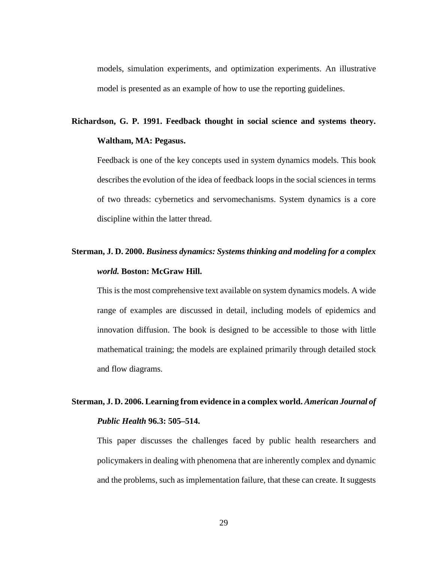models, simulation experiments, and optimization experiments. An illustrative model is presented as an example of how to use the reporting guidelines.

### **Richardson, G. P. 1991. Feedback thought in social science and systems theory.**

#### **Waltham, MA: Pegasus.**

Feedback is one of the key concepts used in system dynamics models. This book describes the evolution of the idea of feedback loops in the social sciences in terms of two threads: cybernetics and servomechanisms. System dynamics is a core discipline within the latter thread.

### **Sterman, J. D. 2000.** *Business dynamics: Systems thinking and modeling for a complex world.* **Boston: McGraw Hill.**

This is the most comprehensive text available on system dynamics models. A wide range of examples are discussed in detail, including models of epidemics and innovation diffusion. The book is designed to be accessible to those with little mathematical training; the models are explained primarily through detailed stock and flow diagrams.

### **Sterman, J. D. 2006. Learning from evidence in a complex world.** *American Journal of Public Health* **96.3: 505–514.**

This paper discusses the challenges faced by public health researchers and policymakers in dealing with phenomena that are inherently complex and dynamic and the problems, such as implementation failure, that these can create. It suggests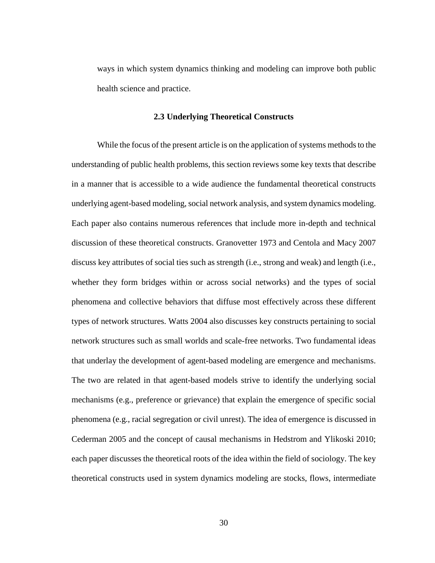ways in which system dynamics thinking and modeling can improve both public health science and practice.

### **2.3 Underlying Theoretical Constructs**

While the focus of the present article is on the application of systems methods to the understanding of public health problems, this section reviews some key texts that describe in a manner that is accessible to a wide audience the fundamental theoretical constructs underlying agent-based modeling, social network analysis, and system dynamics modeling. Each paper also contains numerous references that include more in-depth and technical discussion of these theoretical constructs. Granovetter 1973 and Centola and Macy 2007 discuss key attributes of social ties such as strength (i.e., strong and weak) and length (i.e., whether they form bridges within or across social networks) and the types of social phenomena and collective behaviors that diffuse most effectively across these different types of network structures. Watts 2004 also discusses key constructs pertaining to social network structures such as small worlds and scale-free networks. Two fundamental ideas that underlay the development of agent-based modeling are emergence and mechanisms. The two are related in that agent-based models strive to identify the underlying social mechanisms (e.g., preference or grievance) that explain the emergence of specific social phenomena (e.g., racial segregation or civil unrest). The idea of emergence is discussed in Cederman 2005 and the concept of causal mechanisms in Hedstrom and Ylikoski 2010; each paper discusses the theoretical roots of the idea within the field of sociology. The key theoretical constructs used in system dynamics modeling are stocks, flows, intermediate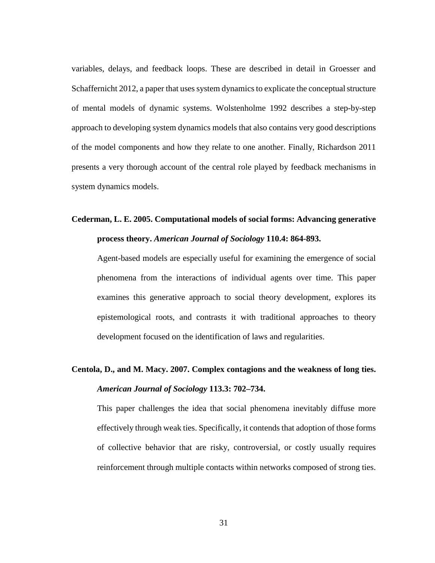variables, delays, and feedback loops. These are described in detail in Groesser and Schaffernicht 2012, a paper that uses system dynamics to explicate the conceptual structure of mental models of dynamic systems. Wolstenholme 1992 describes a step-by-step approach to developing system dynamics models that also contains very good descriptions of the model components and how they relate to one another. Finally, Richardson 2011 presents a very thorough account of the central role played by feedback mechanisms in system dynamics models.

### **Cederman, L. E. 2005. Computational models of social forms: Advancing generative process theory.** *American Journal of Sociology* **110.4: 864-893.**

Agent-based models are especially useful for examining the emergence of social phenomena from the interactions of individual agents over time. This paper examines this generative approach to social theory development, explores its epistemological roots, and contrasts it with traditional approaches to theory development focused on the identification of laws and regularities.

## **Centola, D., and M. Macy. 2007. Complex contagions and the weakness of long ties.**  *American Journal of Sociology* **113.3: 702–734.**

This paper challenges the idea that social phenomena inevitably diffuse more effectively through weak ties. Specifically, it contends that adoption of those forms of collective behavior that are risky, controversial, or costly usually requires reinforcement through multiple contacts within networks composed of strong ties.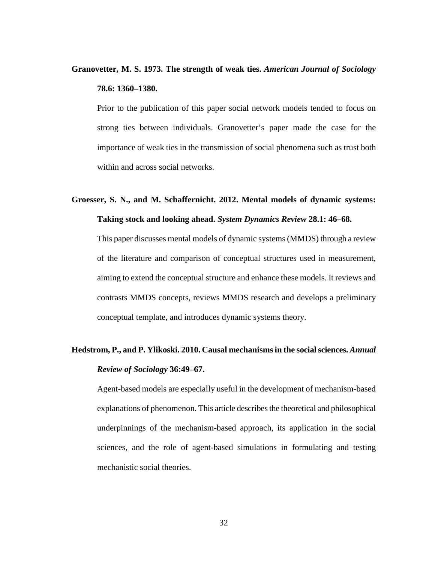### **Granovetter, M. S. 1973. The strength of weak ties.** *American Journal of Sociology* **78.6: 1360–1380.**

Prior to the publication of this paper social network models tended to focus on strong ties between individuals. Granovetter's paper made the case for the importance of weak ties in the transmission of social phenomena such as trust both within and across social networks.

## **Groesser, S. N., and M. Schaffernicht. 2012. Mental models of dynamic systems: Taking stock and looking ahead.** *System Dynamics Review* **28.1: 46–68.**

This paper discusses mental models of dynamic systems (MMDS) through a review of the literature and comparison of conceptual structures used in measurement, aiming to extend the conceptual structure and enhance these models. It reviews and contrasts MMDS concepts, reviews MMDS research and develops a preliminary conceptual template, and introduces dynamic systems theory.

## **Hedstrom, P., and P. Ylikoski. 2010. Causal mechanisms in the social sciences.** *Annual Review of Sociology* **36:49–67.**

Agent-based models are especially useful in the development of mechanism-based explanations of phenomenon. This article describes the theoretical and philosophical underpinnings of the mechanism-based approach, its application in the social sciences, and the role of agent-based simulations in formulating and testing mechanistic social theories.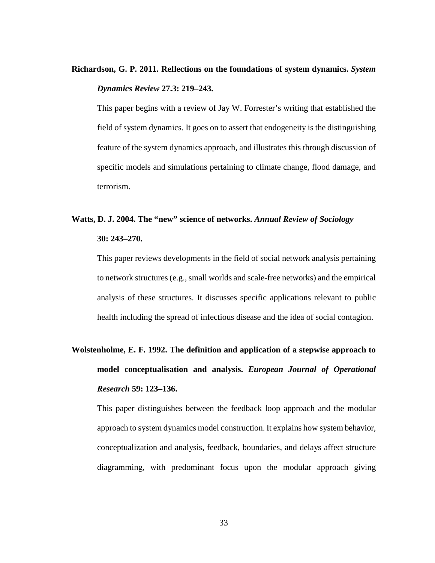### **Richardson, G. P. 2011. Reflections on the foundations of system dynamics.** *System Dynamics Review* **27.3: 219–243.**

This paper begins with a review of Jay W. Forrester's writing that established the field of system dynamics. It goes on to assert that endogeneity is the distinguishing feature of the system dynamics approach, and illustrates this through discussion of specific models and simulations pertaining to climate change, flood damage, and terrorism.

## **Watts, D. J. 2004. The "new" science of networks.** *Annual Review of Sociology* **30: 243–270.**

This paper reviews developments in the field of social network analysis pertaining to network structures (e.g., small worlds and scale-free networks) and the empirical analysis of these structures. It discusses specific applications relevant to public health including the spread of infectious disease and the idea of social contagion.

# **Wolstenholme, E. F. 1992. The definition and application of a stepwise approach to model conceptualisation and analysis.** *European Journal of Operational Research* **59: 123–136.**

This paper distinguishes between the feedback loop approach and the modular approach to system dynamics model construction. It explains how system behavior, conceptualization and analysis, feedback, boundaries, and delays affect structure diagramming, with predominant focus upon the modular approach giving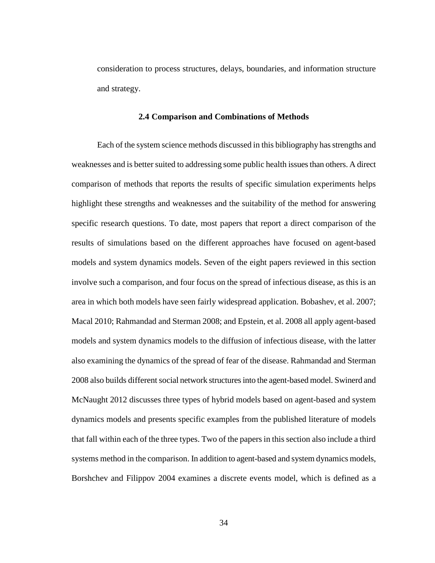consideration to process structures, delays, boundaries, and information structure and strategy.

#### **2.4 Comparison and Combinations of Methods**

Each of the system science methods discussed in this bibliography has strengths and weaknesses and is better suited to addressing some public health issues than others. A direct comparison of methods that reports the results of specific simulation experiments helps highlight these strengths and weaknesses and the suitability of the method for answering specific research questions. To date, most papers that report a direct comparison of the results of simulations based on the different approaches have focused on agent-based models and system dynamics models. Seven of the eight papers reviewed in this section involve such a comparison, and four focus on the spread of infectious disease, as this is an area in which both models have seen fairly widespread application. Bobashev, et al. 2007; Macal 2010; Rahmandad and Sterman 2008; and Epstein, et al. 2008 all apply agent-based models and system dynamics models to the diffusion of infectious disease, with the latter also examining the dynamics of the spread of fear of the disease. Rahmandad and Sterman 2008 also builds different social network structures into the agent-based model. Swinerd and McNaught 2012 discusses three types of hybrid models based on agent-based and system dynamics models and presents specific examples from the published literature of models that fall within each of the three types. Two of the papers in this section also include a third systems method in the comparison. In addition to agent-based and system dynamics models, Borshchev and Filippov 2004 examines a discrete events model, which is defined as a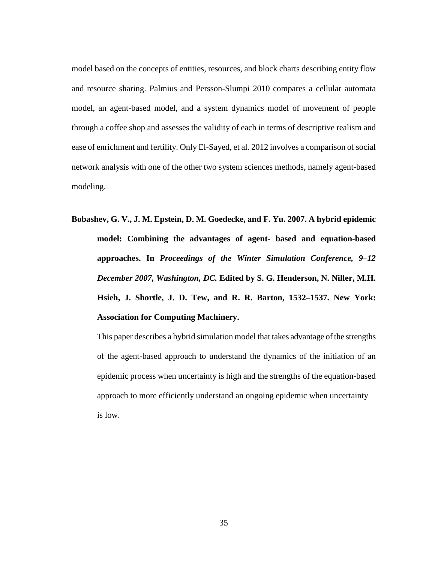model based on the concepts of entities, resources, and block charts describing entity flow and resource sharing. Palmius and Persson-Slumpi 2010 compares a cellular automata model, an agent-based model, and a system dynamics model of movement of people through a coffee shop and assesses the validity of each in terms of descriptive realism and ease of enrichment and fertility. Only El-Sayed, et al. 2012 involves a comparison of social network analysis with one of the other two system sciences methods, namely agent-based modeling.

**Bobashev, G. V., J. M. Epstein, D. M. Goedecke, and F. Yu. 2007. A hybrid epidemic model: Combining the advantages of agent- based and equation-based approaches. In** *Proceedings of the Winter Simulation Conference, 9–12 December 2007, Washington, DC.* **Edited by S. G. Henderson, N. Niller, M.H. Hsieh, J. Shortle, J. D. Tew, and R. R. Barton, 1532–1537. New York: Association for Computing Machinery.**

This paper describes a hybrid simulation model that takes advantage of the strengths of the agent-based approach to understand the dynamics of the initiation of an epidemic process when uncertainty is high and the strengths of the equation-based approach to more efficiently understand an ongoing epidemic when uncertainty is low.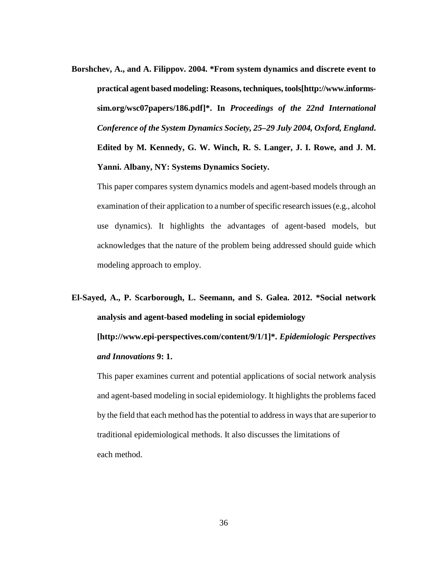**Borshchev, A., and A. Filippov. 2004. \*From system dynamics and discrete event to practical agent based modeling: Reasons, techniques, tools[http://www.informssim.org/wsc07papers/186.pdf]\*. In** *Proceedings of the 22nd International Conference of the System Dynamics Society, 25–29 July 2004, Oxford, England***. Edited by M. Kennedy, G. W. Winch, R. S. Langer, J. I. Rowe, and J. M. Yanni. Albany, NY: Systems Dynamics Society.**

This paper compares system dynamics models and agent-based models through an examination of their application to a number of specific research issues (e.g., alcohol use dynamics). It highlights the advantages of agent-based models, but acknowledges that the nature of the problem being addressed should guide which modeling approach to employ.

**El-Sayed, A., P. Scarborough, L. Seemann, and S. Galea. 2012. \*Social network analysis and agent-based modeling in social epidemiology [http://www.epi-perspectives.com/content/9/1/1]\*.** *Epidemiologic Perspectives and Innovations* **9: 1.**

This paper examines current and potential applications of social network analysis and agent-based modeling in social epidemiology. It highlights the problems faced by the field that each method has the potential to address in ways that are superior to traditional epidemiological methods. It also discusses the limitations of each method.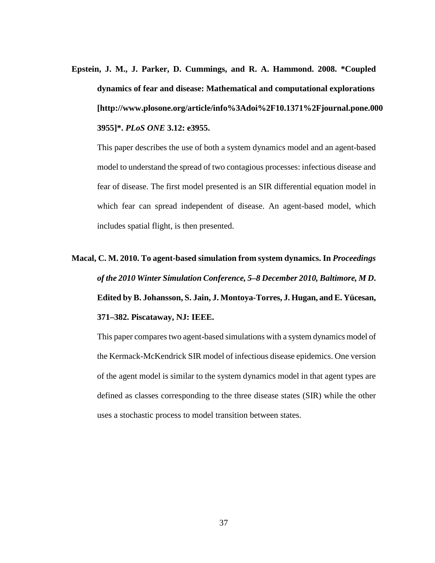**Epstein, J. M., J. Parker, D. Cummings, and R. A. Hammond. 2008. \*Coupled dynamics of fear and disease: Mathematical and computational explorations [http://www.plosone.org/article/info%3Adoi%2F10.1371%2Fjournal.pone.000 3955]\*.** *PLoS ONE* **3.12: e3955.**

This paper describes the use of both a system dynamics model and an agent-based model to understand the spread of two contagious processes: infectious disease and fear of disease. The first model presented is an SIR differential equation model in which fear can spread independent of disease. An agent-based model, which includes spatial flight, is then presented.

# **Macal, C. M. 2010. To agent-based simulation from system dynamics. In** *Proceedings of the 2010 Winter Simulation Conference, 5–8 December 2010, Baltimore, M D***. Edited by B. Johansson, S. Jain, J. Montoya-Torres, J. Hugan, and E. Yücesan, 371–382. Piscataway, NJ: IEEE.**

This paper compares two agent-based simulations with a system dynamics model of the Kermack-McKendrick SIR model of infectious disease epidemics. One version of the agent model is similar to the system dynamics model in that agent types are defined as classes corresponding to the three disease states (SIR) while the other uses a stochastic process to model transition between states.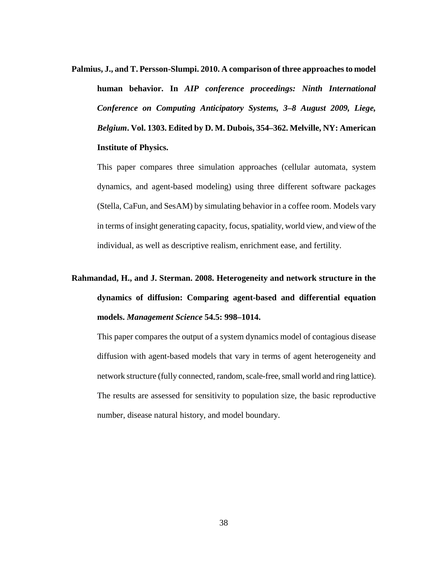**Palmius, J., and T. Persson-Slumpi. 2010. A comparison of three approaches to model human behavior. In** *AIP conference proceedings: Ninth International Conference on Computing Anticipatory Systems, 3–8 August 2009, Liege, Belgium***. Vol. 1303. Edited by D. M. Dubois, 354–362. Melville, NY: American Institute of Physics.**

This paper compares three simulation approaches (cellular automata, system dynamics, and agent-based modeling) using three different software packages (Stella, CaFun, and SesAM) by simulating behavior in a coffee room. Models vary in terms of insight generating capacity, focus, spatiality, world view, and view of the individual, as well as descriptive realism, enrichment ease, and fertility.

# **Rahmandad, H., and J. Sterman. 2008. Heterogeneity and network structure in the dynamics of diffusion: Comparing agent-based and differential equation models.** *Management Science* **54.5: 998–1014.**

This paper compares the output of a system dynamics model of contagious disease diffusion with agent-based models that vary in terms of agent heterogeneity and network structure (fully connected, random, scale-free, small world and ring lattice). The results are assessed for sensitivity to population size, the basic reproductive number, disease natural history, and model boundary.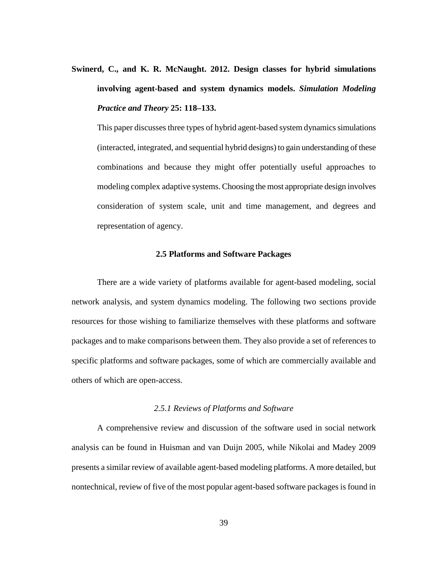**Swinerd, C., and K. R. McNaught. 2012. Design classes for hybrid simulations involving agent-based and system dynamics models.** *Simulation Modeling Practice and Theory* **25: 118–133.**

This paper discusses three types of hybrid agent-based system dynamics simulations (interacted, integrated, and sequential hybrid designs) to gain understanding of these combinations and because they might offer potentially useful approaches to modeling complex adaptive systems. Choosing the most appropriate design involves consideration of system scale, unit and time management, and degrees and representation of agency.

#### **2.5 Platforms and Software Packages**

There are a wide variety of platforms available for agent-based modeling, social network analysis, and system dynamics modeling. The following two sections provide resources for those wishing to familiarize themselves with these platforms and software packages and to make comparisons between them. They also provide a set of references to specific platforms and software packages, some of which are commercially available and others of which are open-access.

#### *2.5.1 Reviews of Platforms and Software*

A comprehensive review and discussion of the software used in social network analysis can be found in Huisman and van Duijn 2005, while Nikolai and Madey 2009 presents a similar review of available agent-based modeling platforms. A more detailed, but nontechnical, review of five of the most popular agent-based software packages is found in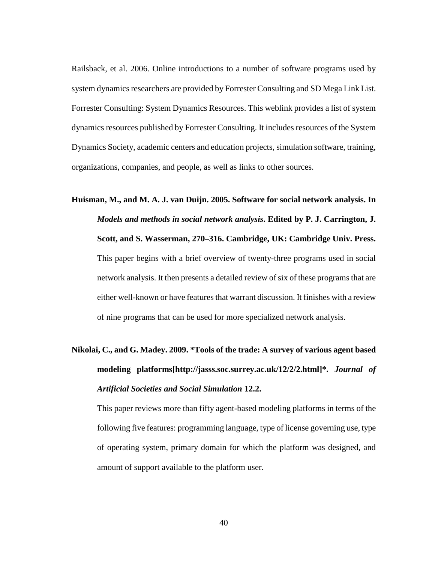Railsback, et al. 2006. Online introductions to a number of software programs used by system dynamics researchers are provided by Forrester Consulting and SD Mega Link List. Forrester Consulting: System Dynamics Resources. This weblink provides a list of system dynamics resources published by Forrester Consulting. It includes resources of the System Dynamics Society, academic centers and education projects, simulation software, training, organizations, companies, and people, as well as links to other sources.

**Huisman, M., and M. A. J. van Duijn. 2005. Software for social network analysis. In**  *Models and methods in social network analysis***. Edited by P. J. Carrington, J. Scott, and S. Wasserman, 270–316. Cambridge, UK: Cambridge Univ. Press.** This paper begins with a brief overview of twenty-three programs used in social network analysis. It then presents a detailed review of six of these programs that are either well-known or have features that warrant discussion. It finishes with a review of nine programs that can be used for more specialized network analysis.

# **Nikolai, C., and G. Madey. 2009. \*Tools of the trade: A survey of various agent based modeling platforms[http://jasss.soc.surrey.ac.uk/12/2/2.html]\*.** *Journal of Artificial Societies and Social Simulation* **12.2.**

This paper reviews more than fifty agent-based modeling platforms in terms of the following five features: programming language, type of license governing use, type of operating system, primary domain for which the platform was designed, and amount of support available to the platform user.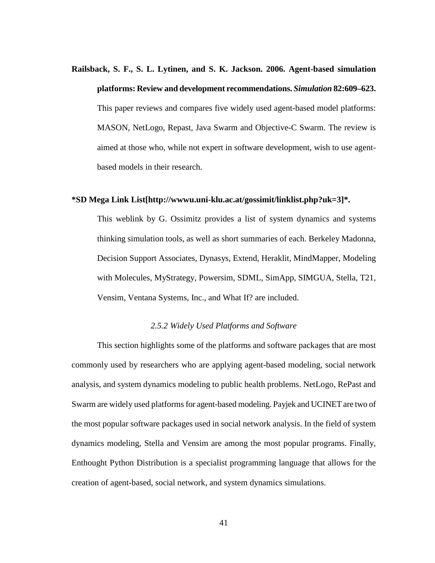**Railsback, S. F., S. L. Lytinen, and S. K. Jackson. 2006. Agent-based simulation platforms: Review and development recommendations.** *Simulation* **82:609–623.** This paper reviews and compares five widely used agent-based model platforms: MASON, NetLogo, Repast, Java Swarm and Objective-C Swarm. The review is aimed at those who, while not expert in software development, wish to use agentbased models in their research.

### **[\\*SD Mega Link List](http://wwwu.uni-klu.ac.at/gossimit/linklist.php?uk=3)[http://wwwu.uni-klu.ac.at/gossimit/linklist.php?uk=3]\*.**

This weblink by G. Ossimitz provides a list of system dynamics and systems thinking simulation tools, as well as short summaries of each. Berkeley Madonna, Decision Support Associates, Dynasys, Extend, Heraklit, MindMapper, Modeling with Molecules, MyStrategy, Powersim, SDML, SimApp, SIMGUA, Stella, T21, Vensim, Ventana Systems, Inc., and What If? are included.

### *2.5.2 Widely Used Platforms and Software*

This section highlights some of the platforms and software packages that are most commonly used by researchers who are applying agent-based modeling, social network analysis, and system dynamics modeling to public health problems. NetLogo, RePast and Swarm are widely used platforms for agent-based modeling. Payjek and UCINET are two of the most popular software packages used in social network analysis. In the field of system dynamics modeling, Stella and Vensim are among the most popular programs. Finally, Enthought Python Distribution is a specialist programming language that allows for the creation of agent-based, social network, and system dynamics simulations.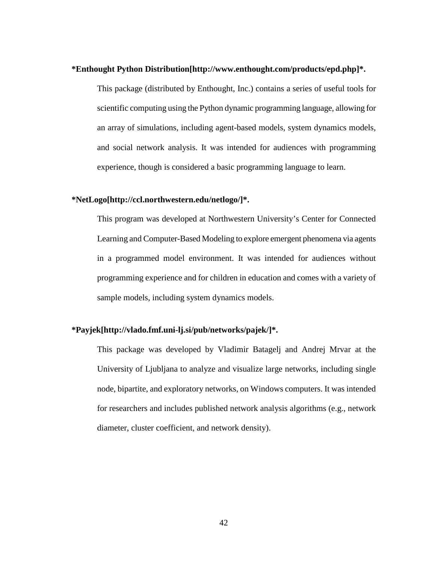#### **[\\*Enthought Python Distribution\[](http://www.enthought.com/products/epd.php)http://www.enthought.com/products/epd.php]\*.**

This package (distributed by Enthought, Inc.) contains a series of useful tools for scientific computing using the Python dynamic programming language, allowing for an array of simulations, including agent-based models, system dynamics models, and social network analysis. It was intended for audiences with programming experience, though is considered a basic programming language to learn.

### **\*NetLogo[http://ccl.northwestern.edu/netlogo/]\*.**

This program was developed at Northwestern University's Center for Connected Learning and Computer-Based Modeling to explore emergent phenomena via agents in a programmed model environment. It was intended for audiences without programming experience and for children in education and comes with a variety of sample models, including system dynamics models.

### **[\\*Payjek\[](http://vlado.fmf.uni-lj.si/pub/networks/pajek/)http://vlado.fmf.uni-lj.si/pub/networks/pajek/]\*.**

This package was developed by Vladimir Batagelj and Andrej Mrvar at the University of Ljubljana to analyze and visualize large networks, including single node, bipartite, and exploratory networks, on Windows computers. It was intended for researchers and includes published network analysis algorithms (e.g., network diameter, cluster coefficient, and network density).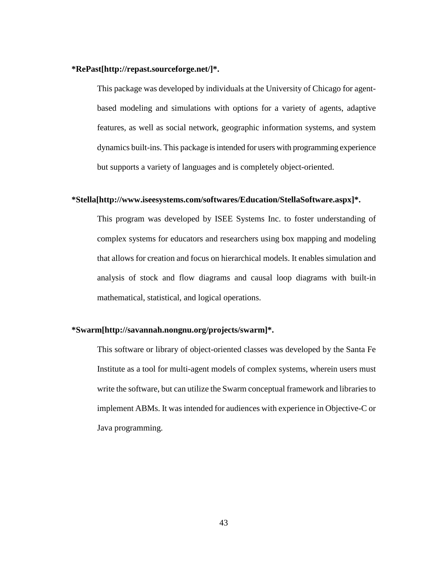#### **[\\*RePast](http://repast.sourceforge.net/)[http://repast.sourceforge.net/]\*.**

This package was developed by individuals at the University of Chicago for agentbased modeling and simulations with options for a variety of agents, adaptive features, as well as social network, geographic information systems, and system dynamics built-ins. This package is intended for users with programming experience but supports a variety of languages and is completely object-oriented.

### **[\\*Stella\[](http://www.iseesystems.com/softwares/Education/StellaSoftware.aspx)http://www.iseesystems.com/softwares/Education/StellaSoftware.aspx]\*.**

This program was developed by ISEE Systems Inc. to foster understanding of complex systems for educators and researchers using box mapping and modeling that allows for creation and focus on hierarchical models. It enables simulation and analysis of stock and flow diagrams and causal loop diagrams with built-in mathematical, statistical, and logical operations.

#### **[\\*Swarm\[](http://savannah.nongnu.org/projects/swarm)http://savannah.nongnu.org/projects/swarm]\*.**

This software or library of object-oriented classes was developed by the Santa Fe Institute as a tool for multi-agent models of complex systems, wherein users must write the software, but can utilize the Swarm conceptual framework and libraries to implement ABMs. It was intended for audiences with experience in Objective-C or Java programming.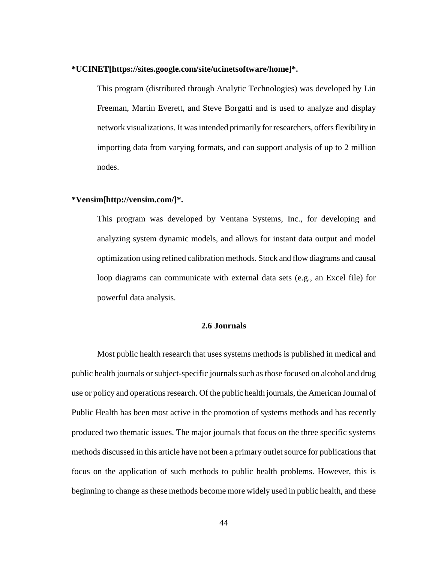#### **\*UCINET[https://sites.google.com/site/ucinetsoftware/home]\*.**

This program (distributed through Analytic Technologies) was developed by Lin Freeman, Martin Everett, and Steve Borgatti and is used to analyze and display network visualizations. It was intended primarily for researchers, offers flexibility in importing data from varying formats, and can support analysis of up to 2 million nodes.

### **[\\*Vensim\[](http://vensim.com/)http://vensim.com/]\*.**

This program was developed by Ventana Systems, Inc., for developing and analyzing system dynamic models, and allows for instant data output and model optimization using refined calibration methods. Stock and flow diagrams and causal loop diagrams can communicate with external data sets (e.g., an Excel file) for powerful data analysis.

### **2.6 Journals**

Most public health research that uses systems methods is published in medical and public health journals or subject-specific journals such as those focused on alcohol and drug use or policy and operations research. Of the public health journals, the American Journal of Public Health has been most active in the promotion of systems methods and has recently produced two thematic issues. The major journals that focus on the three specific systems methods discussed in this article have not been a primary outlet source for publications that focus on the application of such methods to public health problems. However, this is beginning to change as these methods become more widely used in public health, and these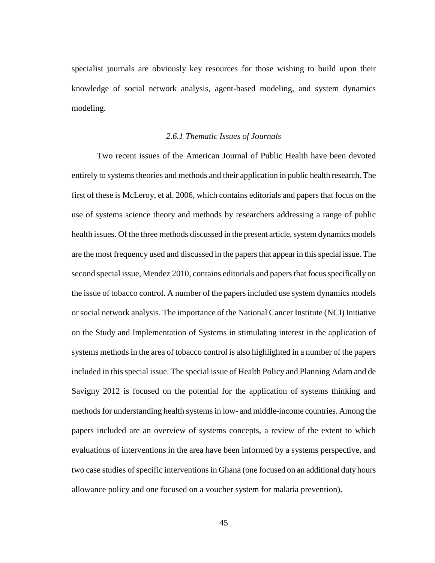specialist journals are obviously key resources for those wishing to build upon their knowledge of social network analysis, agent-based modeling, and system dynamics modeling.

#### *2.6.1 Thematic Issues of Journals*

Two recent issues of the American Journal of Public Health have been devoted entirely to systems theories and methods and their application in public health research. The first of these is McLeroy, et al. 2006, which contains editorials and papers that focus on the use of systems science theory and methods by researchers addressing a range of public health issues. Of the three methods discussed in the present article, system dynamics models are the most frequency used and discussed in the papers that appear in this special issue. The second special issue, Mendez 2010, contains editorials and papers that focus specifically on the issue of tobacco control. A number of the papers included use system dynamics models or social network analysis. The importance of the National Cancer Institute (NCI) Initiative on the Study and Implementation of Systems in stimulating interest in the application of systems methods in the area of tobacco control is also highlighted in a number of the papers included in this special issue. The special issue of Health Policy and Planning Adam and de Savigny 2012 is focused on the potential for the application of systems thinking and methods for understanding health systems in low- and middle-income countries. Among the papers included are an overview of systems concepts, a review of the extent to which evaluations of interventions in the area have been informed by a systems perspective, and two case studies of specific interventions in Ghana (one focused on an additional duty hours allowance policy and one focused on a voucher system for malaria prevention).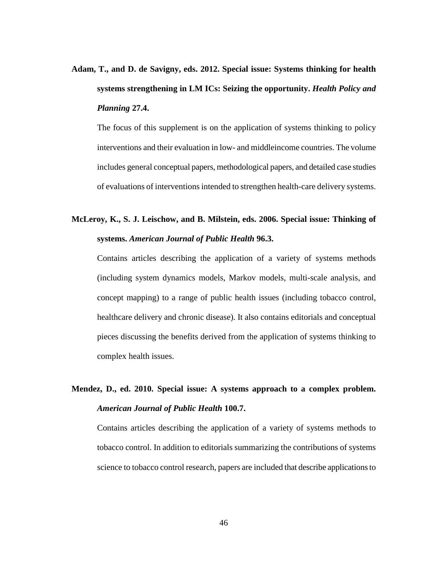**Adam, T., and D. de Savigny, eds. 2012. Special issue: Systems thinking for health systems strengthening in LM ICs: Seizing the opportunity.** *Health Policy and Planning* **27.4.**

The focus of this supplement is on the application of systems thinking to policy interventions and their evaluation in low- and middleincome countries. The volume includes general conceptual papers, methodological papers, and detailed case studies of evaluations of interventions intended to strengthen health-care delivery systems.

## **McLeroy, K., S. J. Leischow, and B. Milstein, eds. 2006. Special issue: Thinking of systems.** *American Journal of Public Health* **96.3.**

Contains articles describing the application of a variety of systems methods (including system dynamics models, Markov models, multi-scale analysis, and concept mapping) to a range of public health issues (including tobacco control, healthcare delivery and chronic disease). It also contains editorials and conceptual pieces discussing the benefits derived from the application of systems thinking to complex health issues.

## **Mendez, D., ed. 2010. Special issue: A systems approach to a complex problem.**  *American Journal of Public Health* **100.7.**

Contains articles describing the application of a variety of systems methods to tobacco control. In addition to editorials summarizing the contributions of systems science to tobacco control research, papers are included that describe applications to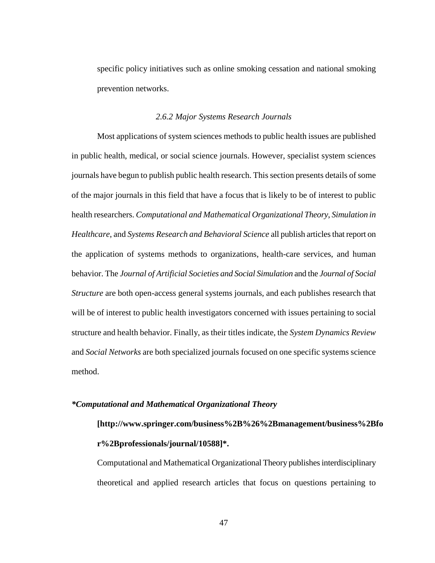specific policy initiatives such as online smoking cessation and national smoking prevention networks.

#### *2.6.2 Major Systems Research Journals*

Most applications of system sciences methods to public health issues are published in public health, medical, or social science journals. However, specialist system sciences journals have begun to publish public health research. This section presents details of some of the major journals in this field that have a focus that is likely to be of interest to public health researchers. *Computational and Mathematical Organizational Theory*, *Simulation in Healthcare*, and *Systems Research and Behavioral Science* all publish articles that report on the application of systems methods to organizations, health-care services, and human behavior. The *Journal of Artificial Societies and Social Simulation* and the *Journal of Social Structure* are both open-access general systems journals, and each publishes research that will be of interest to public health investigators concerned with issues pertaining to social structure and health behavior. Finally, as their titles indicate, the *System Dynamics Review*  and *Social Networks* are both specialized journals focused on one specific systems science method.

#### *\*Computational and Mathematical Organizational Theory*

## **[http://www.springer.com/business%2B%26%2Bmanagement/business%2Bfo r%2Bprofessionals/journal/10588]\*.**

Computational and Mathematical Organizational Theory publishes interdisciplinary theoretical and applied research articles that focus on questions pertaining to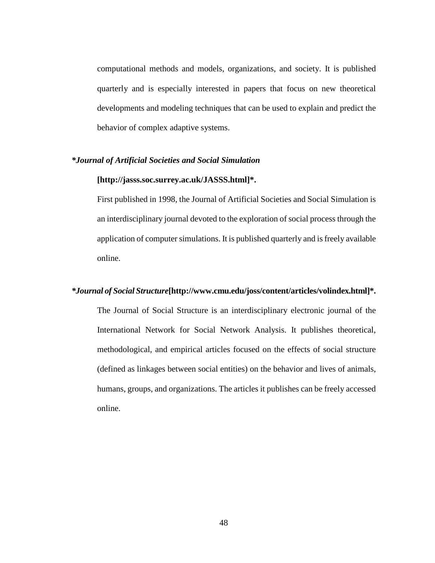computational methods and models, organizations, and society. It is published quarterly and is especially interested in papers that focus on new theoretical developments and modeling techniques that can be used to explain and predict the behavior of complex adaptive systems.

### *\*Journal of Artificial Societies and Social Simulation*

### **[http://jasss.soc.surrey.ac.uk/JASSS.html]\*.**

First published in 1998, the Journal of Artificial Societies and Social Simulation is an interdisciplinary journal devoted to the exploration of social process through the application of computer simulations. It is published quarterly and is freely available online.

#### *\*Journal of Social Structure***[http://www.cmu.edu/joss/content/articles/volindex.html]\*.**

The Journal of Social Structure is an interdisciplinary electronic journal of the International Network for Social Network Analysis. It publishes theoretical, methodological, and empirical articles focused on the effects of social structure (defined as linkages between social entities) on the behavior and lives of animals, humans, groups, and organizations. The articles it publishes can be freely accessed online.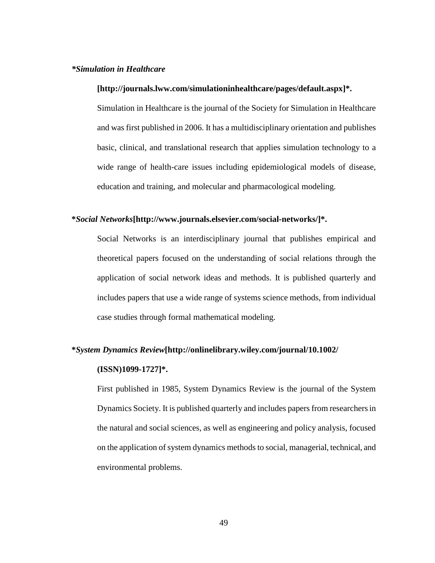#### *[\\*Simulation in Healthcare](http://journals.lww.com/simulationinhealthcare/pages/default.aspx)*

#### **[http://journals.lww.com/simulationinhealthcare/pages/default.aspx]\*.**

Simulation in Healthcare is the journal of the Society for Simulation in Healthcare and was first published in 2006. It has a multidisciplinary orientation and publishes basic, clinical, and translational research that applies simulation technology to a wide range of health-care issues including epidemiological models of disease, education and training, and molecular and pharmacological modeling.

#### **\****Social Networks***[http://www.journals.elsevier.com/social-networks/]\*.**

Social Networks is an interdisciplinary journal that publishes empirical and theoretical papers focused on the understanding of social relations through the application of social network ideas and methods. It is published quarterly and includes papers that use a wide range of systems science methods, from individual case studies through formal mathematical modeling.

#### **\****[System Dynamics Review](http://onlinelibrary.wiley.com/journal/10.1002/(ISSN)1099-1727)***[http://onlinelibrary.wiley.com/journal/10.1002/**

### **(ISSN)1099-1727]\*.**

First published in 1985, System Dynamics Review is the journal of the System Dynamics Society. It is published quarterly and includes papers from researchers in the natural and social sciences, as well as engineering and policy analysis, focused on the application of system dynamics methods to social, managerial, technical, and environmental problems.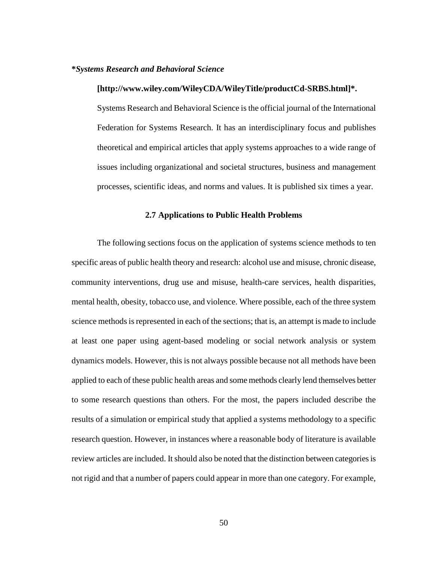#### **\****Systems Research and Behavioral Science*

#### **[http://www.wiley.com/WileyCDA/WileyTitle/productCd-SRBS.html]\*.**

Systems Research and Behavioral Science is the official journal of the International Federation for Systems Research. It has an interdisciplinary focus and publishes theoretical and empirical articles that apply systems approaches to a wide range of issues including organizational and societal structures, business and management processes, scientific ideas, and norms and values. It is published six times a year.

#### **2.7 Applications to Public Health Problems**

The following sections focus on the application of systems science methods to ten specific areas of public health theory and research: alcohol use and misuse, chronic disease, community interventions, drug use and misuse, health-care services, health disparities, mental health, obesity, tobacco use, and violence. Where possible, each of the three system science methods is represented in each of the sections; that is, an attempt is made to include at least one paper using agent-based modeling or social network analysis or system dynamics models. However, this is not always possible because not all methods have been applied to each of these public health areas and some methods clearly lend themselves better to some research questions than others. For the most, the papers included describe the results of a simulation or empirical study that applied a systems methodology to a specific research question. However, in instances where a reasonable body of literature is available review articles are included. It should also be noted that the distinction between categories is not rigid and that a number of papers could appear in more than one category. For example,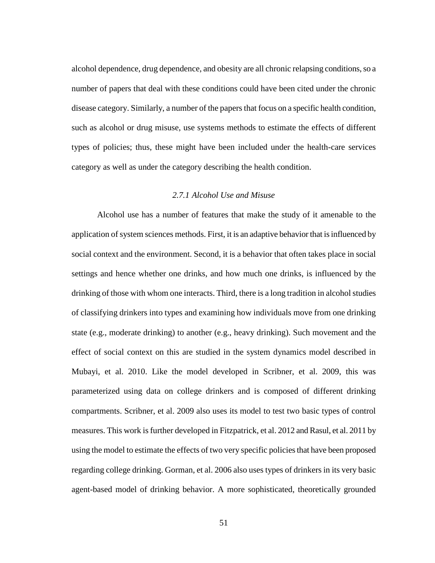alcohol dependence, drug dependence, and obesity are all chronic relapsing conditions, so a number of papers that deal with these conditions could have been cited under the chronic disease category. Similarly, a number of the papers that focus on a specific health condition, such as alcohol or drug misuse, use systems methods to estimate the effects of different types of policies; thus, these might have been included under the health-care services category as well as under the category describing the health condition.

### *2.7.1 Alcohol Use and Misuse*

Alcohol use has a number of features that make the study of it amenable to the application of system sciences methods. First, it is an adaptive behavior that is influenced by social context and the environment. Second, it is a behavior that often takes place in social settings and hence whether one drinks, and how much one drinks, is influenced by the drinking of those with whom one interacts. Third, there is a long tradition in alcohol studies of classifying drinkers into types and examining how individuals move from one drinking state (e.g., moderate drinking) to another (e.g., heavy drinking). Such movement and the effect of social context on this are studied in the system dynamics model described in Mubayi, et al. 2010. Like the model developed in Scribner, et al. 2009, this was parameterized using data on college drinkers and is composed of different drinking compartments. Scribner, et al. 2009 also uses its model to test two basic types of control measures. This work is further developed in Fitzpatrick, et al. 2012 and Rasul, et al. 2011 by using the model to estimate the effects of two very specific policies that have been proposed regarding college drinking. Gorman, et al. 2006 also uses types of drinkers in its very basic agent-based model of drinking behavior. A more sophisticated, theoretically grounded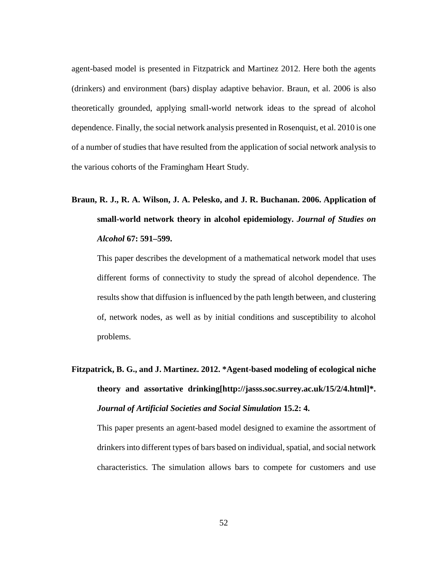agent-based model is presented in Fitzpatrick and Martinez 2012. Here both the agents (drinkers) and environment (bars) display adaptive behavior. Braun, et al. 2006 is also theoretically grounded, applying small-world network ideas to the spread of alcohol dependence. Finally, the social network analysis presented in Rosenquist, et al. 2010 is one of a number of studies that have resulted from the application of social network analysis to the various cohorts of the Framingham Heart Study.

**Braun, R. J., R. A. Wilson, J. A. Pelesko, and J. R. Buchanan. 2006. Application of small-world network theory in alcohol epidemiology.** *Journal of Studies on Alcohol* **67: 591–599.**

This paper describes the development of a mathematical network model that uses different forms of connectivity to study the spread of alcohol dependence. The results show that diffusion is influenced by the path length between, and clustering of, network nodes, as well as by initial conditions and susceptibility to alcohol problems.

**Fitzpatrick, B. G., and J. Martinez. 2012. [\\*Agent-based modeling of ecological niche](http://jasss.soc.surrey.ac.uk/15/2/4.html)  [theory and assortative drinking\[](http://jasss.soc.surrey.ac.uk/15/2/4.html)http://jasss.soc.surrey.ac.uk/15/2/4.html]\*.**  *Journal of Artificial Societies and Social Simulation* **15.2: 4.**

This paper presents an agent-based model designed to examine the assortment of drinkers into different types of bars based on individual, spatial, and social network characteristics. The simulation allows bars to compete for customers and use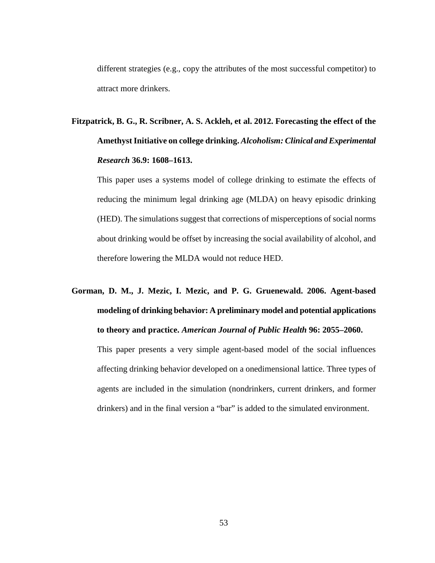different strategies (e.g., copy the attributes of the most successful competitor) to attract more drinkers.

# **Fitzpatrick, B. G., R. Scribner, A. S. Ackleh, et al. 2012. Forecasting the effect of the Amethyst Initiative on college drinking.** *Alcoholism: Clinical and Experimental Research* **36.9: 1608–1613.**

This paper uses a systems model of college drinking to estimate the effects of reducing the minimum legal drinking age (MLDA) on heavy episodic drinking (HED). The simulations suggest that corrections of misperceptions of social norms about drinking would be offset by increasing the social availability of alcohol, and therefore lowering the MLDA would not reduce HED.

# **Gorman, D. M., J. Mezic, I. Mezic, and P. G. Gruenewald. 2006. Agent-based modeling of drinking behavior: A preliminary model and potential applications to theory and practice.** *American Journal of Public Health* **96: 2055–2060.**

This paper presents a very simple agent-based model of the social influences affecting drinking behavior developed on a onedimensional lattice. Three types of agents are included in the simulation (nondrinkers, current drinkers, and former drinkers) and in the final version a "bar" is added to the simulated environment.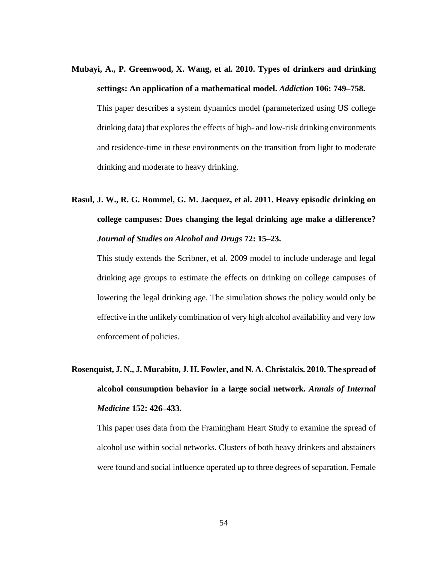**Mubayi, A., P. Greenwood, X. Wang, et al. 2010. Types of drinkers and drinking settings: An application of a mathematical model.** *Addiction* **106: 749–758.**

This paper describes a system dynamics model (parameterized using US college drinking data) that explores the effects of high- and low-risk drinking environments and residence-time in these environments on the transition from light to moderate drinking and moderate to heavy drinking.

**Rasul, J. W., R. G. Rommel, G. M. Jacquez, et al. 2011. Heavy episodic drinking on college campuses: Does changing the legal drinking age make a difference?** *Journal of Studies on Alcohol and Drugs* **72: 15–23.**

This study extends the Scribner, et al. 2009 model to include underage and legal drinking age groups to estimate the effects on drinking on college campuses of lowering the legal drinking age. The simulation shows the policy would only be effective in the unlikely combination of very high alcohol availability and very low enforcement of policies.

# **Rosenquist, J. N., J. Murabito, J. H. Fowler, and N. A. Christakis. 2010. The spread of alcohol consumption behavior in a large social network.** *Annals of Internal Medicine* **152: 426–433.**

This paper uses data from the Framingham Heart Study to examine the spread of alcohol use within social networks. Clusters of both heavy drinkers and abstainers were found and social influence operated up to three degrees of separation. Female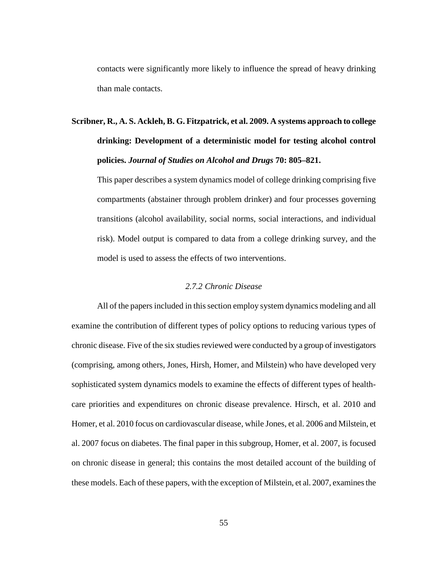contacts were significantly more likely to influence the spread of heavy drinking than male contacts.

# **Scribner, R., A. S. Ackleh, B. G. Fitzpatrick, et al. 2009. A systems approach to college drinking: Development of a deterministic model for testing alcohol control policies.** *Journal of Studies on Alcohol and Drugs* **70: 805–821.**

This paper describes a system dynamics model of college drinking comprising five compartments (abstainer through problem drinker) and four processes governing transitions (alcohol availability, social norms, social interactions, and individual risk). Model output is compared to data from a college drinking survey, and the model is used to assess the effects of two interventions.

### *2.7.2 Chronic Disease*

All of the papers included in this section employ system dynamics modeling and all examine the contribution of different types of policy options to reducing various types of chronic disease. Five of the six studies reviewed were conducted by a group of investigators (comprising, among others, Jones, Hirsh, Homer, and Milstein) who have developed very sophisticated system dynamics models to examine the effects of different types of healthcare priorities and expenditures on chronic disease prevalence. Hirsch, et al. 2010 and Homer, et al. 2010 focus on cardiovascular disease, while Jones, et al. 2006 and Milstein, et al. 2007 focus on diabetes. The final paper in this subgroup, Homer, et al. 2007, is focused on chronic disease in general; this contains the most detailed account of the building of these models. Each of these papers, with the exception of Milstein, et al. 2007, examines the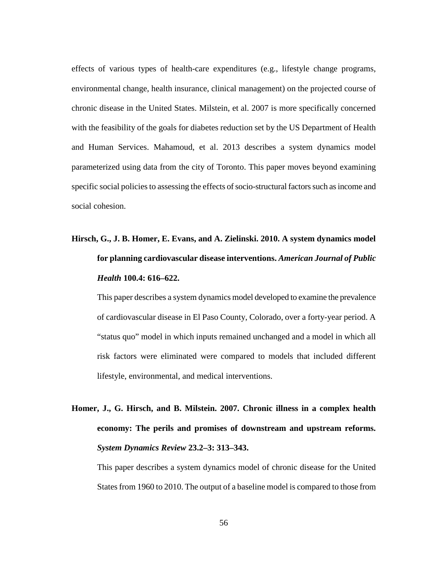effects of various types of health-care expenditures (e.g., lifestyle change programs, environmental change, health insurance, clinical management) on the projected course of chronic disease in the United States. Milstein, et al. 2007 is more specifically concerned with the feasibility of the goals for diabetes reduction set by the US Department of Health and Human Services. Mahamoud, et al. 2013 describes a system dynamics model parameterized using data from the city of Toronto. This paper moves beyond examining specific social policies to assessing the effects of socio-structural factors such as income and social cohesion.

# **Hirsch, G., J. B. Homer, E. Evans, and A. Zielinski. 2010. A system dynamics model for planning cardiovascular disease interventions.** *American Journal of Public Health* **100.4: 616–622.**

This paper describes a system dynamics model developed to examine the prevalence of cardiovascular disease in El Paso County, Colorado, over a forty-year period. A "status quo" model in which inputs remained unchanged and a model in which all risk factors were eliminated were compared to models that included different lifestyle, environmental, and medical interventions.

# **Homer, J., G. Hirsch, and B. Milstein. 2007. Chronic illness in a complex health economy: The perils and promises of downstream and upstream reforms.**  *System Dynamics Review* **23.2–3: 313–343.**

This paper describes a system dynamics model of chronic disease for the United States from 1960 to 2010. The output of a baseline model is compared to those from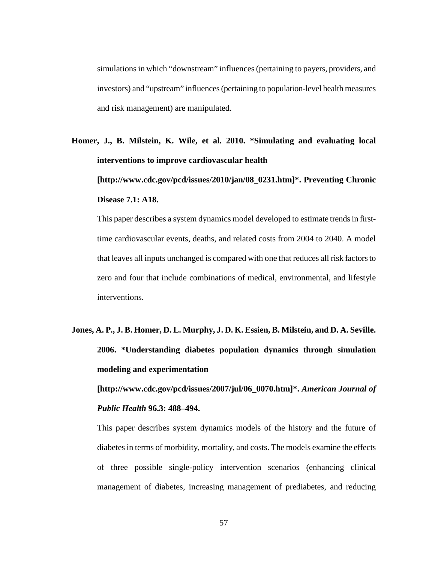simulations in which "downstream" influences (pertaining to payers, providers, and investors) and "upstream" influences (pertaining to population-level health measures and risk management) are manipulated.

# **Homer, J., B. Milstein, K. Wile, et al. 2010. [\\*Simulating and evaluating local](http://www.cdc.gov/pcd/issues/2010/jan/pdf/08_0231.pdf)  [interventions to improve cardiovascular health](http://www.cdc.gov/pcd/issues/2010/jan/pdf/08_0231.pdf) [http://www.cdc.gov/pcd/issues/2010/jan/08\_0231.htm]\*. Preventing Chronic Disease 7.1: A18.**

This paper describes a system dynamics model developed to estimate trends in firsttime cardiovascular events, deaths, and related costs from 2004 to 2040. A model that leaves all inputs unchanged is compared with one that reduces all risk factors to zero and four that include combinations of medical, environmental, and lifestyle interventions.

# **Jones, A. P., J. B. Homer, D. L. Murphy, J. D. K. Essien, B. Milstein, and D. A. Seville. 2006. \*Understanding diabetes population dynamics through simulation modeling and experimentation**

**[http://www.cdc.gov/pcd/issues/2007/jul/06\_0070.htm]\*.** *American Journal of Public Health* **96.3: 488–494.**

This paper describes system dynamics models of the history and the future of diabetes in terms of morbidity, mortality, and costs. The models examine the effects of three possible single-policy intervention scenarios (enhancing clinical management of diabetes, increasing management of prediabetes, and reducing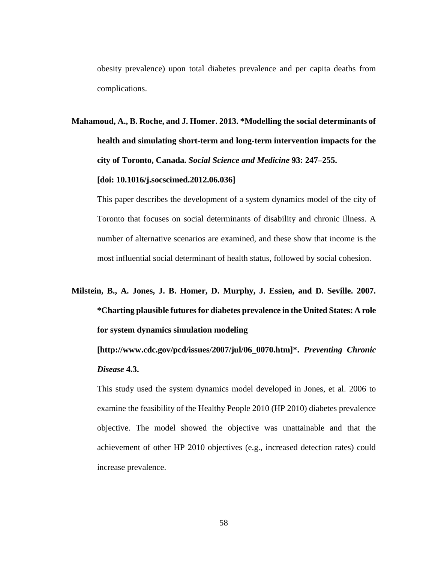obesity prevalence) upon total diabetes prevalence and per capita deaths from complications.

**Mahamoud, A., B. Roche, and J. Homer. 2013. \*Modelling the social determinants of health and simulating short-term and long-term intervention impacts for the city of Toronto, Canada.** *Social Science and Medicine* **93: 247–255.** 

**[doi: 10.1016/j.socscimed.2012.06.036]**

This paper describes the development of a system dynamics model of the city of Toronto that focuses on social determinants of disability and chronic illness. A number of alternative scenarios are examined, and these show that income is the most influential social determinant of health status, followed by social cohesion.

**Milstein, B., A. Jones, J. B. Homer, D. Murphy, J. Essien, and D. Seville. 2007. \*Charting plausible futures for diabetes prevalence in the United States: A role for system dynamics simulation modeling** 

**[http://www.cdc.gov/pcd/issues/2007/jul/06\_0070.htm]\*.** *Preventing Chronic Disease* **4.3.**

This study used the system dynamics model developed in Jones, et al. 2006 to examine the feasibility of the Healthy People 2010 (HP 2010) diabetes prevalence objective. The model showed the objective was unattainable and that the achievement of other HP 2010 objectives (e.g., increased detection rates) could increase prevalence.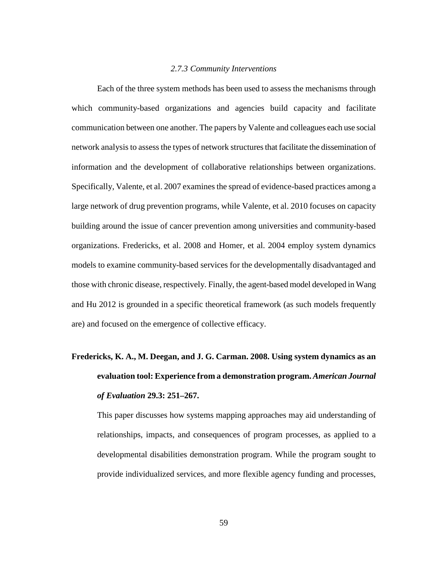#### *2.7.3 Community Interventions*

Each of the three system methods has been used to assess the mechanisms through which community-based organizations and agencies build capacity and facilitate communication between one another. The papers by Valente and colleagues each use social network analysis to assess the types of network structures that facilitate the dissemination of information and the development of collaborative relationships between organizations. Specifically, Valente, et al. 2007 examines the spread of evidence-based practices among a large network of drug prevention programs, while Valente, et al. 2010 focuses on capacity building around the issue of cancer prevention among universities and community-based organizations. Fredericks, et al. 2008 and Homer, et al. 2004 employ system dynamics models to examine community-based services for the developmentally disadvantaged and those with chronic disease, respectively. Finally, the agent-based model developed in Wang and Hu 2012 is grounded in a specific theoretical framework (as such models frequently are) and focused on the emergence of collective efficacy.

# **Fredericks, K. A., M. Deegan, and J. G. Carman. 2008. Using system dynamics as an evaluation tool: Experience from a demonstration program.** *American Journal of Evaluation* **29.3: 251–267.**

This paper discusses how systems mapping approaches may aid understanding of relationships, impacts, and consequences of program processes, as applied to a developmental disabilities demonstration program. While the program sought to provide individualized services, and more flexible agency funding and processes,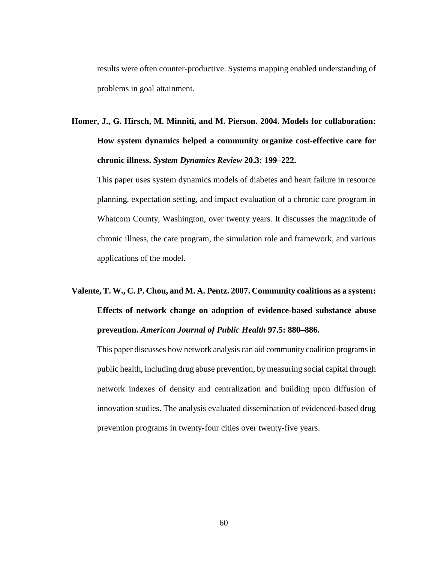results were often counter-productive. Systems mapping enabled understanding of problems in goal attainment.

**Homer, J., G. Hirsch, M. Minniti, and M. Pierson. 2004. Models for collaboration: How system dynamics helped a community organize cost-effective care for chronic illness.** *System Dynamics Review* **20.3: 199–222.**

This paper uses system dynamics models of diabetes and heart failure in resource planning, expectation setting, and impact evaluation of a chronic care program in Whatcom County, Washington, over twenty years. It discusses the magnitude of chronic illness, the care program, the simulation role and framework, and various applications of the model.

# **Valente, T. W., C. P. Chou, and M. A. Pentz. 2007. Community coalitions as a system: Effects of network change on adoption of evidence-based substance abuse prevention.** *American Journal of Public Health* **97.5: 880–886.**

This paper discusses how network analysis can aid community coalition programs in public health, including drug abuse prevention, by measuring social capital through network indexes of density and centralization and building upon diffusion of innovation studies. The analysis evaluated dissemination of evidenced-based drug prevention programs in twenty-four cities over twenty-five years.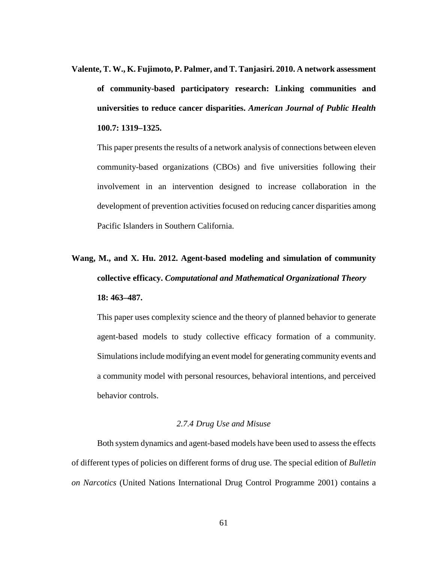**Valente, T. W., K. Fujimoto, P. Palmer, and T. Tanjasiri. 2010. A network assessment of community-based participatory research: Linking communities and universities to reduce cancer disparities.** *American Journal of Public Health* **100.7: 1319–1325.**

This paper presents the results of a network analysis of connections between eleven community-based organizations (CBOs) and five universities following their involvement in an intervention designed to increase collaboration in the development of prevention activities focused on reducing cancer disparities among Pacific Islanders in Southern California.

# **Wang, M., and X. Hu. 2012. Agent-based modeling and simulation of community collective efficacy.** *Computational and Mathematical Organizational Theory* **18: 463–487.**

This paper uses complexity science and the theory of planned behavior to generate agent-based models to study collective efficacy formation of a community. Simulations include modifying an event model for generating community events and a community model with personal resources, behavioral intentions, and perceived behavior controls.

### *2.7.4 Drug Use and Misuse*

Both system dynamics and agent-based models have been used to assess the effects of different types of policies on different forms of drug use. The special edition of *Bulletin on Narcotics* (United Nations International Drug Control Programme 2001) contains a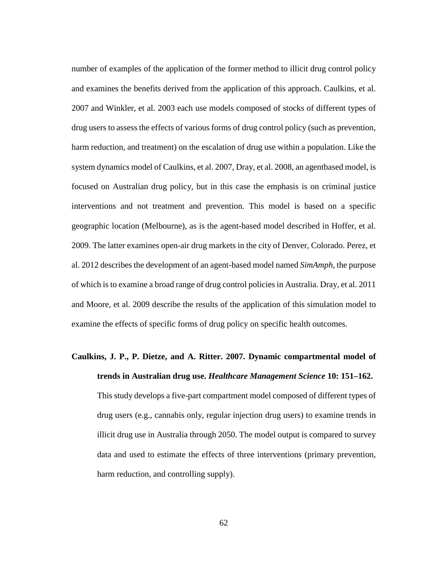number of examples of the application of the former method to illicit drug control policy and examines the benefits derived from the application of this approach. Caulkins, et al. 2007 and Winkler, et al. 2003 each use models composed of stocks of different types of drug users to assess the effects of various forms of drug control policy (such as prevention, harm reduction, and treatment) on the escalation of drug use within a population. Like the system dynamics model of Caulkins, et al. 2007, Dray, et al. 2008, an agentbased model, is focused on Australian drug policy, but in this case the emphasis is on criminal justice interventions and not treatment and prevention. This model is based on a specific geographic location (Melbourne), as is the agent-based model described in Hoffer, et al. 2009. The latter examines open-air drug markets in the city of Denver, Colorado. Perez, et al. 2012 describes the development of an agent-based model named *SimAmph*, the purpose of which is to examine a broad range of drug control policies in Australia. Dray, et al. 2011 and Moore, et al. 2009 describe the results of the application of this simulation model to examine the effects of specific forms of drug policy on specific health outcomes.

### **Caulkins, J. P., P. Dietze, and A. Ritter. 2007. Dynamic compartmental model of trends in Australian drug use.** *Healthcare Management Science* **10: 151–162.**

This study develops a five-part compartment model composed of different types of drug users (e.g., cannabis only, regular injection drug users) to examine trends in illicit drug use in Australia through 2050. The model output is compared to survey data and used to estimate the effects of three interventions (primary prevention, harm reduction, and controlling supply).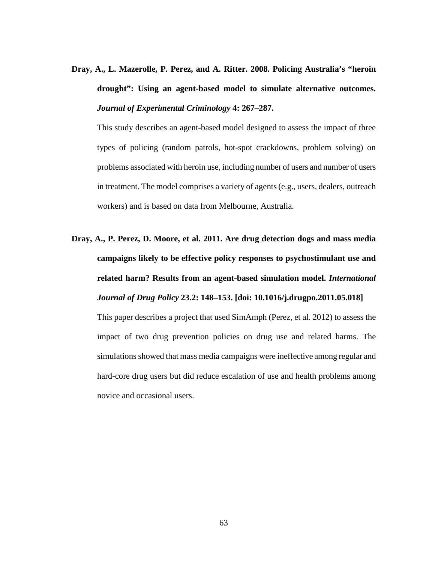**Dray, A., L. Mazerolle, P. Perez, and A. Ritter. 2008. Policing Australia's "heroin drought": Using an agent-based model to simulate alternative outcomes.**  *Journal of Experimental Criminology* **4: 267–287.**

This study describes an agent-based model designed to assess the impact of three types of policing (random patrols, hot-spot crackdowns, problem solving) on problems associated with heroin use, including number of users and number of users in treatment. The model comprises a variety of agents (e.g., users, dealers, outreach workers) and is based on data from Melbourne, Australia.

**Dray, A., P. Perez, D. Moore, et al. 2011. Are drug detection dogs and mass media campaigns likely to be effective policy responses to psychostimulant use and related harm? Results from an agent-based simulation model.** *International Journal of Drug Policy* **23.2: 148–153. [doi: 10.1016/j.drugpo.2011.05.018]**

This paper describes a project that used SimAmph (Perez, et al. 2012) to assess the impact of two drug prevention policies on drug use and related harms. The simulations showed that mass media campaigns were ineffective among regular and hard-core drug users but did reduce escalation of use and health problems among novice and occasional users.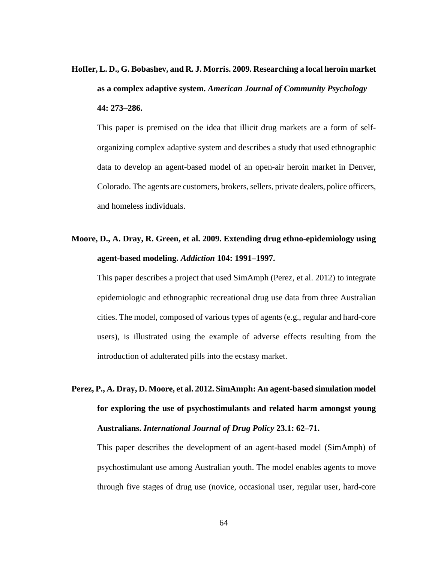## **Hoffer, L. D., G. Bobashev, and R. J. Morris. 2009. Researching a local heroin market as a complex adaptive system.** *American Journal of Community Psychology* **44: 273–286.**

This paper is premised on the idea that illicit drug markets are a form of selforganizing complex adaptive system and describes a study that used ethnographic data to develop an agent-based model of an open-air heroin market in Denver, Colorado. The agents are customers, brokers, sellers, private dealers, police officers, and homeless individuals.

### **Moore, D., A. Dray, R. Green, et al. 2009. Extending drug ethno-epidemiology using agent-based modeling.** *Addiction* **104: 1991–1997.**

This paper describes a project that used SimAmph (Perez, et al. 2012) to integrate epidemiologic and ethnographic recreational drug use data from three Australian cities. The model, composed of various types of agents (e.g., regular and hard-core users), is illustrated using the example of adverse effects resulting from the introduction of adulterated pills into the ecstasy market.

# **Perez, P., A. Dray, D. Moore, et al. 2012. SimAmph: An agent-based simulation model for exploring the use of psychostimulants and related harm amongst young Australians.** *International Journal of Drug Policy* **23.1: 62–71.**

This paper describes the development of an agent-based model (SimAmph) of psychostimulant use among Australian youth. The model enables agents to move through five stages of drug use (novice, occasional user, regular user, hard-core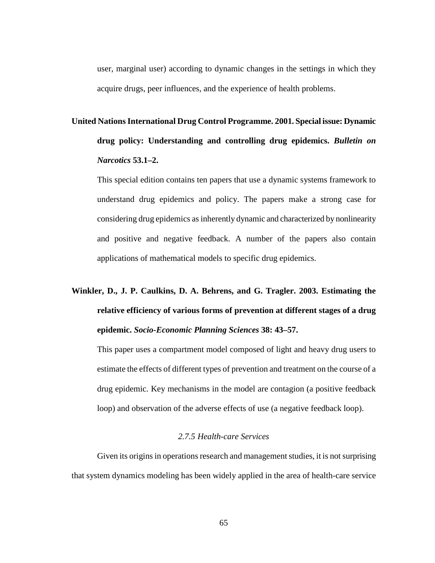user, marginal user) according to dynamic changes in the settings in which they acquire drugs, peer influences, and the experience of health problems.

# **United Nations International Drug Control Programme. 2001. Special issue: Dynamic drug policy: Understanding and controlling drug epidemics.** *Bulletin on Narcotics* **53.1–2.**

This special edition contains ten papers that use a dynamic systems framework to understand drug epidemics and policy. The papers make a strong case for considering drug epidemics as inherently dynamic and characterized by nonlinearity and positive and negative feedback. A number of the papers also contain applications of mathematical models to specific drug epidemics.

# **Winkler, D., J. P. Caulkins, D. A. Behrens, and G. Tragler. 2003. Estimating the relative efficiency of various forms of prevention at different stages of a drug epidemic.** *Socio-Economic Planning Sciences* **38: 43–57.**

This paper uses a compartment model composed of light and heavy drug users to estimate the effects of different types of prevention and treatment on the course of a drug epidemic. Key mechanisms in the model are contagion (a positive feedback loop) and observation of the adverse effects of use (a negative feedback loop).

### *2.7.5 Health-care Services*

Given its origins in operations research and management studies, it is not surprising that system dynamics modeling has been widely applied in the area of health-care service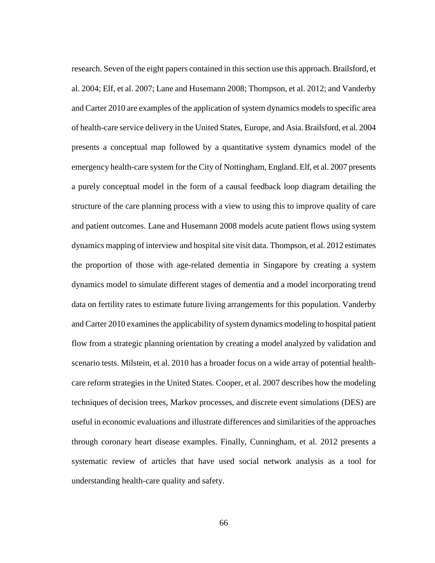research. Seven of the eight papers contained in this section use this approach. Brailsford, et al. 2004; Elf, et al. 2007; Lane and Husemann 2008; Thompson, et al. 2012; and Vanderby and Carter 2010 are examples of the application of system dynamics models to specific area of health-care service delivery in the United States, Europe, and Asia. Brailsford, et al. 2004 presents a conceptual map followed by a quantitative system dynamics model of the emergency health-care system for the City of Nottingham, England. Elf, et al. 2007 presents a purely conceptual model in the form of a causal feedback loop diagram detailing the structure of the care planning process with a view to using this to improve quality of care and patient outcomes. Lane and Husemann 2008 models acute patient flows using system dynamics mapping of interview and hospital site visit data. Thompson, et al. 2012 estimates the proportion of those with age-related dementia in Singapore by creating a system dynamics model to simulate different stages of dementia and a model incorporating trend data on fertility rates to estimate future living arrangements for this population. Vanderby and Carter 2010 examines the applicability of system dynamics modeling to hospital patient flow from a strategic planning orientation by creating a model analyzed by validation and scenario tests. Milstein, et al. 2010 has a broader focus on a wide array of potential healthcare reform strategies in the United States. Cooper, et al. 2007 describes how the modeling techniques of decision trees, Markov processes, and discrete event simulations (DES) are useful in economic evaluations and illustrate differences and similarities of the approaches through coronary heart disease examples. Finally, Cunningham, et al. 2012 presents a systematic review of articles that have used social network analysis as a tool for understanding health-care quality and safety.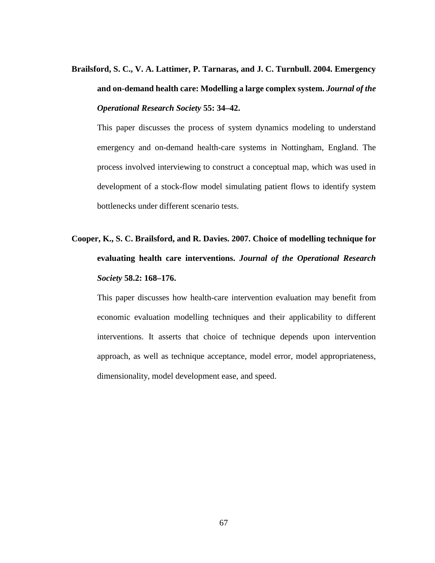**Brailsford, S. C., V. A. Lattimer, P. Tarnaras, and J. C. Turnbull. 2004. Emergency and on-demand health care: Modelling a large complex system.** *Journal of the Operational Research Society* **55: 34–42.**

This paper discusses the process of system dynamics modeling to understand emergency and on-demand health-care systems in Nottingham, England. The process involved interviewing to construct a conceptual map, which was used in development of a stock-flow model simulating patient flows to identify system bottlenecks under different scenario tests.

### **Cooper, K., S. C. Brailsford, and R. Davies. 2007. Choice of modelling technique for evaluating health care interventions.** *Journal of the Operational Research Society* **58.2: 168–176.**

This paper discusses how health-care intervention evaluation may benefit from economic evaluation modelling techniques and their applicability to different interventions. It asserts that choice of technique depends upon intervention approach, as well as technique acceptance, model error, model appropriateness, dimensionality, model development ease, and speed.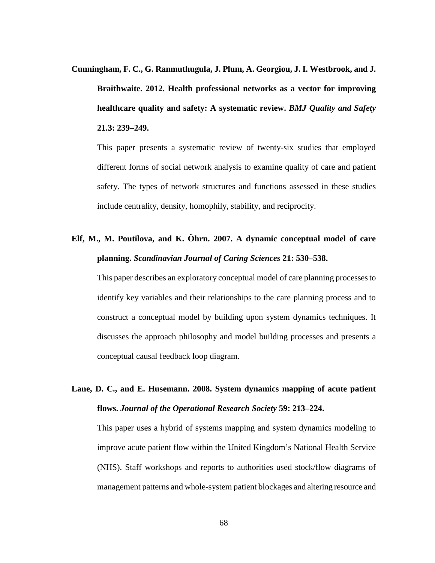**Cunningham, F. C., G. Ranmuthugula, J. Plum, A. Georgiou, J. I. Westbrook, and J. Braithwaite. 2012. Health professional networks as a vector for improving healthcare quality and safety: A systematic review.** *BMJ Quality and Safety* **21.3: 239–249.**

This paper presents a systematic review of twenty-six studies that employed different forms of social network analysis to examine quality of care and patient safety. The types of network structures and functions assessed in these studies include centrality, density, homophily, stability, and reciprocity.

### **Elf, M., M. Poutilova, and K. Öhrn. 2007. A dynamic conceptual model of care planning.** *Scandinavian Journal of Caring Sciences* **21: 530–538.**

This paper describes an exploratory conceptual model of care planning processes to identify key variables and their relationships to the care planning process and to construct a conceptual model by building upon system dynamics techniques. It discusses the approach philosophy and model building processes and presents a conceptual causal feedback loop diagram.

### **Lane, D. C., and E. Husemann. 2008. System dynamics mapping of acute patient flows.** *Journal of the Operational Research Society* **59: 213–224.**

This paper uses a hybrid of systems mapping and system dynamics modeling to improve acute patient flow within the United Kingdom's National Health Service (NHS). Staff workshops and reports to authorities used stock/flow diagrams of management patterns and whole-system patient blockages and altering resource and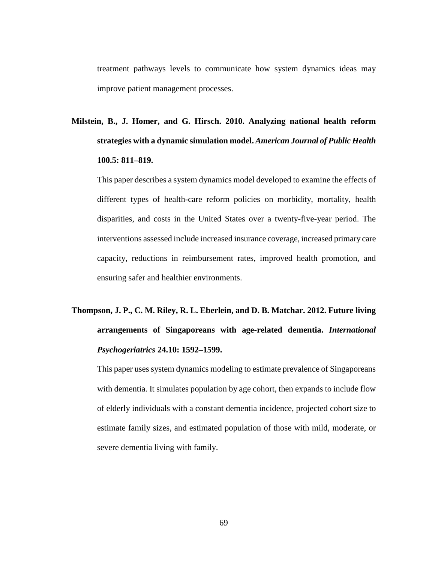treatment pathways levels to communicate how system dynamics ideas may improve patient management processes.

## **Milstein, B., J. Homer, and G. Hirsch. 2010. Analyzing national health reform strategies with a dynamic simulation model.** *American Journal of Public Health* **100.5: 811–819.**

This paper describes a system dynamics model developed to examine the effects of different types of health-care reform policies on morbidity, mortality, health disparities, and costs in the United States over a twenty-five-year period. The interventions assessed include increased insurance coverage, increased primary care capacity, reductions in reimbursement rates, improved health promotion, and ensuring safer and healthier environments.

## **Thompson, J. P., C. M. Riley, R. L. Eberlein, and D. B. Matchar. 2012. Future living arrangements of Singaporeans with age-related dementia.** *International Psychogeriatrics* **24.10: 1592–1599.**

This paper uses system dynamics modeling to estimate prevalence of Singaporeans with dementia. It simulates population by age cohort, then expands to include flow of elderly individuals with a constant dementia incidence, projected cohort size to estimate family sizes, and estimated population of those with mild, moderate, or severe dementia living with family.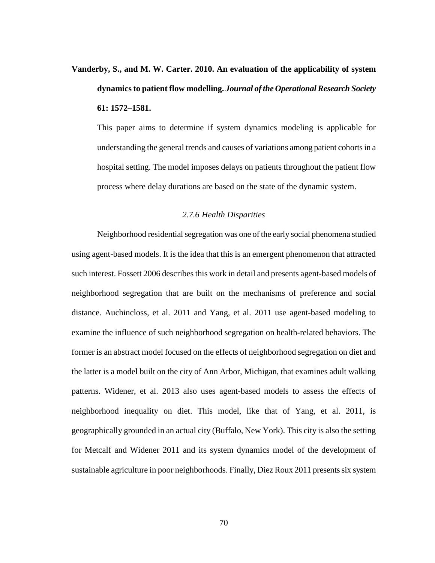## **Vanderby, S., and M. W. Carter. 2010. An evaluation of the applicability of system dynamics to patient flow modelling.** *Journal of the Operational Research Society* **61: 1572–1581.**

This paper aims to determine if system dynamics modeling is applicable for understanding the general trends and causes of variations among patient cohorts in a hospital setting. The model imposes delays on patients throughout the patient flow process where delay durations are based on the state of the dynamic system.

#### *2.7.6 Health Disparities*

Neighborhood residential segregation was one of the early social phenomena studied using agent-based models. It is the idea that this is an emergent phenomenon that attracted such interest. Fossett 2006 describes this work in detail and presents agent-based models of neighborhood segregation that are built on the mechanisms of preference and social distance. Auchincloss, et al. 2011 and Yang, et al. 2011 use agent-based modeling to examine the influence of such neighborhood segregation on health-related behaviors. The former is an abstract model focused on the effects of neighborhood segregation on diet and the latter is a model built on the city of Ann Arbor, Michigan, that examines adult walking patterns. Widener, et al. 2013 also uses agent-based models to assess the effects of neighborhood inequality on diet. This model, like that of Yang, et al. 2011, is geographically grounded in an actual city (Buffalo, New York). This city is also the setting for Metcalf and Widener 2011 and its system dynamics model of the development of sustainable agriculture in poor neighborhoods. Finally, Diez Roux 2011 presents six system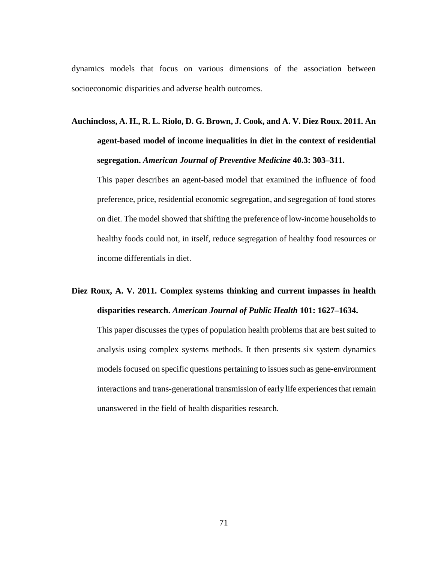dynamics models that focus on various dimensions of the association between socioeconomic disparities and adverse health outcomes.

**Auchincloss, A. H., R. L. Riolo, D. G. Brown, J. Cook, and A. V. Diez Roux. 2011. An agent-based model of income inequalities in diet in the context of residential segregation.** *American Journal of Preventive Medicine* **40.3: 303–311.**

This paper describes an agent-based model that examined the influence of food preference, price, residential economic segregation, and segregation of food stores on diet. The model showed that shifting the preference of low-income households to healthy foods could not, in itself, reduce segregation of healthy food resources or income differentials in diet.

### **Diez Roux, A. V. 2011. Complex systems thinking and current impasses in health disparities research.** *American Journal of Public Health* **101: 1627–1634.**

This paper discusses the types of population health problems that are best suited to analysis using complex systems methods. It then presents six system dynamics models focused on specific questions pertaining to issues such as gene-environment interactions and trans-generational transmission of early life experiences that remain unanswered in the field of health disparities research.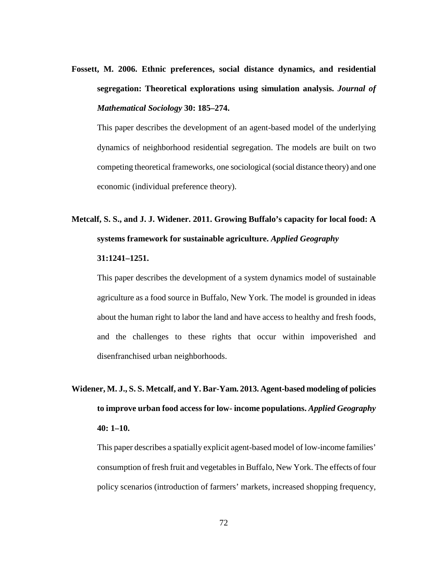**Fossett, M. 2006. Ethnic preferences, social distance dynamics, and residential segregation: Theoretical explorations using simulation analysis.** *Journal of Mathematical Sociology* **30: 185–274.**

This paper describes the development of an agent-based model of the underlying dynamics of neighborhood residential segregation. The models are built on two competing theoretical frameworks, one sociological (social distance theory) and one economic (individual preference theory).

# **Metcalf, S. S., and J. J. Widener. 2011. Growing Buffalo's capacity for local food: A systems framework for sustainable agriculture.** *Applied Geography*

#### **31:1241–1251.**

This paper describes the development of a system dynamics model of sustainable agriculture as a food source in Buffalo, New York. The model is grounded in ideas about the human right to labor the land and have access to healthy and fresh foods, and the challenges to these rights that occur within impoverished and disenfranchised urban neighborhoods.

### **Widener, M. J., S. S. Metcalf, and Y. Bar-Yam. 2013. Agent-based modeling of policies to improve urban food access for low- income populations.** *Applied Geography* **40: 1–10.**

This paper describes a spatially explicit agent-based model of low-income families' consumption of fresh fruit and vegetables in Buffalo, New York. The effects of four policy scenarios (introduction of farmers' markets, increased shopping frequency,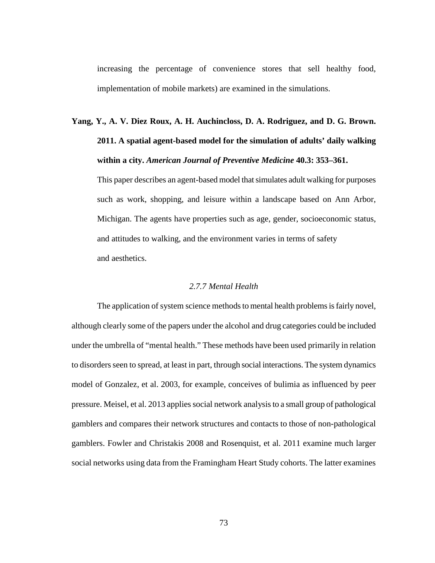increasing the percentage of convenience stores that sell healthy food, implementation of mobile markets) are examined in the simulations.

### **Yang, Y., A. V. Diez Roux, A. H. Auchincloss, D. A. Rodriguez, and D. G. Brown. 2011. A spatial agent-based model for the simulation of adults' daily walking within a city.** *American Journal of Preventive Medicine* **40.3: 353–361.**

This paper describes an agent-based model that simulates adult walking for purposes such as work, shopping, and leisure within a landscape based on Ann Arbor, Michigan. The agents have properties such as age, gender, socioeconomic status, and attitudes to walking, and the environment varies in terms of safety and aesthetics.

#### *2.7.7 Mental Health*

The application of system science methods to mental health problems is fairly novel, although clearly some of the papers under the alcohol and drug categories could be included under the umbrella of "mental health." These methods have been used primarily in relation to disorders seen to spread, at least in part, through social interactions. The system dynamics model of Gonzalez, et al. 2003, for example, conceives of bulimia as influenced by peer pressure. Meisel, et al. 2013 applies social network analysis to a small group of pathological gamblers and compares their network structures and contacts to those of non-pathological gamblers. Fowler and Christakis 2008 and Rosenquist, et al. 2011 examine much larger social networks using data from the Framingham Heart Study cohorts. The latter examines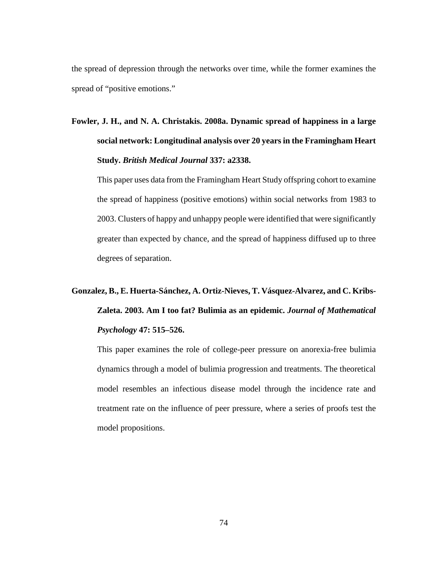the spread of depression through the networks over time, while the former examines the spread of "positive emotions."

**Fowler, J. H., and N. A. Christakis. 2008a. Dynamic spread of happiness in a large social network: Longitudinal analysis over 20 years in the Framingham Heart Study.** *British Medical Journal* **337: a2338.**

This paper uses data from the Framingham Heart Study offspring cohort to examine the spread of happiness (positive emotions) within social networks from 1983 to 2003. Clusters of happy and unhappy people were identified that were significantly greater than expected by chance, and the spread of happiness diffused up to three degrees of separation.

## **Gonzalez, B., E. Huerta-Sánchez, A. Ortiz-Nieves, T. Vásquez-Alvarez, and C. Kribs-Zaleta. 2003. Am I too fat? Bulimia as an epidemic.** *Journal of Mathematical Psychology* **47: 515–526.**

This paper examines the role of college-peer pressure on anorexia-free bulimia dynamics through a model of bulimia progression and treatments. The theoretical model resembles an infectious disease model through the incidence rate and treatment rate on the influence of peer pressure, where a series of proofs test the model propositions.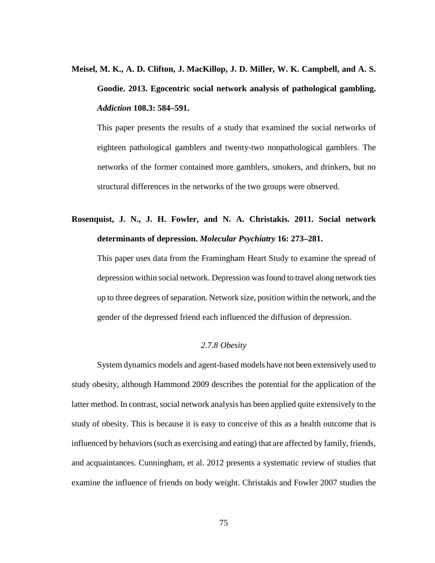**Meisel, M. K., A. D. Clifton, J. MacKillop, J. D. Miller, W. K. Campbell, and A. S. Goodie. 2013. Egocentric social network analysis of pathological gambling.**  *Addiction* **108.3: 584–591.**

This paper presents the results of a study that examined the social networks of eighteen pathological gamblers and twenty-two nonpathological gamblers. The networks of the former contained more gamblers, smokers, and drinkers, but no structural differences in the networks of the two groups were observed.

### **Rosenquist, J. N., J. H. Fowler, and N. A. Christakis. 2011. Social network determinants of depression.** *Molecular Psychiatry* **16: 273–281.**

This paper uses data from the Framingham Heart Study to examine the spread of depression within social network. Depression was found to travel along network ties up to three degrees of separation. Network size, position within the network, and the gender of the depressed friend each influenced the diffusion of depression.

#### *2.7.8 Obesity*

System dynamics models and agent-based models have not been extensively used to study obesity, although Hammond 2009 describes the potential for the application of the latter method. In contrast, social network analysis has been applied quite extensively to the study of obesity. This is because it is easy to conceive of this as a health outcome that is influenced by behaviors (such as exercising and eating) that are affected by family, friends, and acquaintances. Cunningham, et al. 2012 presents a systematic review of studies that examine the influence of friends on body weight. Christakis and Fowler 2007 studies the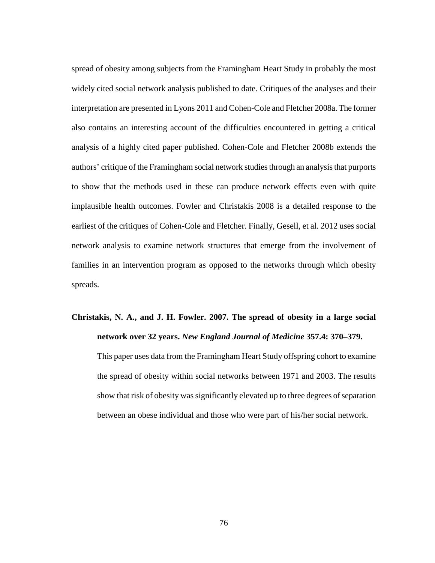spread of obesity among subjects from the Framingham Heart Study in probably the most widely cited social network analysis published to date. Critiques of the analyses and their interpretation are presented in Lyons 2011 and Cohen-Cole and Fletcher 2008a. The former also contains an interesting account of the difficulties encountered in getting a critical analysis of a highly cited paper published. Cohen-Cole and Fletcher 2008b extends the authors' critique of the Framingham social network studies through an analysis that purports to show that the methods used in these can produce network effects even with quite implausible health outcomes. Fowler and Christakis 2008 is a detailed response to the earliest of the critiques of Cohen-Cole and Fletcher. Finally, Gesell, et al. 2012 uses social network analysis to examine network structures that emerge from the involvement of families in an intervention program as opposed to the networks through which obesity spreads.

### **Christakis, N. A., and J. H. Fowler. 2007. The spread of obesity in a large social network over 32 years.** *New England Journal of Medicine* **357.4: 370–379.**

This paper uses data from the Framingham Heart Study offspring cohort to examine the spread of obesity within social networks between 1971 and 2003. The results show that risk of obesity was significantly elevated up to three degrees of separation between an obese individual and those who were part of his/her social network.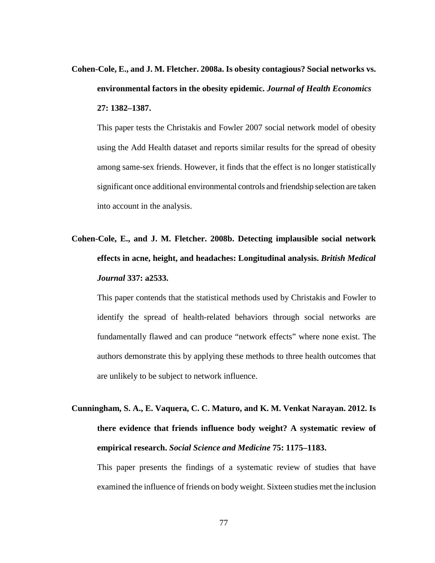### **Cohen-Cole, E., and J. M. Fletcher. 2008a. Is obesity contagious? Social networks vs. environmental factors in the obesity epidemic.** *Journal of Health Economics* **27: 1382–1387.**

This paper tests the Christakis and Fowler 2007 social network model of obesity using the Add Health dataset and reports similar results for the spread of obesity among same-sex friends. However, it finds that the effect is no longer statistically significant once additional environmental controls and friendship selection are taken into account in the analysis.

### **Cohen-Cole, E., and J. M. Fletcher. 2008b. Detecting implausible social network effects in acne, height, and headaches: Longitudinal analysis.** *British Medical Journal* **337: a2533.**

This paper contends that the statistical methods used by Christakis and Fowler to identify the spread of health-related behaviors through social networks are fundamentally flawed and can produce "network effects" where none exist. The authors demonstrate this by applying these methods to three health outcomes that are unlikely to be subject to network influence.

## **Cunningham, S. A., E. Vaquera, C. C. Maturo, and K. M. Venkat Narayan. 2012. Is there evidence that friends influence body weight? A systematic review of empirical research.** *Social Science and Medicine* **75: 1175–1183.**

This paper presents the findings of a systematic review of studies that have examined the influence of friends on body weight. Sixteen studies met the inclusion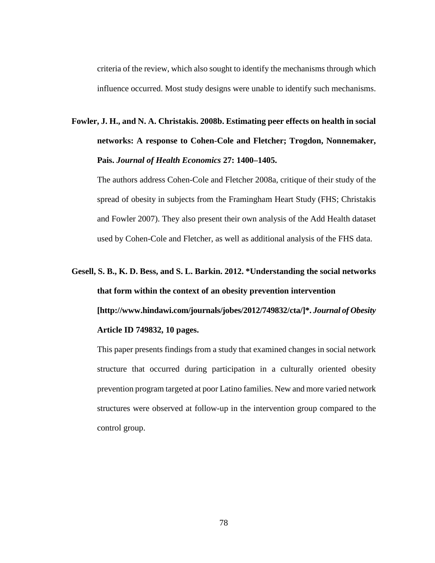criteria of the review, which also sought to identify the mechanisms through which influence occurred. Most study designs were unable to identify such mechanisms.

## **Fowler, J. H., and N. A. Christakis. 2008b. Estimating peer effects on health in social networks: A response to Cohen-Cole and Fletcher; Trogdon, Nonnemaker, Pais.** *Journal of Health Economics* **27: 1400–1405.**

The authors address Cohen-Cole and Fletcher 2008a, critique of their study of the spread of obesity in subjects from the Framingham Heart Study (FHS; Christakis and Fowler 2007). They also present their own analysis of the Add Health dataset used by Cohen-Cole and Fletcher, as well as additional analysis of the FHS data.

# **Gesell, S. B., K. D. Bess, and S. L. Barkin. 2012. \*Understanding the social networks that form within the context of an obesity prevention intervention [http://www.hindawi.com/journals/jobes/2012/749832/cta/]\*.** *Journal of Obesity* **Article ID 749832, 10 pages.**

This paper presents findings from a study that examined changes in social network structure that occurred during participation in a culturally oriented obesity prevention program targeted at poor Latino families. New and more varied network structures were observed at follow-up in the intervention group compared to the control group.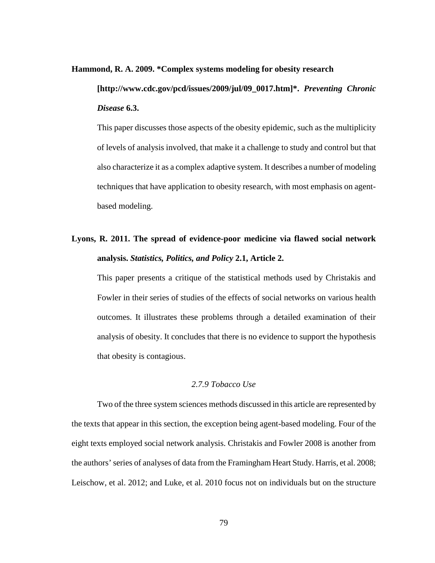#### **Hammond, R. A. 2009. [\\*Complex systems modeling for obesity research](http://www.cdc.gov/pcd/issues/2009/jul/pdf/09_0017.pdf)**

### **[http://www.cdc.gov/pcd/issues/2009/jul/09\_0017.htm]\*.** *Preventing Chronic Disease* **6.3.**

This paper discusses those aspects of the obesity epidemic, such as the multiplicity of levels of analysis involved, that make it a challenge to study and control but that also characterize it as a complex adaptive system. It describes a number of modeling techniques that have application to obesity research, with most emphasis on agentbased modeling.

### **Lyons, R. 2011. The spread of evidence-poor medicine via flawed social network analysis.** *Statistics, Politics, and Policy* **2.1, Article 2.**

This paper presents a critique of the statistical methods used by Christakis and Fowler in their series of studies of the effects of social networks on various health outcomes. It illustrates these problems through a detailed examination of their analysis of obesity. It concludes that there is no evidence to support the hypothesis that obesity is contagious.

#### *2.7.9 Tobacco Use*

Two of the three system sciences methods discussed in this article are represented by the texts that appear in this section, the exception being agent-based modeling. Four of the eight texts employed social network analysis. Christakis and Fowler 2008 is another from the authors' series of analyses of data from the Framingham Heart Study. Harris, et al. 2008; Leischow, et al. 2012; and Luke, et al. 2010 focus not on individuals but on the structure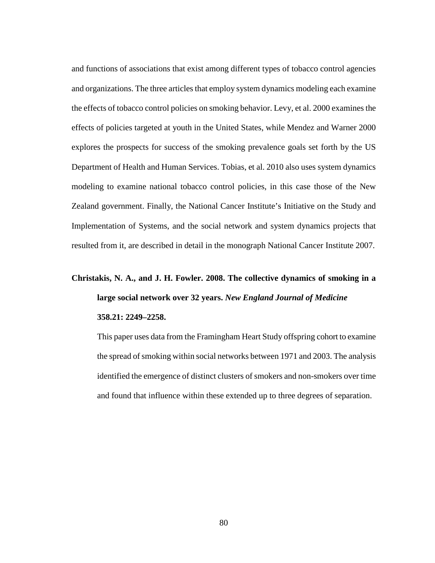and functions of associations that exist among different types of tobacco control agencies and organizations. The three articles that employ system dynamics modeling each examine the effects of tobacco control policies on smoking behavior. Levy, et al. 2000 examines the effects of policies targeted at youth in the United States, while Mendez and Warner 2000 explores the prospects for success of the smoking prevalence goals set forth by the US Department of Health and Human Services. Tobias, et al. 2010 also uses system dynamics modeling to examine national tobacco control policies, in this case those of the New Zealand government. Finally, the National Cancer Institute's Initiative on the Study and Implementation of Systems, and the social network and system dynamics projects that resulted from it, are described in detail in the monograph National Cancer Institute 2007.

## **Christakis, N. A., and J. H. Fowler. 2008. The collective dynamics of smoking in a large social network over 32 years.** *New England Journal of Medicine* **358.21: 2249–2258.**

This paper uses data from the Framingham Heart Study offspring cohort to examine the spread of smoking within social networks between 1971 and 2003. The analysis identified the emergence of distinct clusters of smokers and non-smokers over time and found that influence within these extended up to three degrees of separation.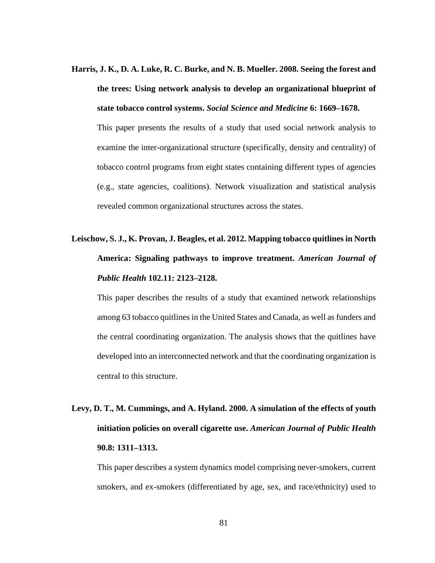**Harris, J. K., D. A. Luke, R. C. Burke, and N. B. Mueller. 2008. Seeing the forest and the trees: Using network analysis to develop an organizational blueprint of state tobacco control systems.** *Social Science and Medicine* **6: 1669–1678.**

This paper presents the results of a study that used social network analysis to examine the inter-organizational structure (specifically, density and centrality) of tobacco control programs from eight states containing different types of agencies (e.g., state agencies, coalitions). Network visualization and statistical analysis revealed common organizational structures across the states.

### **Leischow, S. J., K. Provan, J. Beagles, et al. 2012. Mapping tobacco quitlines in North America: Signaling pathways to improve treatment.** *American Journal of Public Health* **102.11: 2123–2128.**

This paper describes the results of a study that examined network relationships among 63 tobacco quitlines in the United States and Canada, as well as funders and the central coordinating organization. The analysis shows that the quitlines have developed into an interconnected network and that the coordinating organization is central to this structure.

## **Levy, D. T., M. Cummings, and A. Hyland. 2000. A simulation of the effects of youth initiation policies on overall cigarette use.** *American Journal of Public Health* **90.8: 1311–1313.**

This paper describes a system dynamics model comprising never-smokers, current smokers, and ex-smokers (differentiated by age, sex, and race/ethnicity) used to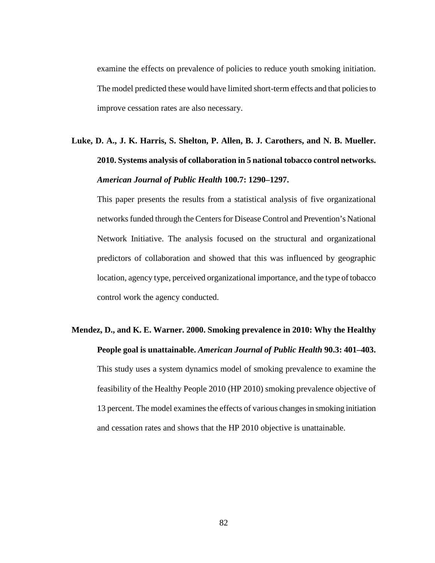examine the effects on prevalence of policies to reduce youth smoking initiation. The model predicted these would have limited short-term effects and that policies to improve cessation rates are also necessary.

## **Luke, D. A., J. K. Harris, S. Shelton, P. Allen, B. J. Carothers, and N. B. Mueller. 2010. Systems analysis of collaboration in 5 national tobacco control networks.**  *American Journal of Public Health* **100.7: 1290–1297.**

This paper presents the results from a statistical analysis of five organizational networks funded through the Centers for Disease Control and Prevention's National Network Initiative. The analysis focused on the structural and organizational predictors of collaboration and showed that this was influenced by geographic location, agency type, perceived organizational importance, and the type of tobacco control work the agency conducted.

# **Mendez, D., and K. E. Warner. 2000. Smoking prevalence in 2010: Why the Healthy People goal is unattainable.** *American Journal of Public Health* **90.3: 401–403.** This study uses a system dynamics model of smoking prevalence to examine the feasibility of the Healthy People 2010 (HP 2010) smoking prevalence objective of 13 percent. The model examines the effects of various changes in smoking initiation and cessation rates and shows that the HP 2010 objective is unattainable.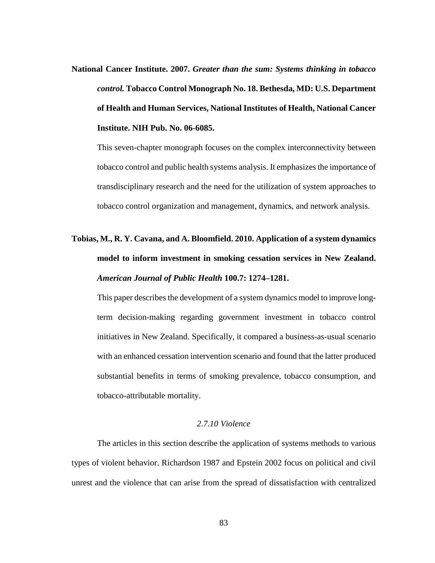**National Cancer Institute. 2007.** *Greater than the sum: Systems thinking in tobacco control.* **Tobacco Control Monograph No. 18. Bethesda, MD: U.S. Department of Health and Human Services, National Institutes of Health, National Cancer Institute. NIH Pub. No. 06-6085.**

This seven-chapter monograph focuses on the complex interconnectivity between tobacco control and public health systems analysis. It emphasizes the importance of transdisciplinary research and the need for the utilization of system approaches to tobacco control organization and management, dynamics, and network analysis.

## **Tobias, M., R. Y. Cavana, and A. Bloomfield. 2010. Application of a system dynamics model to inform investment in smoking cessation services in New Zealand.**  *American Journal of Public Health* **100.7: 1274–1281.**

This paper describes the development of a system dynamics model to improve longterm decision-making regarding government investment in tobacco control initiatives in New Zealand. Specifically, it compared a business-as-usual scenario with an enhanced cessation intervention scenario and found that the latter produced substantial benefits in terms of smoking prevalence, tobacco consumption, and tobacco-attributable mortality.

#### *2.7.10 Violence*

The articles in this section describe the application of systems methods to various types of violent behavior. Richardson 1987 and Epstein 2002 focus on political and civil unrest and the violence that can arise from the spread of dissatisfaction with centralized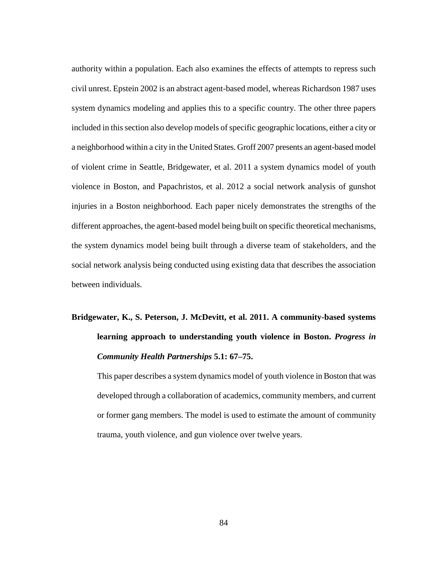authority within a population. Each also examines the effects of attempts to repress such civil unrest. Epstein 2002 is an abstract agent-based model, whereas Richardson 1987 uses system dynamics modeling and applies this to a specific country. The other three papers included in this section also develop models of specific geographic locations, either a city or a neighborhood within a city in the United States. Groff 2007 presents an agent-based model of violent crime in Seattle, Bridgewater, et al. 2011 a system dynamics model of youth violence in Boston, and Papachristos, et al. 2012 a social network analysis of gunshot injuries in a Boston neighborhood. Each paper nicely demonstrates the strengths of the different approaches, the agent-based model being built on specific theoretical mechanisms, the system dynamics model being built through a diverse team of stakeholders, and the social network analysis being conducted using existing data that describes the association between individuals.

### **Bridgewater, K., S. Peterson, J. McDevitt, et al. 2011. A community-based systems learning approach to understanding youth violence in Boston.** *Progress in Community Health Partnerships* **5.1: 67–75.**

This paper describes a system dynamics model of youth violence in Boston that was developed through a collaboration of academics, community members, and current or former gang members. The model is used to estimate the amount of community trauma, youth violence, and gun violence over twelve years.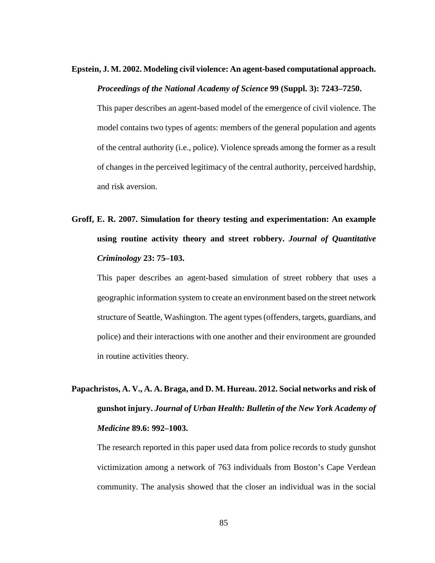**Epstein, J. M. 2002. Modeling civil violence: An agent-based computational approach.**  *Proceedings of the National Academy of Science* **99 (Suppl. 3): 7243–7250.**

This paper describes an agent-based model of the emergence of civil violence. The model contains two types of agents: members of the general population and agents of the central authority (i.e., police). Violence spreads among the former as a result of changes in the perceived legitimacy of the central authority, perceived hardship, and risk aversion.

**Groff, E. R. 2007. Simulation for theory testing and experimentation: An example using routine activity theory and street robbery.** *Journal of Quantitative Criminology* **23: 75–103.**

This paper describes an agent-based simulation of street robbery that uses a geographic information system to create an environment based on the street network structure of Seattle, Washington. The agent types (offenders, targets, guardians, and police) and their interactions with one another and their environment are grounded in routine activities theory.

### **Papachristos, A. V., A. A. Braga, and D. M. Hureau. 2012. Social networks and risk of gunshot injury.** *Journal of Urban Health: Bulletin of the New York Academy of Medicine* **89.6: 992–1003.**

The research reported in this paper used data from police records to study gunshot victimization among a network of 763 individuals from Boston's Cape Verdean community. The analysis showed that the closer an individual was in the social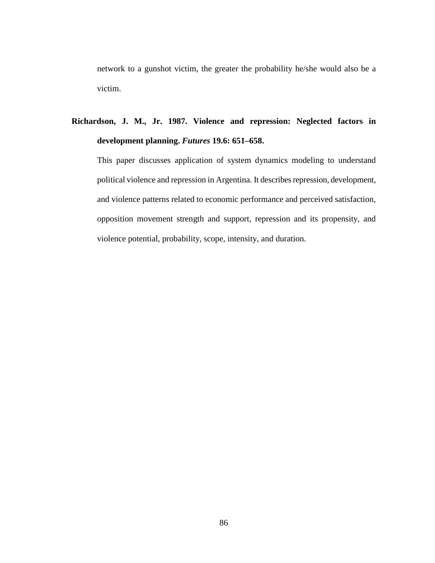network to a gunshot victim, the greater the probability he/she would also be a victim.

### **Richardson, J. M., Jr. 1987. Violence and repression: Neglected factors in development planning.** *Futures* **19.6: 651–658.**

This paper discusses application of system dynamics modeling to understand political violence and repression in Argentina. It describes repression, development, and violence patterns related to economic performance and perceived satisfaction, opposition movement strength and support, repression and its propensity, and violence potential, probability, scope, intensity, and duration.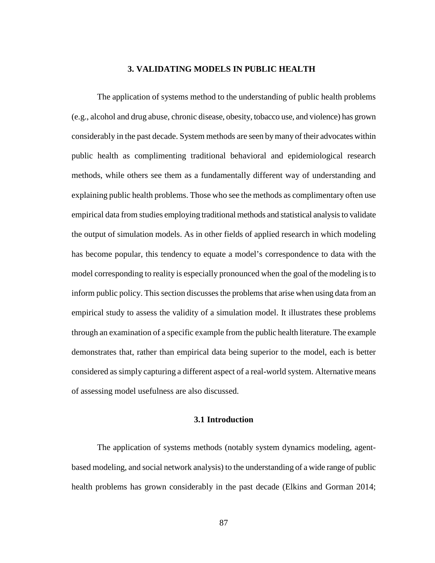#### **3. VALIDATING MODELS IN PUBLIC HEALTH**

The application of systems method to the understanding of public health problems (e.g., alcohol and drug abuse, chronic disease, obesity, tobacco use, and violence) has grown considerably in the past decade. System methods are seen by many of their advocates within public health as complimenting traditional behavioral and epidemiological research methods, while others see them as a fundamentally different way of understanding and explaining public health problems. Those who see the methods as complimentary often use empirical data from studies employing traditional methods and statistical analysis to validate the output of simulation models. As in other fields of applied research in which modeling has become popular, this tendency to equate a model's correspondence to data with the model corresponding to reality is especially pronounced when the goal of the modeling is to inform public policy. This section discusses the problems that arise when using data from an empirical study to assess the validity of a simulation model. It illustrates these problems through an examination of a specific example from the public health literature. The example demonstrates that, rather than empirical data being superior to the model, each is better considered as simply capturing a different aspect of a real-world system. Alternative means of assessing model usefulness are also discussed.

#### **3.1 Introduction**

The application of systems methods (notably system dynamics modeling, agentbased modeling, and social network analysis) to the understanding of a wide range of public health problems has grown considerably in the past decade (Elkins and Gorman 2014;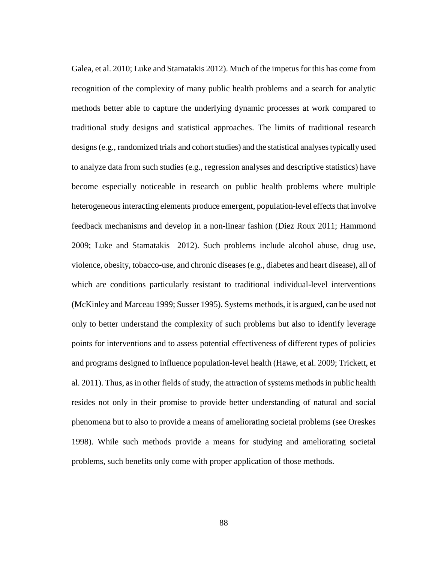Galea, et al. 2010; Luke and Stamatakis 2012). Much of the impetus for this has come from recognition of the complexity of many public health problems and a search for analytic methods better able to capture the underlying dynamic processes at work compared to traditional study designs and statistical approaches. The limits of traditional research designs (e.g., randomized trials and cohort studies) and the statistical analyses typically used to analyze data from such studies (e.g., regression analyses and descriptive statistics) have become especially noticeable in research on public health problems where multiple heterogeneous interacting elements produce emergent, population-level effects that involve feedback mechanisms and develop in a non-linear fashion (Diez Roux 2011; Hammond 2009; Luke and Stamatakis 2012). Such problems include alcohol abuse, drug use, violence, obesity, tobacco-use, and chronic diseases (e.g., diabetes and heart disease), all of which are conditions particularly resistant to traditional individual-level interventions (McKinley and Marceau 1999; Susser 1995). Systems methods, it is argued, can be used not only to better understand the complexity of such problems but also to identify leverage points for interventions and to assess potential effectiveness of different types of policies and programs designed to influence population-level health (Hawe, et al. 2009; Trickett, et al. 2011). Thus, as in other fields of study, the attraction of systems methods in public health resides not only in their promise to provide better understanding of natural and social phenomena but to also to provide a means of ameliorating societal problems (see Oreskes 1998). While such methods provide a means for studying and ameliorating societal problems, such benefits only come with proper application of those methods.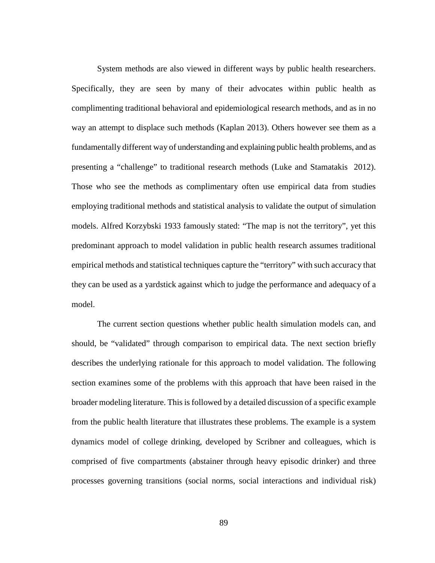System methods are also viewed in different ways by public health researchers. Specifically, they are seen by many of their advocates within public health as complimenting traditional behavioral and epidemiological research methods, and as in no way an attempt to displace such methods (Kaplan 2013). Others however see them as a fundamentally different way of understanding and explaining public health problems, and as presenting a "challenge" to traditional research methods (Luke and Stamatakis 2012). Those who see the methods as complimentary often use empirical data from studies employing traditional methods and statistical analysis to validate the output of simulation models. Alfred Korzybski 1933 famously stated: "The map is not the territory", yet this predominant approach to model validation in public health research assumes traditional empirical methods and statistical techniques capture the "territory" with such accuracy that they can be used as a yardstick against which to judge the performance and adequacy of a model.

The current section questions whether public health simulation models can, and should, be "validated" through comparison to empirical data. The next section briefly describes the underlying rationale for this approach to model validation. The following section examines some of the problems with this approach that have been raised in the broader modeling literature. This is followed by a detailed discussion of a specific example from the public health literature that illustrates these problems. The example is a system dynamics model of college drinking, developed by Scribner and colleagues, which is comprised of five compartments (abstainer through heavy episodic drinker) and three processes governing transitions (social norms, social interactions and individual risk)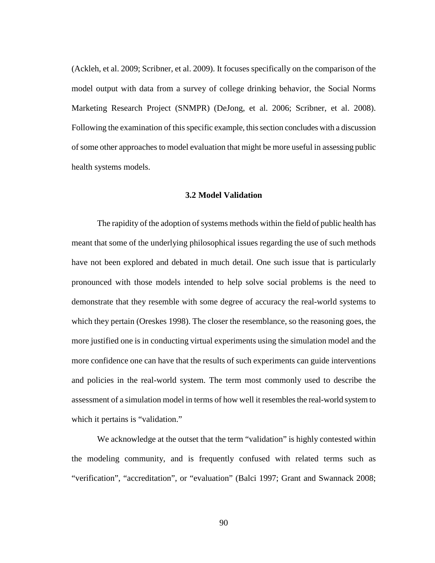(Ackleh, et al. 2009; Scribner, et al. 2009). It focuses specifically on the comparison of the model output with data from a survey of college drinking behavior, the Social Norms Marketing Research Project (SNMPR) (DeJong, et al. 2006; Scribner, et al. 2008). Following the examination of this specific example, this section concludes with a discussion of some other approaches to model evaluation that might be more useful in assessing public health systems models.

#### **3.2 Model Validation**

The rapidity of the adoption of systems methods within the field of public health has meant that some of the underlying philosophical issues regarding the use of such methods have not been explored and debated in much detail. One such issue that is particularly pronounced with those models intended to help solve social problems is the need to demonstrate that they resemble with some degree of accuracy the real-world systems to which they pertain (Oreskes 1998). The closer the resemblance, so the reasoning goes, the more justified one is in conducting virtual experiments using the simulation model and the more confidence one can have that the results of such experiments can guide interventions and policies in the real-world system. The term most commonly used to describe the assessment of a simulation model in terms of how well it resembles the real-world system to which it pertains is "validation."

We acknowledge at the outset that the term "validation" is highly contested within the modeling community, and is frequently confused with related terms such as "verification", "accreditation", or "evaluation" (Balci 1997; Grant and Swannack 2008;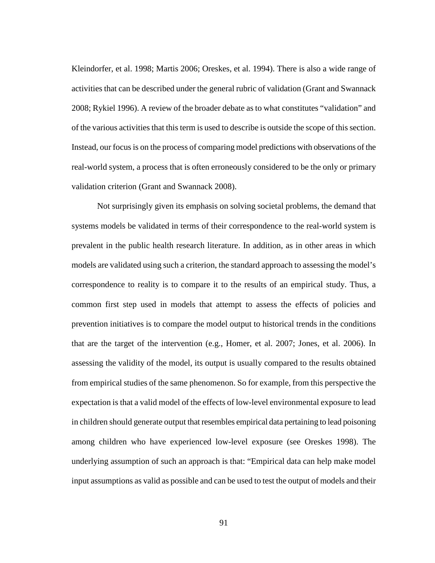Kleindorfer, et al. 1998; Martis 2006; Oreskes, et al. 1994). There is also a wide range of activities that can be described under the general rubric of validation (Grant and Swannack 2008; Rykiel 1996). A review of the broader debate as to what constitutes "validation" and of the various activities that this term is used to describe is outside the scope of this section. Instead, our focus is on the process of comparing model predictions with observations of the real-world system, a process that is often erroneously considered to be the only or primary validation criterion (Grant and Swannack 2008).

Not surprisingly given its emphasis on solving societal problems, the demand that systems models be validated in terms of their correspondence to the real-world system is prevalent in the public health research literature. In addition, as in other areas in which models are validated using such a criterion, the standard approach to assessing the model's correspondence to reality is to compare it to the results of an empirical study. Thus, a common first step used in models that attempt to assess the effects of policies and prevention initiatives is to compare the model output to historical trends in the conditions that are the target of the intervention (e.g., Homer, et al. 2007; Jones, et al. 2006). In assessing the validity of the model, its output is usually compared to the results obtained from empirical studies of the same phenomenon. So for example, from this perspective the expectation is that a valid model of the effects of low-level environmental exposure to lead in children should generate output that resembles empirical data pertaining to lead poisoning among children who have experienced low-level exposure (see Oreskes 1998). The underlying assumption of such an approach is that: "Empirical data can help make model input assumptions as valid as possible and can be used to test the output of models and their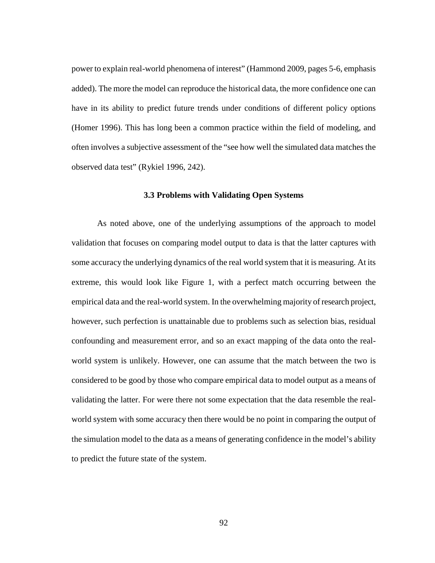power to explain real-world phenomena of interest" (Hammond 2009, pages 5-6, emphasis added). The more the model can reproduce the historical data, the more confidence one can have in its ability to predict future trends under conditions of different policy options (Homer 1996). This has long been a common practice within the field of modeling, and often involves a subjective assessment of the "see how well the simulated data matches the observed data test" (Rykiel 1996, 242).

#### **3.3 Problems with Validating Open Systems**

As noted above, one of the underlying assumptions of the approach to model validation that focuses on comparing model output to data is that the latter captures with some accuracy the underlying dynamics of the real world system that it is measuring. At its extreme, this would look like [Figure 1,](#page-99-0) with a perfect match occurring between the empirical data and the real-world system. In the overwhelming majority of research project, however, such perfection is unattainable due to problems such as selection bias, residual confounding and measurement error, and so an exact mapping of the data onto the realworld system is unlikely. However, one can assume that the match between the two is considered to be good by those who compare empirical data to model output as a means of validating the latter. For were there not some expectation that the data resemble the realworld system with some accuracy then there would be no point in comparing the output of the simulation model to the data as a means of generating confidence in the model's ability to predict the future state of the system.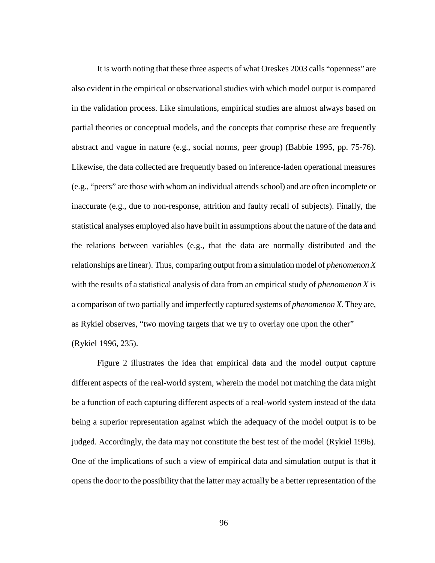It is worth noting that these three aspects of what Oreskes 2003 calls "openness" are also evident in the empirical or observational studies with which model output is compared in the validation process. Like simulations, empirical studies are almost always based on partial theories or conceptual models, and the concepts that comprise these are frequently abstract and vague in nature (e.g., social norms, peer group) (Babbie 1995, pp. 75-76). Likewise, the data collected are frequently based on inference-laden operational measures (e.g., "peers" are those with whom an individual attends school) and are often incomplete or inaccurate (e.g., due to non-response, attrition and faulty recall of subjects). Finally, the statistical analyses employed also have built in assumptions about the nature of the data and the relations between variables (e.g., that the data are normally distributed and the relationships are linear). Thus, comparing output from a simulation model of *phenomenon X* with the results of a statistical analysis of data from an empirical study of *phenomenon X* is a comparison of two partially and imperfectly captured systems of *phenomenon X*. They are, as Rykiel observes, "two moving targets that we try to overlay one upon the other" (Rykiel 1996, 235).

[Figure 2](#page-103-0) illustrates the idea that empirical data and the model output capture different aspects of the real-world system, wherein the model not matching the data might be a function of each capturing different aspects of a real-world system instead of the data being a superior representation against which the adequacy of the model output is to be judged. Accordingly, the data may not constitute the best test of the model (Rykiel 1996). One of the implications of such a view of empirical data and simulation output is that it opens the door to the possibility that the latter may actually be a better representation of the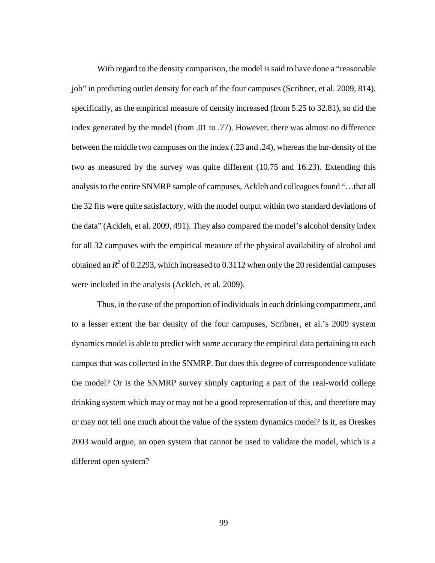With regard to the density comparison, the model is said to have done a "reasonable job" in predicting outlet density for each of the four campuses (Scribner, et al. 2009, 814), specifically, as the empirical measure of density increased (from 5.25 to 32.81), so did the index generated by the model (from .01 to .77). However, there was almost no difference between the middle two campuses on the index (.23 and .24), whereas the bar-density of the two as measured by the survey was quite different (10.75 and 16.23). Extending this analysis to the entire SNMRP sample of campuses, Ackleh and colleagues found "…that all the 32 fits were quite satisfactory, with the model output within two standard deviations of the data" (Ackleh, et al. 2009, 491). They also compared the model's alcohol density index for all 32 campuses with the empirical measure of the physical availability of alcohol and obtained an  $R^2$  of 0.2293, which increased to 0.3112 when only the 20 residential campuses were included in the analysis (Ackleh, et al. 2009).

Thus, in the case of the proportion of individuals in each drinking compartment, and to a lesser extent the bar density of the four campuses, Scribner, et al.'s 2009 system dynamics model is able to predict with some accuracy the empirical data pertaining to each campus that was collected in the SNMRP. But does this degree of correspondence validate the model? Or is the SNMRP survey simply capturing a part of the real-world college drinking system which may or may not be a good representation of this, and therefore may or may not tell one much about the value of the system dynamics model? Is it, as Oreskes 2003 would argue, an open system that cannot be used to validate the model, which is a different open system?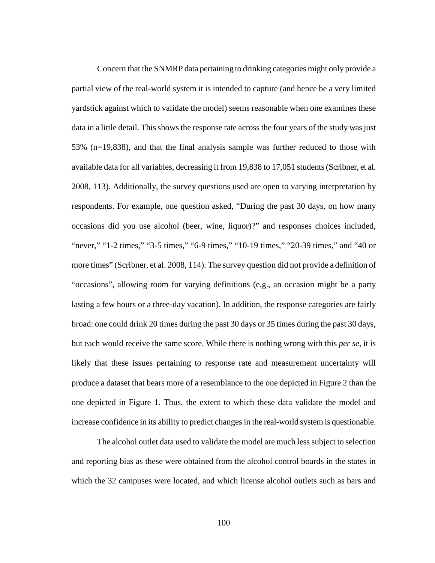Concern that the SNMRP data pertaining to drinking categories might only provide a partial view of the real-world system it is intended to capture (and hence be a very limited yardstick against which to validate the model) seems reasonable when one examines these data in a little detail. This shows the response rate across the four years of the study was just 53% (n=19,838), and that the final analysis sample was further reduced to those with available data for all variables, decreasing it from 19,838 to 17,051 students (Scribner, et al. 2008, 113). Additionally, the survey questions used are open to varying interpretation by respondents. For example, one question asked, "During the past 30 days, on how many occasions did you use alcohol (beer, wine, liquor)?" and responses choices included, "never," "1-2 times," "3-5 times," "6-9 times," "10-19 times," "20-39 times," and "40 or more times" (Scribner, et al. 2008, 114). The survey question did not provide a definition of "occasions", allowing room for varying definitions (e.g., an occasion might be a party lasting a few hours or a three-day vacation). In addition, the response categories are fairly broad: one could drink 20 times during the past 30 days or 35 times during the past 30 days, but each would receive the same score. While there is nothing wrong with this *per se*, it is likely that these issues pertaining to response rate and measurement uncertainty will produce a dataset that bears more of a resemblance to the one depicted in [Figure 2](#page-103-0) than the one depicted in [Figure 1.](#page-99-0) Thus, the extent to which these data validate the model and increase confidence in its ability to predict changes in the real-world system is questionable.

The alcohol outlet data used to validate the model are much less subject to selection and reporting bias as these were obtained from the alcohol control boards in the states in which the 32 campuses were located, and which license alcohol outlets such as bars and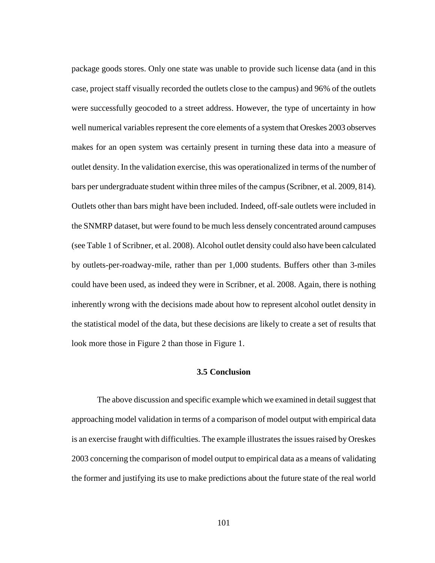package goods stores. Only one state was unable to provide such license data (and in this case, project staff visually recorded the outlets close to the campus) and 96% of the outlets were successfully geocoded to a street address. However, the type of uncertainty in how well numerical variables represent the core elements of a system that Oreskes 2003 observes makes for an open system was certainly present in turning these data into a measure of outlet density. In the validation exercise, this was operationalized in terms of the number of bars per undergraduate student within three miles of the campus (Scribner, et al. 2009, 814). Outlets other than bars might have been included. Indeed, off-sale outlets were included in the SNMRP dataset, but were found to be much less densely concentrated around campuses (see Table 1 of Scribner, et al. 2008). Alcohol outlet density could also have been calculated by outlets-per-roadway-mile, rather than per 1,000 students. Buffers other than 3-miles could have been used, as indeed they were in Scribner, et al. 2008. Again, there is nothing inherently wrong with the decisions made about how to represent alcohol outlet density in the statistical model of the data, but these decisions are likely to create a set of results that look more those in [Figure 2](#page-103-0) than those in [Figure 1.](#page-99-0)

#### **3.5 Conclusion**

The above discussion and specific example which we examined in detail suggest that approaching model validation in terms of a comparison of model output with empirical data is an exercise fraught with difficulties. The example illustrates the issues raised by Oreskes 2003 concerning the comparison of model output to empirical data as a means of validating the former and justifying its use to make predictions about the future state of the real world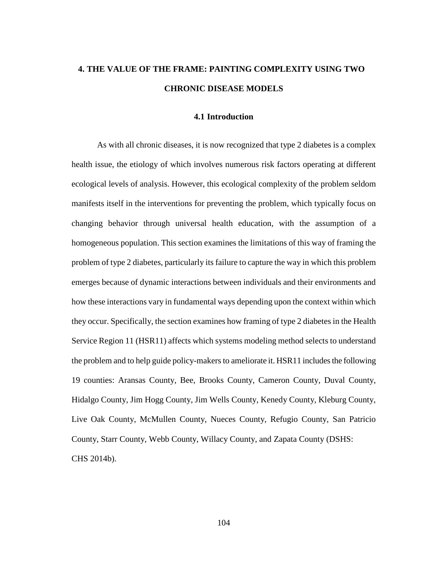# **4. THE VALUE OF THE FRAME: PAINTING COMPLEXITY USING TWO CHRONIC DISEASE MODELS**

# **4.1 Introduction**

As with all chronic diseases, it is now recognized that type 2 diabetes is a complex health issue, the etiology of which involves numerous risk factors operating at different ecological levels of analysis. However, this ecological complexity of the problem seldom manifests itself in the interventions for preventing the problem, which typically focus on changing behavior through universal health education, with the assumption of a homogeneous population. This section examines the limitations of this way of framing the problem of type 2 diabetes, particularly its failure to capture the way in which this problem emerges because of dynamic interactions between individuals and their environments and how these interactions vary in fundamental ways depending upon the context within which they occur. Specifically, the section examines how framing of type 2 diabetes in the Health Service Region 11 (HSR11) affects which systems modeling method selects to understand the problem and to help guide policy-makers to ameliorate it. HSR11 includes the following 19 counties: Aransas County, Bee, Brooks County, Cameron County, Duval County, Hidalgo County, Jim Hogg County, Jim Wells County, Kenedy County, Kleburg County, Live Oak County, McMullen County, Nueces County, Refugio County, San Patricio County, Starr County, Webb County, Willacy County, and Zapata County (DSHS: CHS 2014b).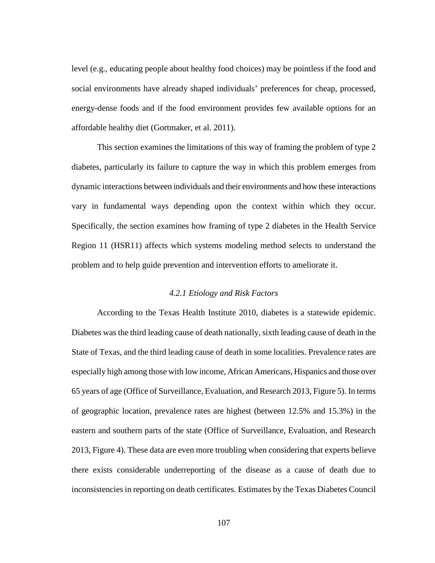level (e.g., educating people about healthy food choices) may be pointless if the food and social environments have already shaped individuals' preferences for cheap, processed, energy-dense foods and if the food environment provides few available options for an affordable healthy diet (Gortmaker, et al. 2011).

This section examines the limitations of this way of framing the problem of type 2 diabetes, particularly its failure to capture the way in which this problem emerges from dynamic interactions between individuals and their environments and how these interactions vary in fundamental ways depending upon the context within which they occur. Specifically, the section examines how framing of type 2 diabetes in the Health Service Region 11 (HSR11) affects which systems modeling method selects to understand the problem and to help guide prevention and intervention efforts to ameliorate it.

# *4.2.1 Etiology and Risk Factors*

According to the Texas Health Institute 2010, diabetes is a statewide epidemic. Diabetes was the third leading cause of death nationally, sixth leading cause of death in the State of Texas, and the third leading cause of death in some localities. Prevalence rates are especially high among those with low income, African Americans, Hispanics and those over 65 years of age (Office of Surveillance, Evaluation, and Research 2013, Figure 5). In terms of geographic location, prevalence rates are highest (between 12.5% and 15.3%) in the eastern and southern parts of the state (Office of Surveillance, Evaluation, and Research 2013, Figure 4). These data are even more troubling when considering that experts believe there exists considerable underreporting of the disease as a cause of death due to inconsistencies in reporting on death certificates. Estimates by the Texas Diabetes Council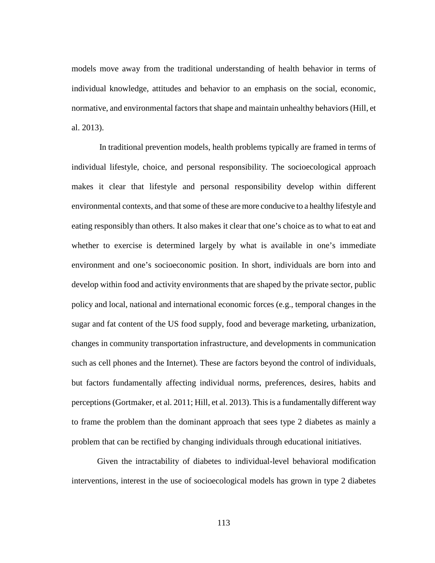models move away from the traditional understanding of health behavior in terms of individual knowledge, attitudes and behavior to an emphasis on the social, economic, normative, and environmental factors that shape and maintain unhealthy behaviors (Hill, et al. 2013).

In traditional prevention models, health problems typically are framed in terms of individual lifestyle, choice, and personal responsibility. The socioecological approach makes it clear that lifestyle and personal responsibility develop within different environmental contexts, and that some of these are more conducive to a healthy lifestyle and eating responsibly than others. It also makes it clear that one's choice as to what to eat and whether to exercise is determined largely by what is available in one's immediate environment and one's socioeconomic position. In short, individuals are born into and develop within food and activity environments that are shaped by the private sector, public policy and local, national and international economic forces (e.g., temporal changes in the sugar and fat content of the US food supply, food and beverage marketing, urbanization, changes in community transportation infrastructure, and developments in communication such as cell phones and the Internet). These are factors beyond the control of individuals, but factors fundamentally affecting individual norms, preferences, desires, habits and perceptions (Gortmaker, et al. 2011; Hill, et al. 2013). This is a fundamentally different way to frame the problem than the dominant approach that sees type 2 diabetes as mainly a problem that can be rectified by changing individuals through educational initiatives.

Given the intractability of diabetes to individual-level behavioral modification interventions, interest in the use of socioecological models has grown in type 2 diabetes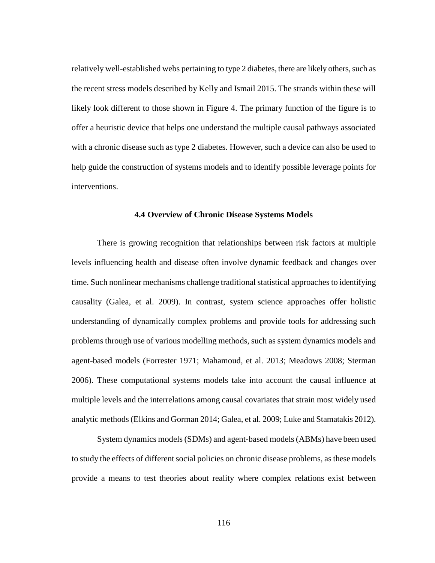relatively well-established webs pertaining to type 2 diabetes, there are likely others, such as the recent stress models described by Kelly and Ismail 2015. The strands within these will likely look different to those shown in Figure 4. The primary function of the figure is to offer a heuristic device that helps one understand the multiple causal pathways associated with a chronic disease such as type 2 diabetes. However, such a device can also be used to help guide the construction of systems models and to identify possible leverage points for interventions.

### **4.4 Overview of Chronic Disease Systems Models**

There is growing recognition that relationships between risk factors at multiple levels influencing health and disease often involve dynamic feedback and changes over time. Such nonlinear mechanisms challenge traditional statistical approaches to identifying causality (Galea, et al. 2009). In contrast, system science approaches offer holistic understanding of dynamically complex problems and provide tools for addressing such problems through use of various modelling methods, such as system dynamics models and agent-based models (Forrester 1971; Mahamoud, et al. 2013; Meadows 2008; Sterman 2006). These computational systems models take into account the causal influence at multiple levels and the interrelations among causal covariates that strain most widely used analytic methods (Elkins and Gorman 2014; Galea, et al. 2009; Luke and Stamatakis 2012).

System dynamics models (SDMs) and agent-based models (ABMs) have been used to study the effects of different social policies on chronic disease problems, as these models provide a means to test theories about reality where complex relations exist between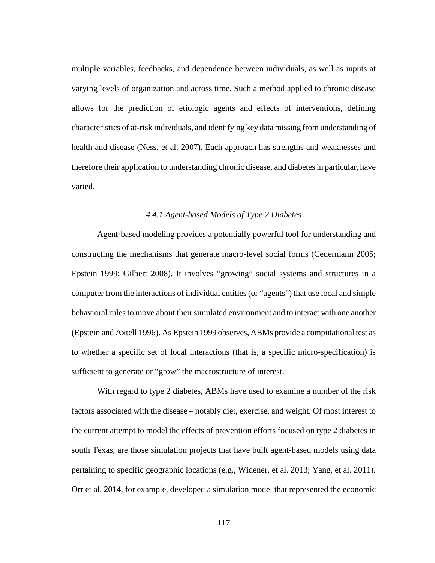multiple variables, feedbacks, and dependence between individuals, as well as inputs at varying levels of organization and across time. Such a method applied to chronic disease allows for the prediction of etiologic agents and effects of interventions, defining characteristics of at-risk individuals, and identifying key data missing from understanding of health and disease (Ness, et al. 2007). Each approach has strengths and weaknesses and therefore their application to understanding chronic disease, and diabetes in particular, have varied.

# *4.4.1 Agent-based Models of Type 2 Diabetes*

Agent-based modeling provides a potentially powerful tool for understanding and constructing the mechanisms that generate macro-level social forms (Cedermann 2005; Epstein 1999; Gilbert 2008). It involves "growing" social systems and structures in a computer from the interactions of individual entities (or "agents") that use local and simple behavioral rules to move about their simulated environment and to interact with one another (Epstein and Axtell 1996). As Epstein 1999 observes, ABMs provide a computational test as to whether a specific set of local interactions (that is, a specific micro-specification) is sufficient to generate or "grow" the macrostructure of interest.

With regard to type 2 diabetes, ABMs have used to examine a number of the risk factors associated with the disease – notably diet, exercise, and weight. Of most interest to the current attempt to model the effects of prevention efforts focused on type 2 diabetes in south Texas, are those simulation projects that have built agent-based models using data pertaining to specific geographic locations (e.g., Widener, et al. 2013; Yang, et al. 2011). Orr et al. 2014, for example, developed a simulation model that represented the economic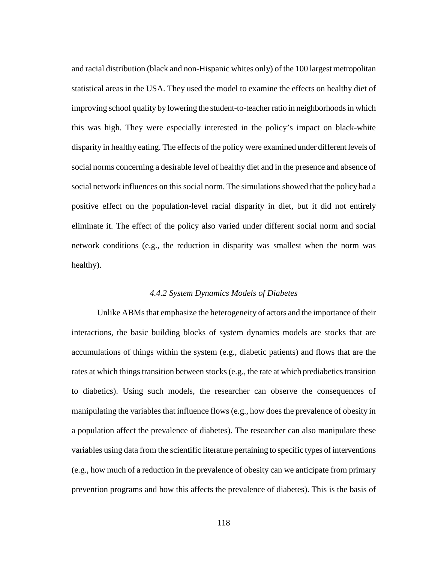and racial distribution (black and non-Hispanic whites only) of the 100 largest metropolitan statistical areas in the USA. They used the model to examine the effects on healthy diet of improving school quality by lowering the student-to-teacher ratio in neighborhoods in which this was high. They were especially interested in the policy's impact on black-white disparity in healthy eating. The effects of the policy were examined under different levels of social norms concerning a desirable level of healthy diet and in the presence and absence of social network influences on this social norm. The simulations showed that the policy had a positive effect on the population-level racial disparity in diet, but it did not entirely eliminate it. The effect of the policy also varied under different social norm and social network conditions (e.g., the reduction in disparity was smallest when the norm was healthy).

# *4.4.2 System Dynamics Models of Diabetes*

Unlike ABMs that emphasize the heterogeneity of actors and the importance of their interactions, the basic building blocks of system dynamics models are stocks that are accumulations of things within the system (e.g., diabetic patients) and flows that are the rates at which things transition between stocks (e.g., the rate at which prediabetics transition to diabetics). Using such models, the researcher can observe the consequences of manipulating the variables that influence flows (e.g., how does the prevalence of obesity in a population affect the prevalence of diabetes). The researcher can also manipulate these variables using data from the scientific literature pertaining to specific types of interventions (e.g., how much of a reduction in the prevalence of obesity can we anticipate from primary prevention programs and how this affects the prevalence of diabetes). This is the basis of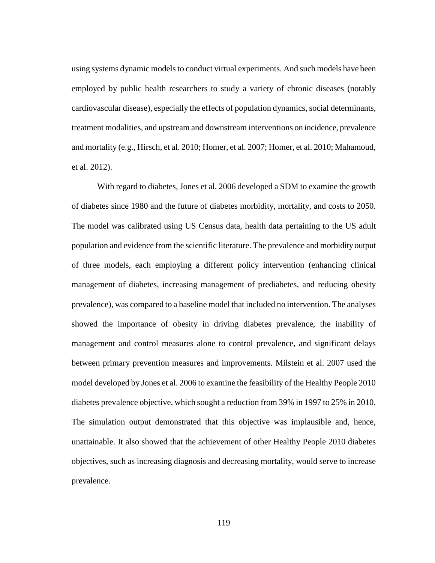using systems dynamic models to conduct virtual experiments. And such models have been employed by public health researchers to study a variety of chronic diseases (notably cardiovascular disease), especially the effects of population dynamics, social determinants, treatment modalities, and upstream and downstream interventions on incidence, prevalence and mortality (e.g., Hirsch, et al. 2010; Homer, et al. 2007; Homer, et al. 2010; Mahamoud, et al. 2012).

With regard to diabetes, Jones et al. 2006 developed a SDM to examine the growth of diabetes since 1980 and the future of diabetes morbidity, mortality, and costs to 2050. The model was calibrated using US Census data, health data pertaining to the US adult population and evidence from the scientific literature. The prevalence and morbidity output of three models, each employing a different policy intervention (enhancing clinical management of diabetes, increasing management of prediabetes, and reducing obesity prevalence), was compared to a baseline model that included no intervention. The analyses showed the importance of obesity in driving diabetes prevalence, the inability of management and control measures alone to control prevalence, and significant delays between primary prevention measures and improvements. Milstein et al. 2007 used the model developed by Jones et al. 2006 to examine the feasibility of the Healthy People 2010 diabetes prevalence objective, which sought a reduction from 39% in 1997 to 25% in 2010. The simulation output demonstrated that this objective was implausible and, hence, unattainable. It also showed that the achievement of other Healthy People 2010 diabetes objectives, such as increasing diagnosis and decreasing mortality, would serve to increase prevalence.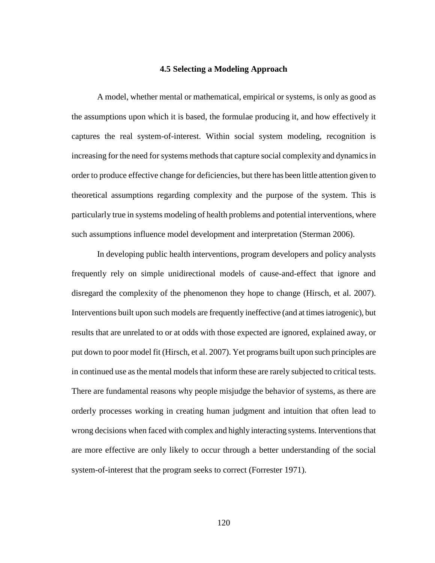#### **4.5 Selecting a Modeling Approach**

A model, whether mental or mathematical, empirical or systems, is only as good as the assumptions upon which it is based, the formulae producing it, and how effectively it captures the real system-of-interest. Within social system modeling, recognition is increasing for the need for systems methods that capture social complexity and dynamics in order to produce effective change for deficiencies, but there has been little attention given to theoretical assumptions regarding complexity and the purpose of the system. This is particularly true in systems modeling of health problems and potential interventions, where such assumptions influence model development and interpretation (Sterman 2006).

In developing public health interventions, program developers and policy analysts frequently rely on simple unidirectional models of cause-and-effect that ignore and disregard the complexity of the phenomenon they hope to change (Hirsch, et al. 2007). Interventions built upon such models are frequently ineffective (and at times iatrogenic), but results that are unrelated to or at odds with those expected are ignored, explained away, or put down to poor model fit (Hirsch, et al. 2007). Yet programs built upon such principles are in continued use as the mental models that inform these are rarely subjected to critical tests. There are fundamental reasons why people misjudge the behavior of systems, as there are orderly processes working in creating human judgment and intuition that often lead to wrong decisions when faced with complex and highly interacting systems. Interventions that are more effective are only likely to occur through a better understanding of the social system-of-interest that the program seeks to correct (Forrester 1971).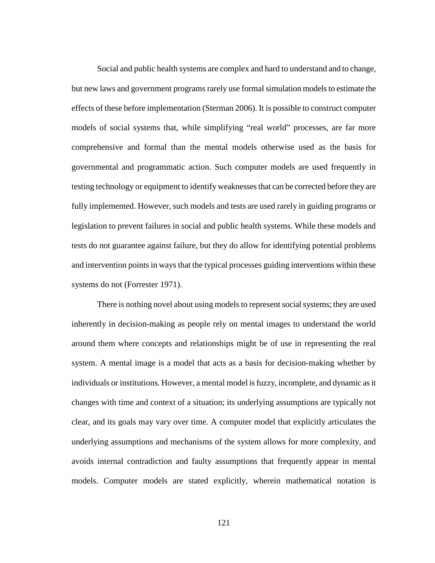Social and public health systems are complex and hard to understand and to change, but new laws and government programs rarely use formal simulation models to estimate the effects of these before implementation (Sterman 2006). It is possible to construct computer models of social systems that, while simplifying "real world" processes, are far more comprehensive and formal than the mental models otherwise used as the basis for governmental and programmatic action. Such computer models are used frequently in testing technology or equipment to identify weaknesses that can be corrected before they are fully implemented. However, such models and tests are used rarely in guiding programs or legislation to prevent failures in social and public health systems. While these models and tests do not guarantee against failure, but they do allow for identifying potential problems and intervention points in ways that the typical processes guiding interventions within these systems do not (Forrester 1971).

There is nothing novel about using models to represent social systems; they are used inherently in decision-making as people rely on mental images to understand the world around them where concepts and relationships might be of use in representing the real system. A mental image is a model that acts as a basis for decision-making whether by individuals or institutions. However, a mental model is fuzzy, incomplete, and dynamic as it changes with time and context of a situation; its underlying assumptions are typically not clear, and its goals may vary over time. A computer model that explicitly articulates the underlying assumptions and mechanisms of the system allows for more complexity, and avoids internal contradiction and faulty assumptions that frequently appear in mental models. Computer models are stated explicitly, wherein mathematical notation is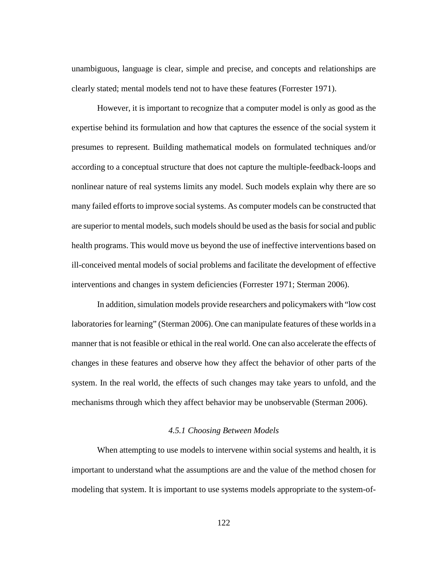unambiguous, language is clear, simple and precise, and concepts and relationships are clearly stated; mental models tend not to have these features (Forrester 1971).

However, it is important to recognize that a computer model is only as good as the expertise behind its formulation and how that captures the essence of the social system it presumes to represent. Building mathematical models on formulated techniques and/or according to a conceptual structure that does not capture the multiple-feedback-loops and nonlinear nature of real systems limits any model. Such models explain why there are so many failed efforts to improve social systems. As computer models can be constructed that are superior to mental models, such models should be used as the basis for social and public health programs. This would move us beyond the use of ineffective interventions based on ill-conceived mental models of social problems and facilitate the development of effective interventions and changes in system deficiencies (Forrester 1971; Sterman 2006).

In addition, simulation models provide researchers and policymakers with "low cost laboratories for learning" (Sterman 2006). One can manipulate features of these worlds in a manner that is not feasible or ethical in the real world. One can also accelerate the effects of changes in these features and observe how they affect the behavior of other parts of the system. In the real world, the effects of such changes may take years to unfold, and the mechanisms through which they affect behavior may be unobservable (Sterman 2006).

# *4.5.1 Choosing Between Models*

When attempting to use models to intervene within social systems and health, it is important to understand what the assumptions are and the value of the method chosen for modeling that system. It is important to use systems models appropriate to the system-of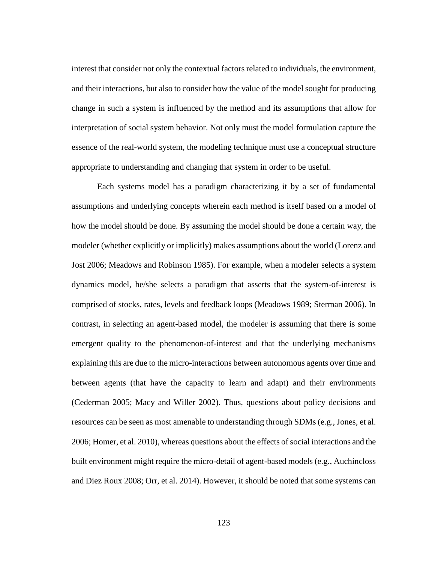interest that consider not only the contextual factors related to individuals, the environment, and their interactions, but also to consider how the value of the model sought for producing change in such a system is influenced by the method and its assumptions that allow for interpretation of social system behavior. Not only must the model formulation capture the essence of the real-world system, the modeling technique must use a conceptual structure appropriate to understanding and changing that system in order to be useful.

Each systems model has a paradigm characterizing it by a set of fundamental assumptions and underlying concepts wherein each method is itself based on a model of how the model should be done. By assuming the model should be done a certain way, the modeler (whether explicitly or implicitly) makes assumptions about the world (Lorenz and Jost 2006; Meadows and Robinson 1985). For example, when a modeler selects a system dynamics model, he/she selects a paradigm that asserts that the system-of-interest is comprised of stocks, rates, levels and feedback loops (Meadows 1989; Sterman 2006). In contrast, in selecting an agent-based model, the modeler is assuming that there is some emergent quality to the phenomenon-of-interest and that the underlying mechanisms explaining this are due to the micro-interactions between autonomous agents over time and between agents (that have the capacity to learn and adapt) and their environments (Cederman 2005; Macy and Willer 2002). Thus, questions about policy decisions and resources can be seen as most amenable to understanding through SDMs (e.g., Jones, et al. 2006; Homer, et al. 2010), whereas questions about the effects of social interactions and the built environment might require the micro-detail of agent-based models (e.g., Auchincloss and Diez Roux 2008; Orr, et al. 2014). However, it should be noted that some systems can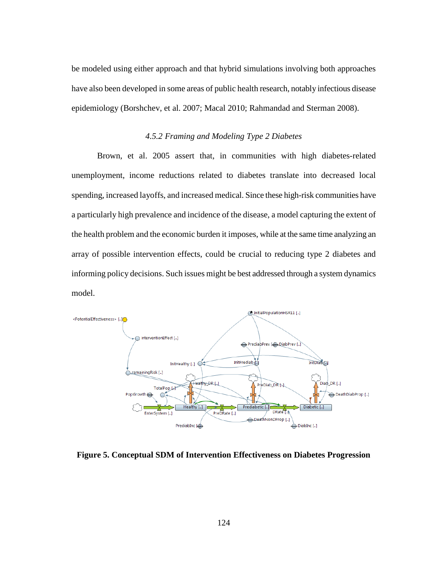be modeled using either approach and that hybrid simulations involving both approaches have also been developed in some areas of public health research, notably infectious disease epidemiology (Borshchev, et al. 2007; Macal 2010; Rahmandad and Sterman 2008).

# *4.5.2 Framing and Modeling Type 2 Diabetes*

Brown, et al. 2005 assert that, in communities with high diabetes-related unemployment, income reductions related to diabetes translate into decreased local spending, increased layoffs, and increased medical. Since these high-risk communities have a particularly high prevalence and incidence of the disease, a model capturing the extent of the health problem and the economic burden it imposes, while at the same time analyzing an array of possible intervention effects, could be crucial to reducing type 2 diabetes and informing policy decisions. Such issues might be best addressed through a system dynamics model.



**Figure 5. Conceptual SDM of Intervention Effectiveness on Diabetes Progression**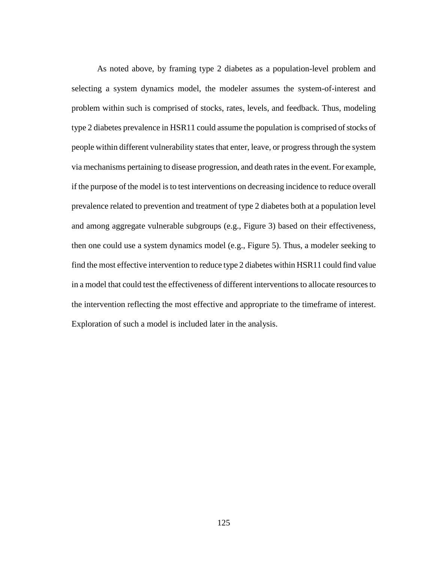As noted above, by framing type 2 diabetes as a population-level problem and selecting a system dynamics model, the modeler assumes the system-of-interest and problem within such is comprised of stocks, rates, levels, and feedback. Thus, modeling type 2 diabetes prevalence in HSR11 could assume the population is comprised of stocks of people within different vulnerability states that enter, leave, or progress through the system via mechanisms pertaining to disease progression, and death rates in the event. For example, if the purpose of the model is to test interventions on decreasing incidence to reduce overall prevalence related to prevention and treatment of type 2 diabetes both at a population level and among aggregate vulnerable subgroups (e.g., Figure 3) based on their effectiveness, then one could use a system dynamics model (e.g., Figure 5). Thus, a modeler seeking to find the most effective intervention to reduce type 2 diabetes within HSR11 could find value in a model that could test the effectiveness of different interventions to allocate resourcesto the intervention reflecting the most effective and appropriate to the timeframe of interest. Exploration of such a model is included later in the analysis.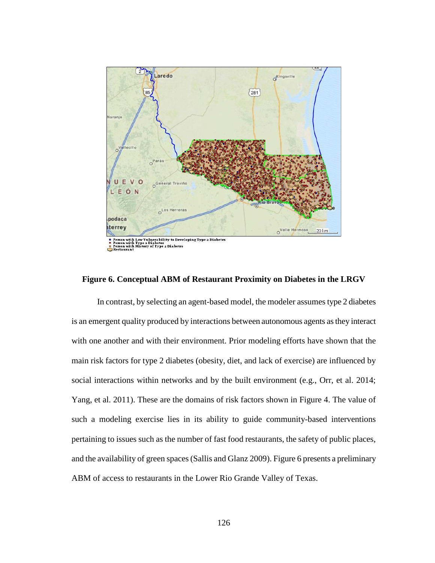

## **Figure 6. Conceptual ABM of Restaurant Proximity on Diabetes in the LRGV**

In contrast, by selecting an agent-based model, the modeler assumes type 2 diabetes is an emergent quality produced by interactions between autonomous agents as they interact with one another and with their environment. Prior modeling efforts have shown that the main risk factors for type 2 diabetes (obesity, diet, and lack of exercise) are influenced by social interactions within networks and by the built environment (e.g., Orr, et al. 2014; Yang, et al. 2011). These are the domains of risk factors shown in Figure 4. The value of such a modeling exercise lies in its ability to guide community-based interventions pertaining to issues such as the number of fast food restaurants, the safety of public places, and the availability of green spaces (Sallis and Glanz 2009). Figure 6 presents a preliminary ABM of access to restaurants in the Lower Rio Grande Valley of Texas.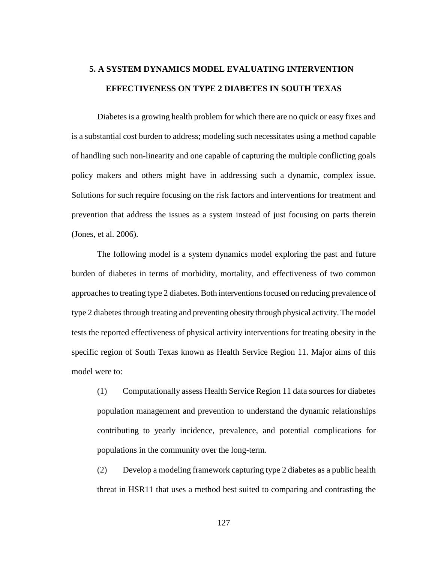# **5. A SYSTEM DYNAMICS MODEL EVALUATING INTERVENTION EFFECTIVENESS ON TYPE 2 DIABETES IN SOUTH TEXAS**

Diabetes is a growing health problem for which there are no quick or easy fixes and is a substantial cost burden to address; modeling such necessitates using a method capable of handling such non-linearity and one capable of capturing the multiple conflicting goals policy makers and others might have in addressing such a dynamic, complex issue. Solutions for such require focusing on the risk factors and interventions for treatment and prevention that address the issues as a system instead of just focusing on parts therein (Jones, et al. 2006).

The following model is a system dynamics model exploring the past and future burden of diabetes in terms of morbidity, mortality, and effectiveness of two common approaches to treating type 2 diabetes. Both interventions focused on reducing prevalence of type 2 diabetes through treating and preventing obesity through physical activity. The model tests the reported effectiveness of physical activity interventions for treating obesity in the specific region of South Texas known as Health Service Region 11. Major aims of this model were to:

- (1) Computationally assess Health Service Region 11 data sources for diabetes population management and prevention to understand the dynamic relationships contributing to yearly incidence, prevalence, and potential complications for populations in the community over the long-term.
- (2) Develop a modeling framework capturing type 2 diabetes as a public health threat in HSR11 that uses a method best suited to comparing and contrasting the

127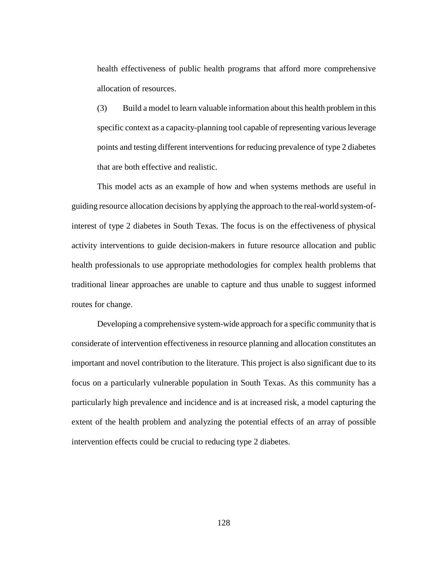health effectiveness of public health programs that afford more comprehensive allocation of resources.

(3) Build a model to learn valuable information about this health problem in this specific context as a capacity-planning tool capable of representing various leverage points and testing different interventions for reducing prevalence of type 2 diabetes that are both effective and realistic.

This model acts as an example of how and when systems methods are useful in guiding resource allocation decisions by applying the approach to the real-world system-ofinterest of type 2 diabetes in South Texas. The focus is on the effectiveness of physical activity interventions to guide decision-makers in future resource allocation and public health professionals to use appropriate methodologies for complex health problems that traditional linear approaches are unable to capture and thus unable to suggest informed routes for change.

Developing a comprehensive system-wide approach for a specific community that is considerate of intervention effectiveness in resource planning and allocation constitutes an important and novel contribution to the literature. This project is also significant due to its focus on a particularly vulnerable population in South Texas. As this community has a particularly high prevalence and incidence and is at increased risk, a model capturing the extent of the health problem and analyzing the potential effects of an array of possible intervention effects could be crucial to reducing type 2 diabetes.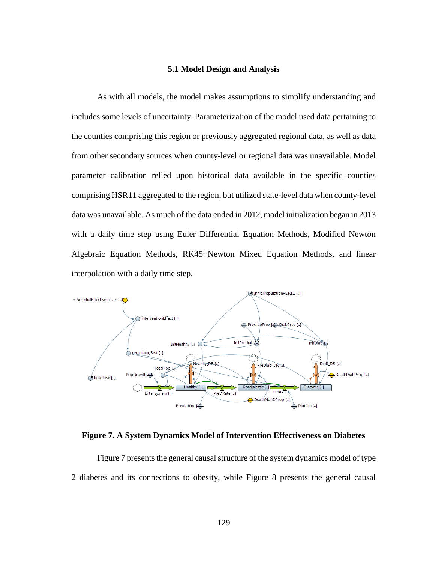#### **5.1 Model Design and Analysis**

As with all models, the model makes assumptions to simplify understanding and includes some levels of uncertainty. Parameterization of the model used data pertaining to the counties comprising this region or previously aggregated regional data, as well as data from other secondary sources when county-level or regional data was unavailable. Model parameter calibration relied upon historical data available in the specific counties comprising HSR11 aggregated to the region, but utilized state-level data when county-level data was unavailable. As much of the data ended in 2012, model initialization began in 2013 with a daily time step using Euler Differential Equation Methods, Modified Newton Algebraic Equation Methods, RK45+Newton Mixed Equation Methods, and linear interpolation with a daily time step.





Figure 7 presents the general causal structure of the system dynamics model of type 2 diabetes and its connections to obesity, while Figure 8 presents the general causal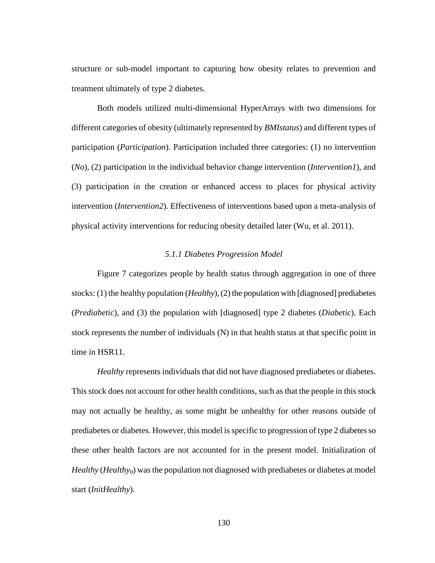structure or sub-model important to capturing how obesity relates to prevention and treatment ultimately of type 2 diabetes.

Both models utilized multi-dimensional HyperArrays with two dimensions for different categories of obesity (ultimately represented by *BMIstatus*) and different types of participation (*Participation*). Participation included three categories: (1) no intervention (*No*), (2) participation in the individual behavior change intervention (*Intervention1*), and (3) participation in the creation or enhanced access to places for physical activity intervention (*Intervention2*). Effectiveness of interventions based upon a meta-analysis of physical activity interventions for reducing obesity detailed later (Wu, et al. 2011).

# *5.1.1 Diabetes Progression Model*

Figure 7 categorizes people by health status through aggregation in one of three stocks: (1) the healthy population (*Healthy*), (2) the population with [diagnosed] prediabetes (*Prediabetic*), and (3) the population with [diagnosed] type 2 diabetes (*Diabetic*). Each stock represents the number of individuals (N) in that health status at that specific point in time in HSR11.

*Healthy* represents individuals that did not have diagnosed prediabetes or diabetes. This stock does not account for other health conditions, such as that the people in this stock may not actually be healthy, as some might be unhealthy for other reasons outside of prediabetes or diabetes. However, this model is specific to progression of type 2 diabetes so these other health factors are not accounted for in the present model. Initialization of *Healthy* (*Healthy*<sub>0</sub>) was the population not diagnosed with prediabetes or diabetes at model start (*InitHealthy*).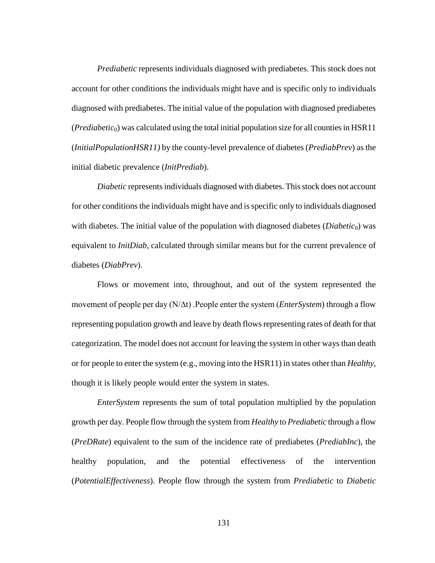*Prediabetic* represents individuals diagnosed with prediabetes. This stock does not account for other conditions the individuals might have and is specific only to individuals diagnosed with prediabetes. The initial value of the population with diagnosed prediabetes (*Prediabetic*0) was calculated using the total initial population size for all counties in HSR11 (*InitialPopulationHSR11)* by the county-level prevalence of diabetes (*PrediabPrev*) as the initial diabetic prevalence (*InitPrediab*).

*Diabetic* represents individuals diagnosed with diabetes. This stock does not account for other conditions the individuals might have and is specific only to individuals diagnosed with diabetes. The initial value of the population with diagnosed diabetes (*Diabetic*<sub>0</sub>) was equivalent to *InitDiab,* calculated through similar means but for the current prevalence of diabetes (*DiabPrev*).

Flows or movement into, throughout, and out of the system represented the movement of people per day (N/∆t) .People enter the system (*EnterSystem*) through a flow representing population growth and leave by death flows representing rates of death for that categorization. The model does not account for leaving the system in other ways than death or for people to enter the system (e.g., moving into the HSR11) in states other than *Healthy*, though it is likely people would enter the system in states.

*EnterSystem* represents the sum of total population multiplied by the population growth per day. People flow through the system from *Healthy* to *Prediabetic* through a flow (*PreDRate*) equivalent to the sum of the incidence rate of prediabetes (*PrediabInc*), the healthy population, and the potential effectiveness of the intervention (*PotentialEffectiveness*). People flow through the system from *Prediabetic* to *Diabetic*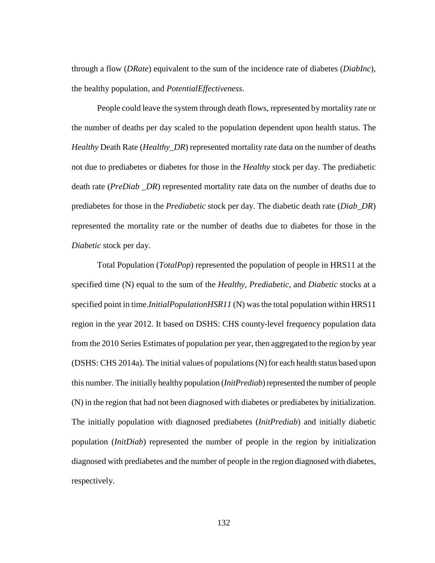through a flow (*DRate*) equivalent to the sum of the incidence rate of diabetes (*DiabInc*), the healthy population, and *PotentialEffectiveness*.

People could leave the system through death flows, represented by mortality rate or the number of deaths per day scaled to the population dependent upon health status. The *Healthy* Death Rate (*Healthy\_DR*) represented mortality rate data on the number of deaths not due to prediabetes or diabetes for those in the *Healthy* stock per day. The prediabetic death rate (*PreDiab \_DR*) represented mortality rate data on the number of deaths due to prediabetes for those in the *Prediabetic* stock per day. The diabetic death rate (*Diab\_DR*) represented the mortality rate or the number of deaths due to diabetes for those in the *Diabetic* stock per day.

Total Population (*TotalPop*) represented the population of people in HRS11 at the specified time (N) equal to the sum of the *Healthy*, *Prediabetic*, and *Diabetic* stocks at a specified point in time.*InitialPopulationHSR11* (N) was the total population within HRS11 region in the year 2012. It based on DSHS: CHS county-level frequency population data from the 2010 Series Estimates of population per year, then aggregated to the region by year (DSHS: CHS 2014a). The initial values of populations (N) for each health status based upon this number. The initially healthy population (*InitPrediab*) represented the number of people (N) in the region that had not been diagnosed with diabetes or prediabetes by initialization. The initially population with diagnosed prediabetes (*InitPrediab*) and initially diabetic population (*InitDiab*) represented the number of people in the region by initialization diagnosed with prediabetes and the number of people in the region diagnosed with diabetes, respectively.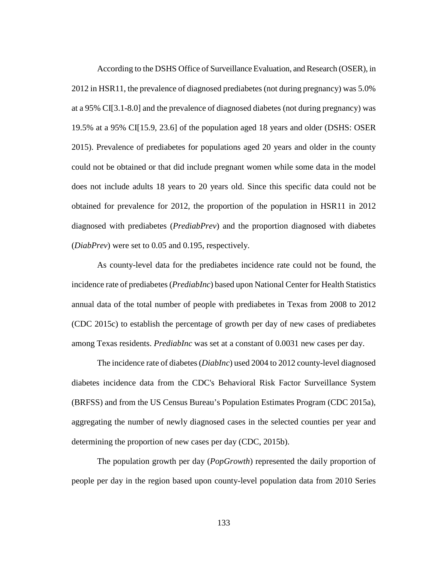According to the DSHS Office of Surveillance Evaluation, and Research (OSER), in 2012 in HSR11, the prevalence of diagnosed prediabetes (not during pregnancy) was 5.0% at a 95% CI[3.1-8.0] and the prevalence of diagnosed diabetes (not during pregnancy) was 19.5% at a 95% CI[15.9, 23.6] of the population aged 18 years and older (DSHS: OSER 2015). Prevalence of prediabetes for populations aged 20 years and older in the county could not be obtained or that did include pregnant women while some data in the model does not include adults 18 years to 20 years old. Since this specific data could not be obtained for prevalence for 2012, the proportion of the population in HSR11 in 2012 diagnosed with prediabetes (*PrediabPrev*) and the proportion diagnosed with diabetes (*DiabPrev*) were set to 0.05 and 0.195, respectively.

As county-level data for the prediabetes incidence rate could not be found, the incidence rate of prediabetes (*PrediabInc*) based upon National Center for Health Statistics annual data of the total number of people with prediabetes in Texas from 2008 to 2012 (CDC 2015c) to establish the percentage of growth per day of new cases of prediabetes among Texas residents. *PrediabInc* was set at a constant of 0.0031 new cases per day.

The incidence rate of diabetes (*DiabInc*) used 2004 to 2012 county-level diagnosed diabetes incidence data from the CDC's Behavioral Risk Factor Surveillance System (BRFSS) and from the US Census Bureau's Population Estimates Program (CDC 2015a), aggregating the number of newly diagnosed cases in the selected counties per year and determining the proportion of new cases per day (CDC, 2015b).

The population growth per day (*PopGrowth*) represented the daily proportion of people per day in the region based upon county-level population data from 2010 Series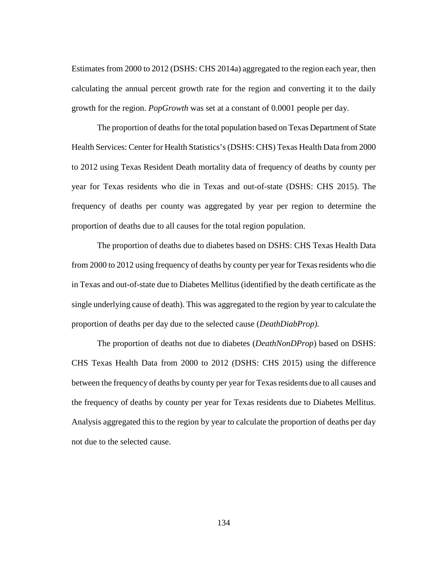Estimates from 2000 to 2012 (DSHS: CHS 2014a) aggregated to the region each year, then calculating the annual percent growth rate for the region and converting it to the daily growth for the region. *PopGrowth* was set at a constant of 0.0001 people per day.

The proportion of deaths for the total population based on Texas Department of State Health Services: Center for Health Statistics's (DSHS: CHS) Texas Health Data from 2000 to 2012 using Texas Resident Death mortality data of frequency of deaths by county per year for Texas residents who die in Texas and out-of-state (DSHS: CHS 2015). The frequency of deaths per county was aggregated by year per region to determine the proportion of deaths due to all causes for the total region population.

The proportion of deaths due to diabetes based on DSHS: CHS Texas Health Data from 2000 to 2012 using frequency of deaths by county per year for Texas residents who die in Texas and out-of-state due to Diabetes Mellitus (identified by the death certificate as the single underlying cause of death). This was aggregated to the region by year to calculate the proportion of deaths per day due to the selected cause (*DeathDiabProp).*

The proportion of deaths not due to diabetes (*DeathNonDProp*) based on DSHS: CHS Texas Health Data from 2000 to 2012 (DSHS: CHS 2015) using the difference between the frequency of deaths by county per year for Texas residents due to all causes and the frequency of deaths by county per year for Texas residents due to Diabetes Mellitus. Analysis aggregated this to the region by year to calculate the proportion of deaths per day not due to the selected cause.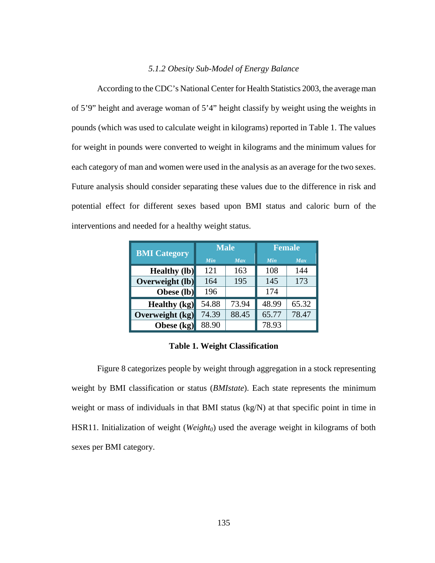# *5.1.2 Obesity Sub-Model of Energy Balance*

According to the CDC's National Center for Health Statistics 2003, the average man of 5'9" height and average woman of 5'4" height classify by weight using the weights in pounds (which was used to calculate weight in kilograms) reported in Table 1. The values for weight in pounds were converted to weight in kilograms and the minimum values for each category of man and women were used in the analysis as an average for the two sexes. Future analysis should consider separating these values due to the difference in risk and potential effect for different sexes based upon BMI status and caloric burn of the interventions and needed for a healthy weight status.

| <b>BMI</b> Category    | <b>Male</b> |            | <b>Female</b> |            |
|------------------------|-------------|------------|---------------|------------|
|                        | Min         | <b>Max</b> | Min           | <b>Max</b> |
| <b>Healthy</b> (lb)    | 121         | 163        | 108           | 144        |
| <b>Overweight (lb)</b> | 164         | 195        | 145           | 173        |
| Obese (lb)             | 196         |            | 174           |            |
| <b>Healthy (kg)</b>    | 54.88       | 73.94      | 48.99         | 65.32      |
| Overweight (kg)        | 74.39       | 88.45      | 65.77         | 78.47      |
| Obese $(kg)$           | 88.90       |            | 78.93         |            |

**Table 1. Weight Classification**

Figure 8 categorizes people by weight through aggregation in a stock representing weight by BMI classification or status (*BMIstate*). Each state represents the minimum weight or mass of individuals in that BMI status (kg/N) at that specific point in time in HSR11. Initialization of weight (*Weight<sub>0</sub>*) used the average weight in kilograms of both sexes per BMI category.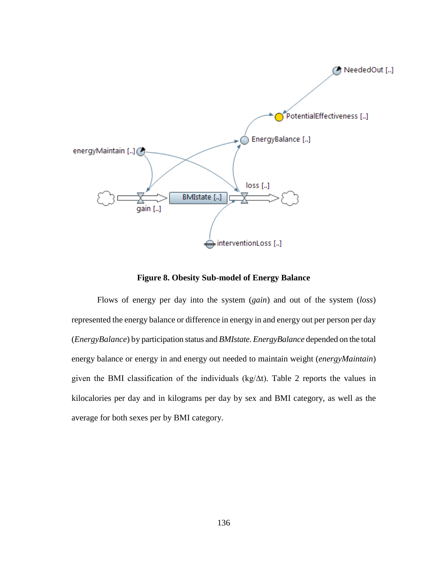

**Figure 8. Obesity Sub-model of Energy Balance**

Flows of energy per day into the system (*gain*) and out of the system (*loss*) represented the energy balance or difference in energy in and energy out per person per day (*EnergyBalance*) by participation status and *BMIstate*. *EnergyBalance* depended on the total energy balance or energy in and energy out needed to maintain weight (*energyMaintain*) given the BMI classification of the individuals (kg/∆t). Table 2 reports the values in kilocalories per day and in kilograms per day by sex and BMI category, as well as the average for both sexes per by BMI category.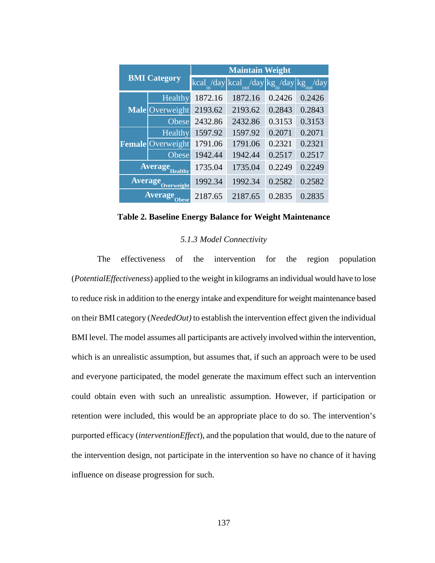| <b>BMI Category</b>       |                          | <b>Maintain Weight</b> |                                                                                                 |        |              |  |
|---------------------------|--------------------------|------------------------|-------------------------------------------------------------------------------------------------|--------|--------------|--|
|                           |                          |                        | $\text{kcal}_{\text{m}}/\text{day}$ kcal $\text{day}$ kg $\text{ky}$ $\text{ky}$ kg $\text{ky}$ |        | $\sqrt{day}$ |  |
|                           | Healthy                  | 1872.16                | 1872.16                                                                                         | 0.2426 | 0.2426       |  |
|                           | Male Overweight          | 2193.62                | 2193.62                                                                                         | 0.2843 | 0.2843       |  |
|                           | Obese                    | 2432.86                | 2432.86                                                                                         | 0.3153 | 0.3153       |  |
|                           | Healthy                  | 1597.92                | 1597.92                                                                                         | 0.2071 | 0.2071       |  |
|                           | <b>Female</b> Overweight | 1791.06                | 1791.06                                                                                         | 0.2321 | 0.2321       |  |
|                           | Obese                    | 1942.44                | 1942.44                                                                                         | 0.2517 | 0.2517       |  |
| <b>Average</b> Healthy    |                          | 1735.04                | 1735.04                                                                                         | 0.2249 | 0.2249       |  |
| <b>Average</b> Overweight |                          | 1992.34                | 1992.34                                                                                         | 0.2582 | 0.2582       |  |
| Average Obese             |                          | 2187.65                | 2187.65                                                                                         | 0.2835 | 0.2835       |  |

**Table 2. Baseline Energy Balance for Weight Maintenance**

# *5.1.3 Model Connectivity*

The effectiveness of the intervention for the region population (*PotentialEffectiveness*) applied to the weight in kilograms an individual would have to lose to reduce risk in addition to the energy intake and expenditure for weight maintenance based on their BMI category (*NeededOut)* to establish the intervention effect given the individual BMI level. The model assumes all participants are actively involved within the intervention, which is an unrealistic assumption, but assumes that, if such an approach were to be used and everyone participated, the model generate the maximum effect such an intervention could obtain even with such an unrealistic assumption. However, if participation or retention were included, this would be an appropriate place to do so. The intervention's purported efficacy (*interventionEffect*), and the population that would, due to the nature of the intervention design, not participate in the intervention so have no chance of it having influence on disease progression for such.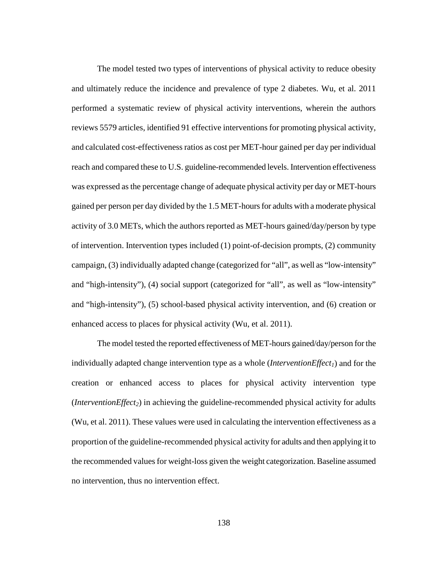The model tested two types of interventions of physical activity to reduce obesity and ultimately reduce the incidence and prevalence of type 2 diabetes. Wu, et al. 2011 performed a systematic review of physical activity interventions, wherein the authors reviews 5579 articles, identified 91 effective interventions for promoting physical activity, and calculated cost-effectiveness ratios as cost per MET-hour gained per day per individual reach and compared these to U.S. guideline-recommended levels. Intervention effectiveness was expressed as the percentage change of adequate physical activity per day or MET-hours gained per person per day divided by the 1.5 MET-hours for adults with a moderate physical activity of 3.0 METs, which the authors reported as MET-hours gained/day/person by type of intervention. Intervention types included (1) point-of-decision prompts, (2) community campaign, (3) individually adapted change (categorized for "all", as well as "low-intensity" and "high-intensity"), (4) social support (categorized for "all", as well as "low-intensity" and "high-intensity"), (5) school-based physical activity intervention, and (6) creation or enhanced access to places for physical activity (Wu, et al. 2011).

The model tested the reported effectiveness of MET-hours gained/day/person for the individually adapted change intervention type as a whole (*InterventionEffect<sub>1</sub>*) and for the creation or enhanced access to places for physical activity intervention type (*InterventionEffect2*) in achieving the guideline-recommended physical activity for adults (Wu, et al. 2011). These values were used in calculating the intervention effectiveness as a proportion of the guideline-recommended physical activity for adults and then applying it to the recommended values for weight-loss given the weight categorization. Baseline assumed no intervention, thus no intervention effect.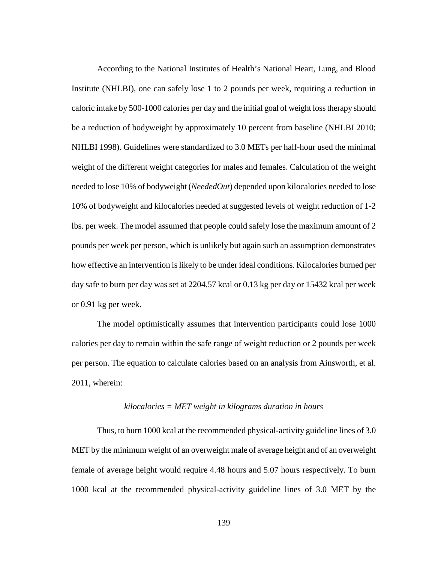According to the National Institutes of Health's National Heart, Lung, and Blood Institute (NHLBI), one can safely lose 1 to 2 pounds per week, requiring a reduction in caloric intake by 500-1000 calories per day and the initial goal of weight loss therapy should be a reduction of bodyweight by approximately 10 percent from baseline (NHLBI 2010; NHLBI 1998). Guidelines were standardized to 3.0 METs per half-hour used the minimal weight of the different weight categories for males and females. Calculation of the weight needed to lose 10% of bodyweight (*NeededOut*) depended upon kilocalories needed to lose 10% of bodyweight and kilocalories needed at suggested levels of weight reduction of 1-2 lbs. per week. The model assumed that people could safely lose the maximum amount of 2 pounds per week per person, which is unlikely but again such an assumption demonstrates how effective an intervention is likely to be under ideal conditions. Kilocalories burned per day safe to burn per day was set at 2204.57 kcal or 0.13 kg per day or 15432 kcal per week or 0.91 kg per week.

The model optimistically assumes that intervention participants could lose 1000 calories per day to remain within the safe range of weight reduction or 2 pounds per week per person. The equation to calculate calories based on an analysis from Ainsworth, et al. 2011, wherein:

## *kilocalories = MET weight in kilograms duration in hours*

Thus, to burn 1000 kcal at the recommended physical-activity guideline lines of 3.0 MET by the minimum weight of an overweight male of average height and of an overweight female of average height would require 4.48 hours and 5.07 hours respectively. To burn 1000 kcal at the recommended physical-activity guideline lines of 3.0 MET by the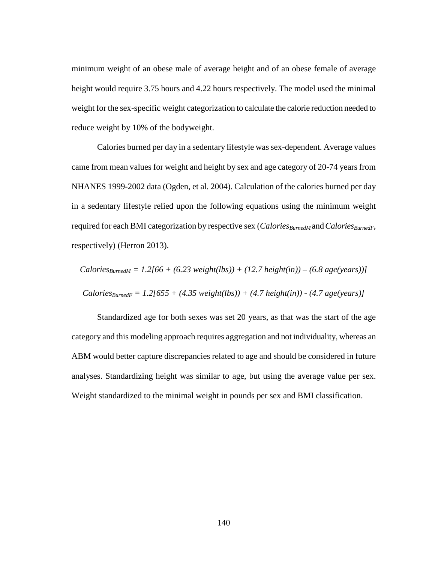minimum weight of an obese male of average height and of an obese female of average height would require 3.75 hours and 4.22 hours respectively. The model used the minimal weight for the sex-specific weight categorization to calculate the calorie reduction needed to reduce weight by 10% of the bodyweight.

Calories burned per day in a sedentary lifestyle was sex-dependent. Average values came from mean values for weight and height by sex and age category of 20-74 years from NHANES 1999-2002 data (Ogden, et al. 2004). Calculation of the calories burned per day in a sedentary lifestyle relied upon the following equations using the minimum weight required for each BMI categorization by respective sex (*Calories<sub>BurnedM</sub>* and *Calories<sub>BurnedF</sub>*, respectively) (Herron 2013).

*CaloriesBurnedM = 1.2[66 + (6.23 weight(lbs)) + (12.7 height(in)) – (6.8 age(years))]*

 $Calories_{BumedF} = 1.2[655 + (4.35 weight(lbs)) + (4.7 height(in)) - (4.7 age/years)]$ 

Standardized age for both sexes was set 20 years, as that was the start of the age category and this modeling approach requires aggregation and not individuality, whereas an ABM would better capture discrepancies related to age and should be considered in future analyses. Standardizing height was similar to age, but using the average value per sex. Weight standardized to the minimal weight in pounds per sex and BMI classification.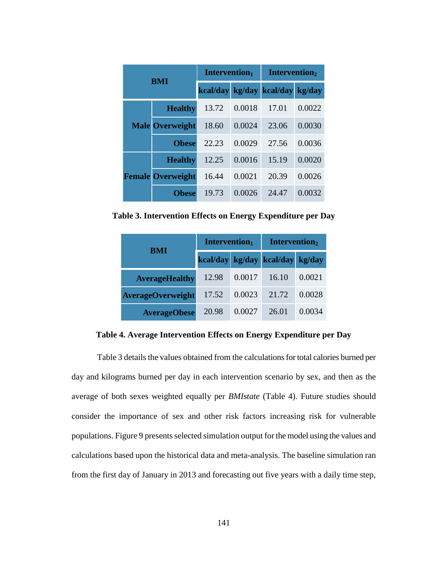| <b>BMI</b> |                          | Intervention <sub>1</sub> |        | Intervention <sub>2</sub>       |        |
|------------|--------------------------|---------------------------|--------|---------------------------------|--------|
|            |                          |                           |        | kcal/day kg/day kcal/day kg/day |        |
|            | <b>Healthy</b>           | 13.72                     | 0.0018 | 17.01                           | 0.0022 |
|            | <b>Male Overweight</b>   | 18.60                     | 0.0024 | 23.06                           | 0.0030 |
|            | <b>Obese</b>             | 22.23                     | 0.0029 | 27.56                           | 0.0036 |
|            | <b>Healthy</b>           | 12.25                     | 0.0016 | 15.19                           | 0.0020 |
|            | <b>Female Overweight</b> | 16.44                     | 0.0021 | 20.39                           | 0.0026 |
|            | <b>Obese</b>             | 19.73                     | 0.0026 | 24.47                           | 0.0032 |

**Table 3. Intervention Effects on Energy Expenditure per Day**

| <b>BMI</b>               | Intervention <sub>1</sub> |        | Intervention <sub>2</sub>       |        |
|--------------------------|---------------------------|--------|---------------------------------|--------|
|                          |                           |        | kcal/day kg/day kcal/day kg/day |        |
| <b>AverageHealthy</b>    | 12.98                     | 0.0017 | 16.10                           | 0.0021 |
| <b>AverageOverweight</b> | 17.52                     | 0.0023 | 21.72                           | 0.0028 |
| <b>AverageObese</b>      | 20.98                     | 0.0027 | 26.01                           | 0.0034 |

<span id="page-147-0"></span>**Table 4. Average Intervention Effects on Energy Expenditure per Day**

Table 3 details the values obtained from the calculations for total calories burned per day and kilograms burned per day in each intervention scenario by sex, and then as the average of both sexes weighted equally per *BMIstate* [\(Table 4\)](#page-147-0). Future studies should consider the importance of sex and other risk factors increasing risk for vulnerable populations. Figure 9 presents selected simulation output for the model using the values and calculations based upon the historical data and meta-analysis. The baseline simulation ran from the first day of January in 2013 and forecasting out five years with a daily time step,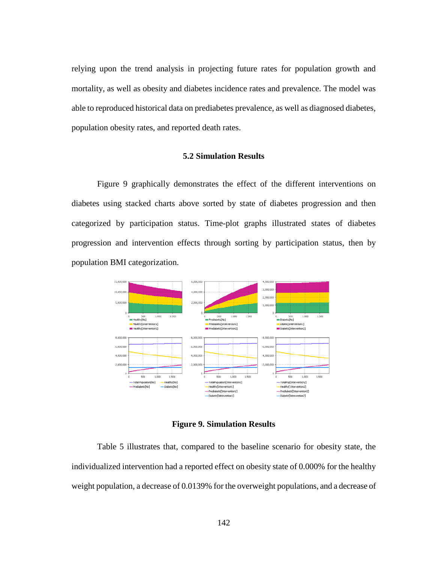relying upon the trend analysis in projecting future rates for population growth and mortality, as well as obesity and diabetes incidence rates and prevalence. The model was able to reproduced historical data on prediabetes prevalence, as well as diagnosed diabetes, population obesity rates, and reported death rates.

# **5.2 Simulation Results**

Figure 9 graphically demonstrates the effect of the different interventions on diabetes using stacked charts above sorted by state of diabetes progression and then categorized by participation status. Time-plot graphs illustrated states of diabetes progression and intervention effects through sorting by participation status, then by population BMI categorization.



**Figure 9. Simulation Results**

[Table 5](#page-149-0) illustrates that, compared to the baseline scenario for obesity state, the individualized intervention had a reported effect on obesity state of 0.000% for the healthy weight population, a decrease of 0.0139% for the overweight populations, and a decrease of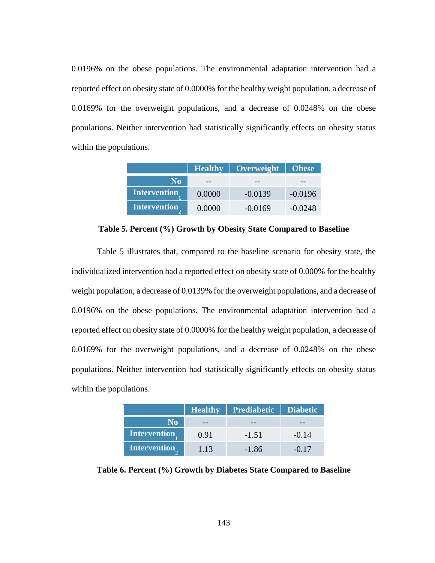0.0196% on the obese populations. The environmental adaptation intervention had a reported effect on obesity state of 0.0000% for the healthy weight population, a decrease of 0.0169% for the overweight populations, and a decrease of 0.0248% on the obese populations. Neither intervention had statistically significantly effects on obesity status within the populations.

|                | <b>Healthy</b> | Overweight   Obese |           |
|----------------|----------------|--------------------|-----------|
| N <sub>0</sub> |                |                    |           |
| Intervention   | 0.0000         | $-0.0139$          | $-0.0196$ |
| Intervention   | 0.0000         | $-0.0169$          | $-0.0248$ |

<span id="page-149-0"></span>**Table 5. Percent (%) Growth by Obesity State Compared to Baseline**

[Table 5](#page-149-0) illustrates that, compared to the baseline scenario for obesity state, the individualized intervention had a reported effect on obesity state of 0.000% for the healthy weight population, a decrease of 0.0139% for the overweight populations, and a decrease of 0.0196% on the obese populations. The environmental adaptation intervention had a reported effect on obesity state of 0.0000% for the healthy weight population, a decrease of 0.0169% for the overweight populations, and a decrease of 0.0248% on the obese populations. Neither intervention had statistically significantly effects on obesity status within the populations.

|                     | <b>Healthy</b> | <b>Prediabetic</b> | <b>Diabetic</b> |
|---------------------|----------------|--------------------|-----------------|
| No.                 |                |                    |                 |
| Intervention        | 0.91           | $-1.51$            | $-0.14$         |
| <b>Intervention</b> | 1.13           | $-1.86$            | -0.17           |

<span id="page-149-1"></span>**Table 6. Percent (%) Growth by Diabetes State Compared to Baseline**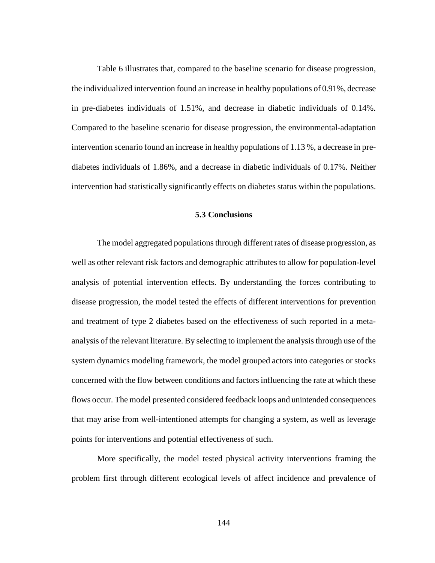[Table 6](#page-149-1) illustrates that, compared to the baseline scenario for disease progression, the individualized intervention found an increase in healthy populations of 0.91%, decrease in pre-diabetes individuals of 1.51%, and decrease in diabetic individuals of 0.14%. Compared to the baseline scenario for disease progression, the environmental-adaptation intervention scenario found an increase in healthy populations of 1.13 %, a decrease in prediabetes individuals of 1.86%, and a decrease in diabetic individuals of 0.17%. Neither intervention had statistically significantly effects on diabetes status within the populations.

## **5.3 Conclusions**

The model aggregated populations through different rates of disease progression, as well as other relevant risk factors and demographic attributes to allow for population-level analysis of potential intervention effects. By understanding the forces contributing to disease progression, the model tested the effects of different interventions for prevention and treatment of type 2 diabetes based on the effectiveness of such reported in a metaanalysis of the relevant literature. By selecting to implement the analysis through use of the system dynamics modeling framework, the model grouped actors into categories or stocks concerned with the flow between conditions and factors influencing the rate at which these flows occur. The model presented considered feedback loops and unintended consequences that may arise from well-intentioned attempts for changing a system, as well as leverage points for interventions and potential effectiveness of such.

More specifically, the model tested physical activity interventions framing the problem first through different ecological levels of affect incidence and prevalence of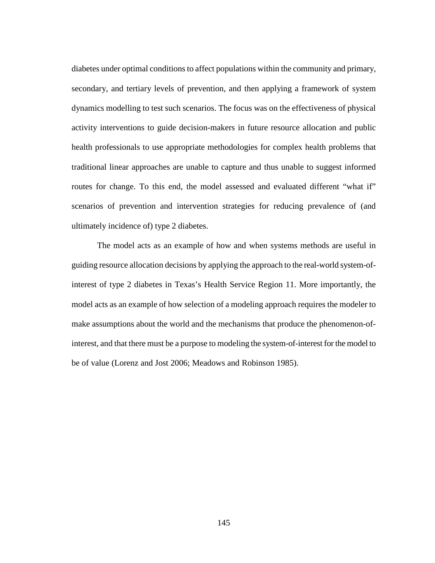diabetes under optimal conditions to affect populations within the community and primary, secondary, and tertiary levels of prevention, and then applying a framework of system dynamics modelling to test such scenarios. The focus was on the effectiveness of physical activity interventions to guide decision-makers in future resource allocation and public health professionals to use appropriate methodologies for complex health problems that traditional linear approaches are unable to capture and thus unable to suggest informed routes for change. To this end, the model assessed and evaluated different "what if" scenarios of prevention and intervention strategies for reducing prevalence of (and ultimately incidence of) type 2 diabetes.

The model acts as an example of how and when systems methods are useful in guiding resource allocation decisions by applying the approach to the real-world system-ofinterest of type 2 diabetes in Texas's Health Service Region 11. More importantly, the model acts as an example of how selection of a modeling approach requires the modeler to make assumptions about the world and the mechanisms that produce the phenomenon-ofinterest, and that there must be a purpose to modeling the system-of-interest for the model to be of value (Lorenz and Jost 2006; Meadows and Robinson 1985).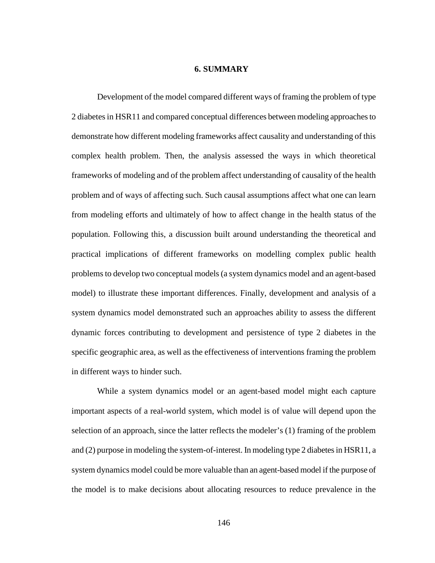#### **6. SUMMARY**

Development of the model compared different ways of framing the problem of type 2 diabetes in HSR11 and compared conceptual differences between modeling approaches to demonstrate how different modeling frameworks affect causality and understanding of this complex health problem. Then, the analysis assessed the ways in which theoretical frameworks of modeling and of the problem affect understanding of causality of the health problem and of ways of affecting such. Such causal assumptions affect what one can learn from modeling efforts and ultimately of how to affect change in the health status of the population. Following this, a discussion built around understanding the theoretical and practical implications of different frameworks on modelling complex public health problems to develop two conceptual models (a system dynamics model and an agent-based model) to illustrate these important differences. Finally, development and analysis of a system dynamics model demonstrated such an approaches ability to assess the different dynamic forces contributing to development and persistence of type 2 diabetes in the specific geographic area, as well as the effectiveness of interventions framing the problem in different ways to hinder such.

While a system dynamics model or an agent-based model might each capture important aspects of a real-world system, which model is of value will depend upon the selection of an approach, since the latter reflects the modeler's (1) framing of the problem and (2) purpose in modeling the system-of-interest. In modeling type 2 diabetes in HSR11, a system dynamics model could be more valuable than an agent-based model if the purpose of the model is to make decisions about allocating resources to reduce prevalence in the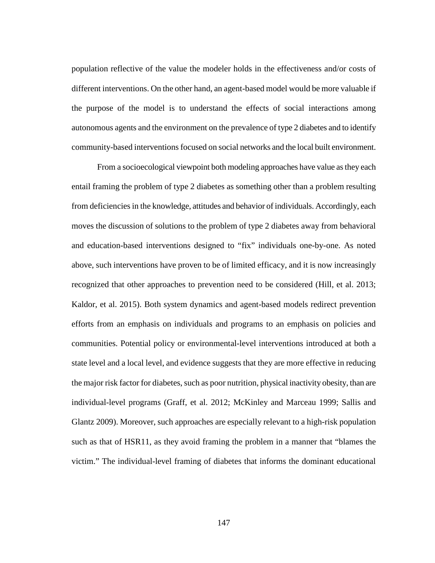population reflective of the value the modeler holds in the effectiveness and/or costs of different interventions. On the other hand, an agent-based model would be more valuable if the purpose of the model is to understand the effects of social interactions among autonomous agents and the environment on the prevalence of type 2 diabetes and to identify community-based interventions focused on social networks and the local built environment.

From a socioecological viewpoint both modeling approaches have value as they each entail framing the problem of type 2 diabetes as something other than a problem resulting from deficiencies in the knowledge, attitudes and behavior of individuals. Accordingly, each moves the discussion of solutions to the problem of type 2 diabetes away from behavioral and education-based interventions designed to "fix" individuals one-by-one. As noted above, such interventions have proven to be of limited efficacy, and it is now increasingly recognized that other approaches to prevention need to be considered (Hill, et al. 2013; Kaldor, et al. 2015). Both system dynamics and agent-based models redirect prevention efforts from an emphasis on individuals and programs to an emphasis on policies and communities. Potential policy or environmental-level interventions introduced at both a state level and a local level, and evidence suggests that they are more effective in reducing the major risk factor for diabetes, such as poor nutrition, physical inactivity obesity, than are individual-level programs (Graff, et al. 2012; McKinley and Marceau 1999; Sallis and Glantz 2009). Moreover, such approaches are especially relevant to a high-risk population such as that of HSR11, as they avoid framing the problem in a manner that "blames the victim." The individual-level framing of diabetes that informs the dominant educational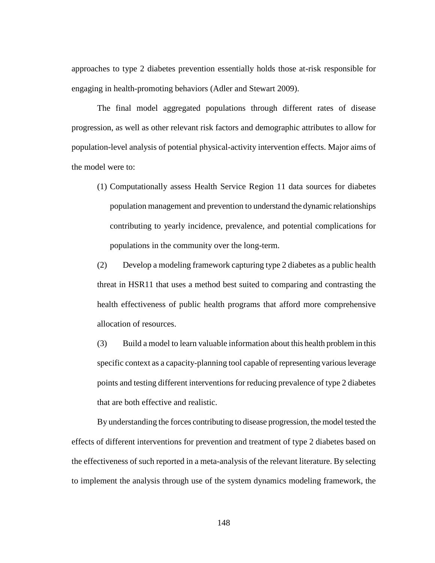approaches to type 2 diabetes prevention essentially holds those at-risk responsible for engaging in health-promoting behaviors (Adler and Stewart 2009).

The final model aggregated populations through different rates of disease progression, as well as other relevant risk factors and demographic attributes to allow for population-level analysis of potential physical-activity intervention effects. Major aims of the model were to:

(1) Computationally assess Health Service Region 11 data sources for diabetes population management and prevention to understand the dynamic relationships contributing to yearly incidence, prevalence, and potential complications for populations in the community over the long-term.

(2) Develop a modeling framework capturing type 2 diabetes as a public health threat in HSR11 that uses a method best suited to comparing and contrasting the health effectiveness of public health programs that afford more comprehensive allocation of resources.

(3) Build a model to learn valuable information about this health problem in this specific context as a capacity-planning tool capable of representing various leverage points and testing different interventions for reducing prevalence of type 2 diabetes that are both effective and realistic.

By understanding the forces contributing to disease progression, the model tested the effects of different interventions for prevention and treatment of type 2 diabetes based on the effectiveness of such reported in a meta-analysis of the relevant literature. By selecting to implement the analysis through use of the system dynamics modeling framework, the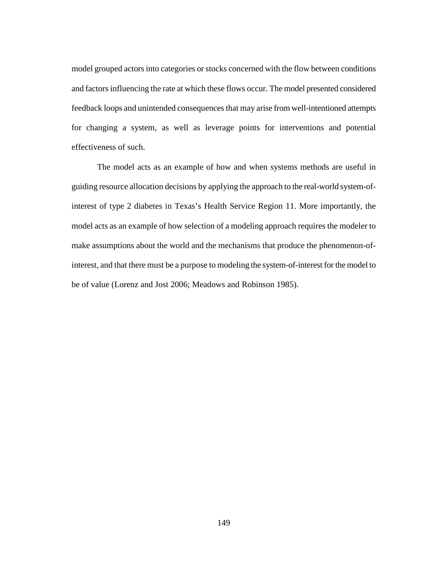model grouped actors into categories or stocks concerned with the flow between conditions and factors influencing the rate at which these flows occur. The model presented considered feedback loops and unintended consequences that may arise from well-intentioned attempts for changing a system, as well as leverage points for interventions and potential effectiveness of such.

The model acts as an example of how and when systems methods are useful in guiding resource allocation decisions by applying the approach to the real-world system-ofinterest of type 2 diabetes in Texas's Health Service Region 11. More importantly, the model acts as an example of how selection of a modeling approach requires the modeler to make assumptions about the world and the mechanisms that produce the phenomenon-ofinterest, and that there must be a purpose to modeling the system-of-interest for the model to be of value (Lorenz and Jost 2006; Meadows and Robinson 1985).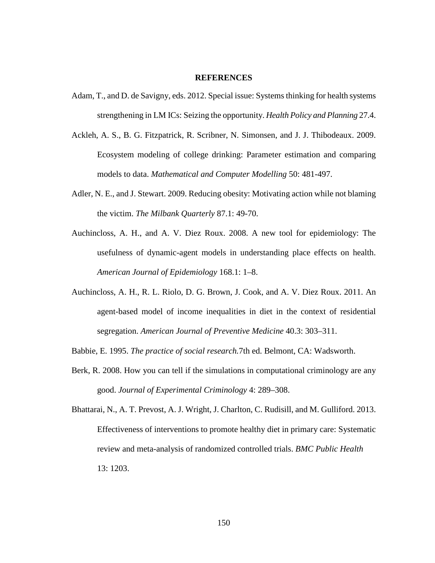#### **REFERENCES**

- Adam, T., and D. de Savigny, eds. 2012. Special issue: Systems thinking for health systems strengthening in LM ICs: Seizing the opportunity. *Health Policy and Planning* 27.4.
- Ackleh, A. S., B. G. Fitzpatrick, R. Scribner, N. Simonsen, and J. J. Thibodeaux. 2009. Ecosystem modeling of college drinking: Parameter estimation and comparing models to data. *Mathematical and Computer Modelling* 50: 481-497.
- Adler, N. E., and J. Stewart. 2009. Reducing obesity: Motivating action while not blaming the victim. *The Milbank Quarterly* 87.1: 49-70.
- Auchincloss, A. H., and A. V. Diez Roux. 2008. A new tool for epidemiology: The usefulness of dynamic-agent models in understanding place effects on health. *American Journal of Epidemiology* 168.1: 1–8.
- Auchincloss, A. H., R. L. Riolo, D. G. Brown, J. Cook, and A. V. Diez Roux. 2011. An agent-based model of income inequalities in diet in the context of residential segregation. *American Journal of Preventive Medicine* 40.3: 303–311.
- Babbie, E. 1995. *The practice of social research.*7th ed. Belmont, CA: Wadsworth.
- Berk, R. 2008. How you can tell if the simulations in computational criminology are any good. *Journal of Experimental Criminology* 4: 289–308.
- Bhattarai, N., A. T. Prevost, A. J. Wright, J. Charlton, C. Rudisill, and M. Gulliford. 2013. Effectiveness of interventions to promote healthy diet in primary care: Systematic review and meta-analysis of randomized controlled trials. *BMC Public Health* 13: 1203.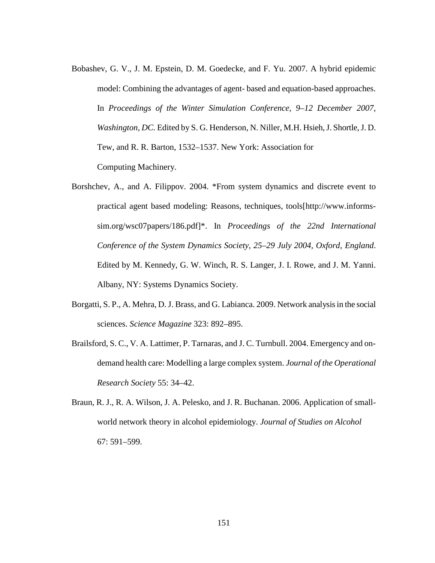- Bobashev, G. V., J. M. Epstein, D. M. Goedecke, and F. Yu. 2007. A hybrid epidemic model: Combining the advantages of agent- based and equation-based approaches. In *Proceedings of the Winter Simulation Conference, 9–12 December 2007, Washington, DC.* Edited by S. G. Henderson, N. Niller, M.H. Hsieh, J. Shortle, J. D. Tew, and R. R. Barton, 1532–1537. New York: Association for Computing Machinery.
- Borshchev, A., and A. Filippov. 2004. \*From system dynamics and discrete event to practical agent based modeling: Reasons, techniques, tools[http://www.informssim.org/wsc07papers/186.pdf]\*. In *Proceedings of the 22nd International Conference of the System Dynamics Society, 25–29 July 2004, Oxford, England*. Edited by M. Kennedy, G. W. Winch, R. S. Langer, J. I. Rowe, and J. M. Yanni. Albany, NY: Systems Dynamics Society.
- Borgatti, S. P., A. Mehra, D. J. Brass, and G. Labianca. 2009. Network analysis in the social sciences. *Science Magazine* 323: 892–895.
- Brailsford, S. C., V. A. Lattimer, P. Tarnaras, and J. C. Turnbull. 2004. Emergency and ondemand health care: Modelling a large complex system. *Journal of the Operational Research Society* 55: 34–42.
- Braun, R. J., R. A. Wilson, J. A. Pelesko, and J. R. Buchanan. 2006. Application of smallworld network theory in alcohol epidemiology. *Journal of Studies on Alcohol* 67: 591–599.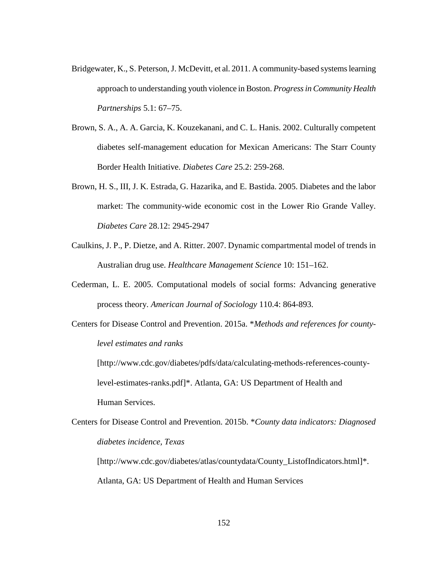- Bridgewater, K., S. Peterson, J. McDevitt, et al. 2011. A community-based systems learning approach to understanding youth violence in Boston. *Progress in Community Health Partnerships* 5.1: 67–75.
- Brown, S. A., A. A. Garcia, K. Kouzekanani, and C. L. Hanis. 2002. Culturally competent diabetes self-management education for Mexican Americans: The Starr County Border Health Initiative. *Diabetes Care* 25.2: 259-268.
- Brown, H. S., III, J. K. Estrada, G. Hazarika, and E. Bastida. 2005. Diabetes and the labor market: The community-wide economic cost in the Lower Rio Grande Valley. *Diabetes Care* 28.12: 2945-2947
- Caulkins, J. P., P. Dietze, and A. Ritter. 2007. Dynamic compartmental model of trends in Australian drug use. *Healthcare Management Science* 10: 151–162.
- Cederman, L. E. 2005. Computational models of social forms: Advancing generative process theory. *American Journal of Sociology* 110.4: 864-893.
- Centers for Disease Control and Prevention. 2015a. \**Methods and references for countylevel estimates and ranks*

[\[http://www.cdc.gov/diabetes/pdfs/data/calculating-methods-references-county](http://www.cdc.gov/diabetes/pdfs/data/calculating-methods-references-county-level-estimates-ranks.pdf)[level-estimates-ranks.pdf\]](http://www.cdc.gov/diabetes/pdfs/data/calculating-methods-references-county-level-estimates-ranks.pdf)\*. Atlanta, GA: US Department of Health and Human Services.

Centers for Disease Control and Prevention. 2015b. \**County data indicators: Diagnosed diabetes incidence, Texas* [\[http://www.cdc.gov/diabetes/atlas/countydata/County\\_ListofIndicators.html\]](http://www.cdc.gov/diabetes/atlas/countydata/County_ListofIndicators.html)\*. Atlanta, GA: US Department of Health and Human Services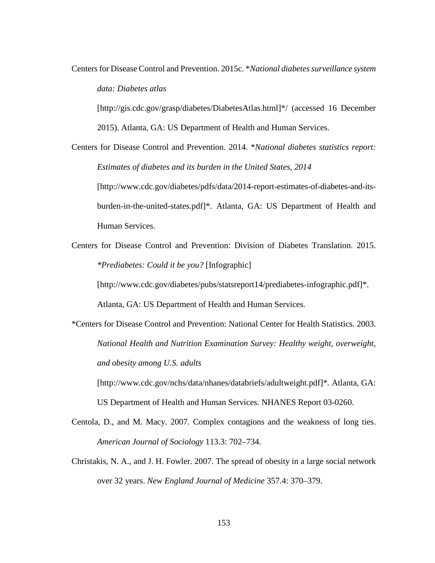Centers for Disease Control and Prevention. 2015c. \**National diabetes surveillance system data: Diabetes atlas*

[http://gis.cdc.gov/grasp/diabetes/DiabetesAtlas.html]\*/ (accessed 16 December 2015). Atlanta, GA: US Department of Health and Human Services.

Centers for Disease Control and Prevention. 2014. \**National diabetes statistics report:* 

*Estimates of diabetes and its burden in the United States, 2014* [http://www.cdc.gov/diabetes/pdfs/data/2014-report-estimates-of-diabetes-and-itsburden-in-the-united-states.pdf]\*. Atlanta, GA: US Department of Health and Human Services.

Centers for Disease Control and Prevention: Division of Diabetes Translation. 2015. *\*Prediabetes: Could it be you?* [Infographic]

[http://www.cdc.gov/diabetes/pubs/statsreport14/prediabetes-infographic.pdf]\*.

Atlanta, GA: US Department of Health and Human Services.

\*Centers for Disease Control and Prevention: National Center for Health Statistics. 2003. *National Health and Nutrition Examination Survey: Healthy weight, overweight, and obesity among U.S. adults*

[http://www.cdc.gov/nchs/data/nhanes/databriefs/adultweight.pdf]\**.* Atlanta, GA: US Department of Health and Human Services. NHANES Report 03-0260.

- Centola, D., and M. Macy. 2007. Complex contagions and the weakness of long ties. *American Journal of Sociology* 113.3: 702–734.
- Christakis, N. A., and J. H. Fowler. 2007. The spread of obesity in a large social network over 32 years. *New England Journal of Medicine* 357.4: 370–379.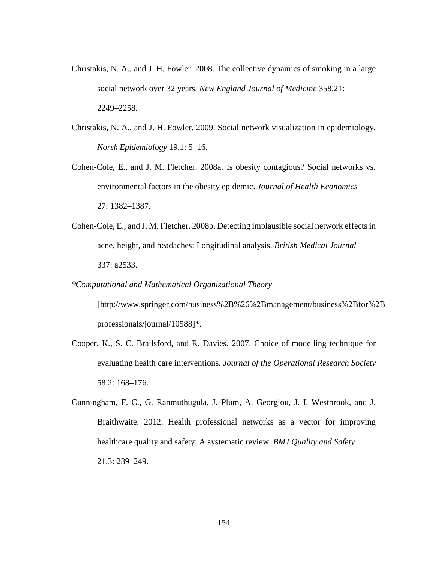- Christakis, N. A., and J. H. Fowler. 2008. The collective dynamics of smoking in a large social network over 32 years. *New England Journal of Medicine* 358.21: 2249–2258.
- Christakis, N. A., and J. H. Fowler. 2009. Social network visualization in epidemiology. *Norsk Epidemiology* 19.1: 5–16.
- Cohen-Cole, E., and J. M. Fletcher. 2008a. Is obesity contagious? Social networks vs. environmental factors in the obesity epidemic. *Journal of Health Economics* 27: 1382–1387.
- Cohen-Cole, E., and J. M. Fletcher. 2008b. Detecting implausible social network effects in acne, height, and headaches: Longitudinal analysis. *British Medical Journal* 337: a2533.
- *\*Computational and Mathematical Organizational Theory*

[http://www.springer.com/business%2B%26%2Bmanagement/business%2Bfor%2B professionals/journal/10588]\*.

- Cooper, K., S. C. Brailsford, and R. Davies. 2007. Choice of modelling technique for evaluating health care interventions. *Journal of the Operational Research Society* 58.2: 168–176.
- Cunningham, F. C., G. Ranmuthugula, J. Plum, A. Georgiou, J. I. Westbrook, and J. Braithwaite. 2012. Health professional networks as a vector for improving healthcare quality and safety: A systematic review. *BMJ Quality and Safety* 21.3: 239–249.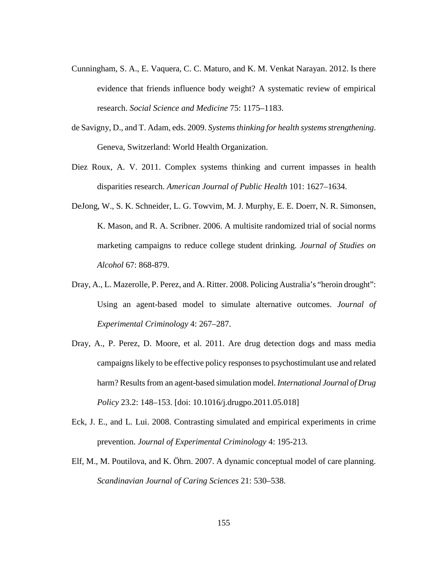- Cunningham, S. A., E. Vaquera, C. C. Maturo, and K. M. Venkat Narayan. 2012. Is there evidence that friends influence body weight? A systematic review of empirical research. *Social Science and Medicine* 75: 1175–1183.
- de Savigny, D., and T. Adam, eds. 2009. *Systems thinking for health systems strengthening*. Geneva, Switzerland: World Health Organization.
- Diez Roux, A. V. 2011. Complex systems thinking and current impasses in health disparities research. *American Journal of Public Health* 101: 1627–1634.
- DeJong, W., S. K. Schneider, L. G. Towvim, M. J. Murphy, E. E. Doerr, N. R. Simonsen, K. Mason, and R. A. Scribner. 2006. A multisite randomized trial of social norms marketing campaigns to reduce college student drinking. *Journal of Studies on Alcohol* 67: 868-879.
- Dray, A., L. Mazerolle, P. Perez, and A. Ritter. 2008. Policing Australia's "heroin drought": Using an agent-based model to simulate alternative outcomes. *Journal of Experimental Criminology* 4: 267–287.
- Dray, A., P. Perez, D. Moore, et al. 2011. Are drug detection dogs and mass media campaigns likely to be effective policy responses to psychostimulant use and related harm? Results from an agent-based simulation model. *International Journal of Drug Policy* 23.2: 148–153. [doi: 10.1016/j.drugpo.2011.05.018]
- Eck, J. E., and L. Lui. 2008. Contrasting simulated and empirical experiments in crime prevention. *Journal of Experimental Criminology* 4: 195-213.
- Elf, M., M. Poutilova, and K. Öhrn. 2007. A dynamic conceptual model of care planning. *Scandinavian Journal of Caring Sciences* 21: 530–538.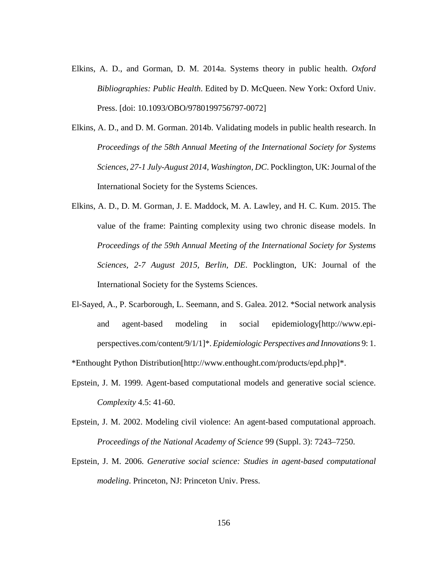- Elkins, A. D., and Gorman, D. M. 2014a. Systems theory in public health. *Oxford Bibliographies: Public Health*. Edited by D. McQueen. New York: Oxford Univ. Press. [doi: 10.1093/OBO/9780199756797-0072]
- Elkins, A. D., and D. M. Gorman. 2014b. Validating models in public health research. In *Proceedings of the 58th Annual Meeting of the International Society for Systems Sciences, 27-1 July-August 2014, Washington, DC*. Pocklington, UK: Journal of the International Society for the Systems Sciences.
- Elkins, A. D., D. M. Gorman, J. E. Maddock, M. A. Lawley, and H. C. Kum. 2015. The value of the frame: Painting complexity using two chronic disease models. In *Proceedings of the 59th Annual Meeting of the International Society for Systems Sciences, 2-7 August 2015, Berlin, DE*. Pocklington, UK: Journal of the International Society for the Systems Sciences.
- El-Sayed, A., P. Scarborough, L. Seemann, and S. Galea. 2012. \*Social network analysis and agent-based modeling in social epidemiology[http://www.epiperspectives.com/content/9/1/1]\*. *Epidemiologic Perspectives and Innovations* 9: 1.

[\\*Enthought Python Distribution\[](http://www.enthought.com/products/epd.php)http://www.enthought.com/products/epd.php]\*.

- Epstein, J. M. 1999. Agent-based computational models and generative social science. *Complexity* 4.5: 41-60.
- Epstein, J. M. 2002. Modeling civil violence: An agent-based computational approach. *Proceedings of the National Academy of Science* 99 (Suppl. 3): 7243–7250.
- Epstein, J. M. 2006. *Generative social science: Studies in agent-based computational modeling*. Princeton, NJ: Princeton Univ. Press.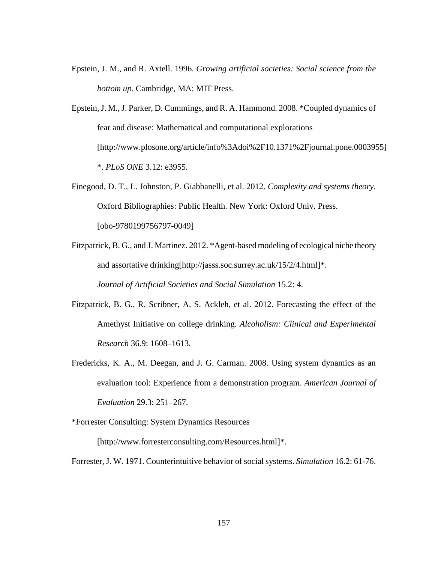Epstein, J. M., and R. Axtell. 1996. *Growing artificial societies: Social science from the bottom up*. Cambridge, MA: MIT Press.

Epstein, J. M., J. Parker, D. Cummings, and R. A. Hammond. 2008. \*Coupled dynamics of fear and disease: Mathematical and computational explorations [http://www.plosone.org/article/info%3Adoi%2F10.1371%2Fjournal.pone.0003955] \*. *PLoS ONE* 3.12: e3955.

Finegood, D. T., L. Johnston, P. Giabbanelli, et al. 2012. *Complexity and systems theory.* Oxford Bibliographies: Public Health. New York: Oxford Univ. Press. [obo-9780199756797-0049]

Fitzpatrick, B. G., and J. Martinez. 2012. [\\*Agent-based modeling of ecological niche theory](http://jasss.soc.surrey.ac.uk/15/2/4.html)  [and assortative drinking\[](http://jasss.soc.surrey.ac.uk/15/2/4.html)http://jasss.soc.surrey.ac.uk/15/2/4.html]\*. *Journal of Artificial Societies and Social Simulation* 15.2: 4.

- Fitzpatrick, B. G., R. Scribner, A. S. Ackleh, et al. 2012. Forecasting the effect of the Amethyst Initiative on college drinking. *Alcoholism: Clinical and Experimental Research* 36.9: 1608–1613.
- Fredericks, K. A., M. Deegan, and J. G. Carman. 2008. Using system dynamics as an evaluation tool: Experience from a demonstration program. *American Journal of Evaluation* 29.3: 251–267.

[\\*Forrester Consulting: System Dynamics Resources](http://www.forresterconsulting.com/Resources.html)

[http://www.forresterconsulting.com/Resources.html]\*.

Forrester, J. W. 1971. Counterintuitive behavior of social systems. *Simulation* 16.2: 61-76.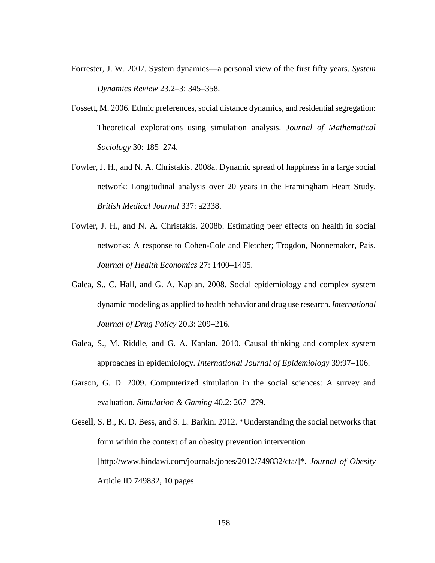- Forrester, J. W. 2007. System dynamics—a personal view of the first fifty years. *System Dynamics Review* 23.2–3: 345–358.
- Fossett, M. 2006. Ethnic preferences, social distance dynamics, and residential segregation: Theoretical explorations using simulation analysis. *Journal of Mathematical Sociology* 30: 185–274.
- Fowler, J. H., and N. A. Christakis. 2008a. Dynamic spread of happiness in a large social network: Longitudinal analysis over 20 years in the Framingham Heart Study. *British Medical Journal* 337: a2338.
- Fowler, J. H., and N. A. Christakis. 2008b. Estimating peer effects on health in social networks: A response to Cohen-Cole and Fletcher; Trogdon, Nonnemaker, Pais. *Journal of Health Economics* 27: 1400–1405.
- Galea, S., C. Hall, and G. A. Kaplan. 2008. Social epidemiology and complex system dynamic modeling as applied to health behavior and drug use research. *International Journal of Drug Policy* 20.3: 209–216.
- Galea, S., M. Riddle, and G. A. Kaplan. 2010. Causal thinking and complex system approaches in epidemiology. *International Journal of Epidemiology* 39:97–106.
- Garson, G. D. 2009. Computerized simulation in the social sciences: A survey and evaluation. *Simulation & Gaming* 40.2: 267–279.
- Gesell, S. B., K. D. Bess, and S. L. Barkin. 2012. \*Understanding the social networks that form within the context of an obesity prevention intervention [http://www.hindawi.com/journals/jobes/2012/749832/cta/]\*. *Journal of Obesity* Article ID 749832, 10 pages.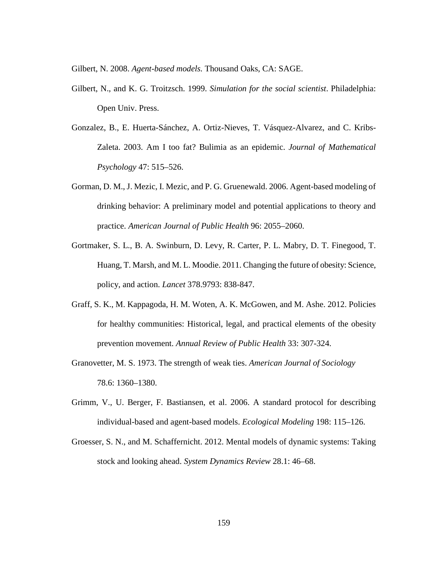Gilbert, N. 2008. *Agent-based models.* Thousand Oaks, CA: SAGE.

- Gilbert, N., and K. G. Troitzsch. 1999. *Simulation for the social scientist*. Philadelphia: Open Univ. Press.
- Gonzalez, B., E. Huerta-Sánchez, A. Ortiz-Nieves, T. Vásquez-Alvarez, and C. Kribs-Zaleta. 2003. Am I too fat? Bulimia as an epidemic. *Journal of Mathematical Psychology* 47: 515–526.
- Gorman, D. M., J. Mezic, I. Mezic, and P. G. Gruenewald. 2006. Agent-based modeling of drinking behavior: A preliminary model and potential applications to theory and practice. *American Journal of Public Health* 96: 2055–2060.
- Gortmaker, S. L., B. A. Swinburn, D. Levy, R. [Carter, P. L. M](http://www.ncbi.nlm.nih.gov/pubmed/?term=Carter%20R%5BAuthor%5D&cauthor=true&cauthor_uid=21872752)abry, D. T. Finegood, T. Huang, T. Marsh, and M. L. Moodie. 2011. Changing the future of obesity: Science, policy, and action. *Lancet* 378.9793: 838-847.
- Graff, S. K., M. Kappagoda, H. M. Woten, A. K. McGowen, and M. Ashe. 2012. Policies for healthy communities: Historical, legal, and practical elements of the obesity prevention movement. *Annual Review of Public Health* 33: 307-324.
- Granovetter, M. S. 1973. The strength of weak ties. *American Journal of Sociology* 78.6: 1360–1380.
- Grimm, V., U. Berger, F. Bastiansen, et al. 2006. A standard protocol for describing individual-based and agent-based models. *Ecological Modeling* 198: 115–126.
- Groesser, S. N., and M. Schaffernicht. 2012. Mental models of dynamic systems: Taking stock and looking ahead. *System Dynamics Review* 28.1: 46–68.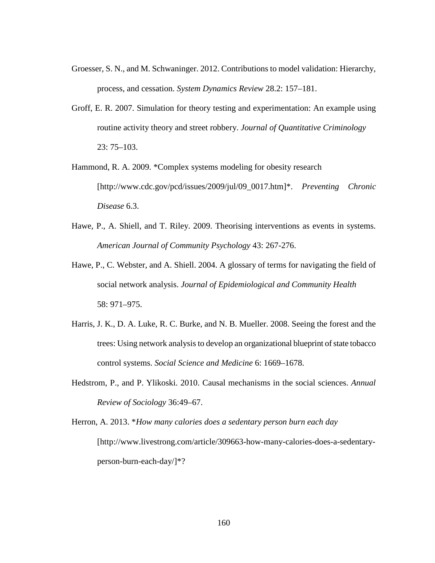- Groesser, S. N., and M. Schwaninger. 2012. Contributions to model validation: Hierarchy, process, and cessation. *System Dynamics Review* 28.2: 157–181.
- Groff, E. R. 2007. Simulation for theory testing and experimentation: An example using routine activity theory and street robbery. *Journal of Quantitative Criminology* 23: 75–103.
- Hammond, R. A. 2009. [\\*Complex systems modeling for obesity research](http://www.cdc.gov/pcd/issues/2009/jul/pdf/09_0017.pdf) [http://www.cdc.gov/pcd/issues/2009/jul/09\_0017.htm]\*. *Preventing Chronic Disease* 6.3.
- Hawe, P., A. Shiell, and T. Riley. 2009. Theorising interventions as events in systems. *American Journal of Community Psychology* 43: 267-276.
- Hawe, P., C. Webster, and A. Shiell. 2004. A glossary of terms for navigating the field of social network analysis. *Journal of Epidemiological and Community Health* 58: 971–975.
- Harris, J. K., D. A. Luke, R. C. Burke, and N. B. Mueller. 2008. Seeing the forest and the trees: Using network analysis to develop an organizational blueprint of state tobacco control systems. *Social Science and Medicine* 6: 1669–1678.
- Hedstrom, P., and P. Ylikoski. 2010. Causal mechanisms in the social sciences. *Annual Review of Sociology* 36:49–67.
- Herron, A. 2013. \**How many calories does a sedentary person burn each day* [http://www.livestrong.com/article/309663-how-many-calories-does-a-sedentaryperson-burn-each-day/]\*?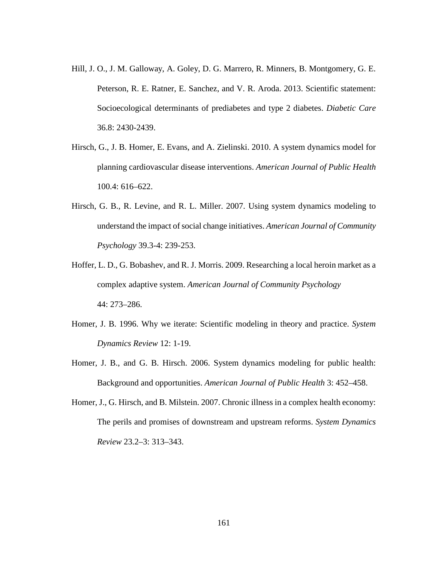- Hill, J. O., J. M. Galloway, A. Goley, D. G. Marrero, R. Minners, B. Montgomery, G. E. Peterson, R. E. Ratner, E. Sanchez, and V. R. Aroda. 2013. Scientific statement: Socioecological determinants of prediabetes and type 2 diabetes. *Diabetic Care* 36.8: 2430-2439.
- Hirsch, G., J. B. Homer, E. Evans, and A. Zielinski. 2010. A system dynamics model for planning cardiovascular disease interventions. *American Journal of Public Health* 100.4: 616–622.
- Hirsch, G. B., R. Levine, and R. L. Miller. 2007. Using system dynamics modeling to understand the impact of social change initiatives. *American Journal of Community Psychology* 39.3-4: 239-253.
- Hoffer, L. D., G. Bobashev, and R. J. Morris. 2009. Researching a local heroin market as a complex adaptive system. *American Journal of Community Psychology* 44: 273–286.
- Homer, J. B. 1996. Why we iterate: Scientific modeling in theory and practice. *System Dynamics Review* 12: 1-19.
- Homer, J. B., and G. B. Hirsch. 2006. System dynamics modeling for public health: Background and opportunities. *American Journal of Public Health* 3: 452–458.
- Homer, J., G. Hirsch, and B. Milstein. 2007. Chronic illness in a complex health economy: The perils and promises of downstream and upstream reforms. *System Dynamics Review* 23.2–3: 313–343.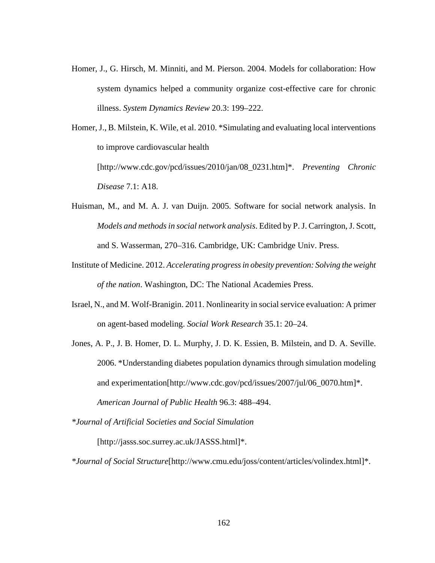Homer, J., G. Hirsch, M. Minniti, and M. Pierson. 2004. Models for collaboration: How system dynamics helped a community organize cost-effective care for chronic illness. *System Dynamics Review* 20.3: 199–222.

Homer, J., B. Milstein, K. Wile, et al. 2010. [\\*Simulating and evaluating local interventions](http://www.cdc.gov/pcd/issues/2010/jan/pdf/08_0231.pdf)  [to improve cardiovascular health](http://www.cdc.gov/pcd/issues/2010/jan/pdf/08_0231.pdf) [http://www.cdc.gov/pcd/issues/2010/jan/08\_0231.htm]\*. *Preventing Chronic Disease* 7.1: A18.

- Huisman, M., and M. A. J. van Duijn. 2005. Software for social network analysis. In *Models and methods in social network analysis*. Edited by P. J. Carrington, J. Scott, and S. Wasserman, 270–316. Cambridge, UK: Cambridge Univ. Press.
- Institute of Medicine. 2012. *Accelerating progress in obesity prevention: Solving the weight of the nation*. Washington, DC: The National Academies Press.
- Israel, N., and M. Wolf-Branigin. 2011. Nonlinearity in social service evaluation: A primer on agent-based modeling. *Social Work Research* 35.1: 20–24.
- Jones, A. P., J. B. Homer, D. L. Murphy, J. D. K. Essien, B. Milstein, and D. A. Seville. 2006. \*Understanding diabetes population dynamics through simulation modeling and experimentation[http://www.cdc.gov/pcd/issues/2007/jul/06\_0070.htm]\*. *American Journal of Public Health* 96.3: 488–494.

*\*Journal of Artificial Societies and Social Simulation*

[http://jasss.soc.surrey.ac.uk/JASSS.html]\*.

*\*Journal of Social Structure*[http://www.cmu.edu/joss/content/articles/volindex.html]\*.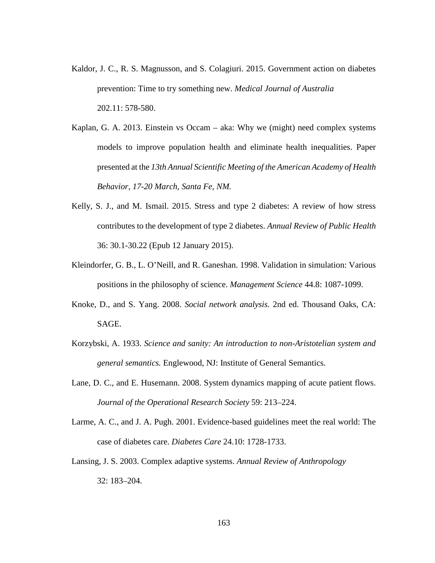- Kaldor, J. C., R. S. Magnusson, and S. Colagiuri. 2015. Government action on diabetes prevention: Time to try something new. *Medical Journal of Australia* 202.11: 578-580.
- Kaplan, G. A. 2013. Einstein vs Occam aka: Why we (might) need complex systems models to improve population health and eliminate health inequalities. Paper presented at the *13th Annual Scientific Meeting of the American Academy of Health Behavior, 17-20 March, Santa Fe, NM.*
- Kelly, S. J., and M. Ismail. 2015. Stress and type 2 diabetes: A review of how stress contributes to the development of type 2 diabetes. *Annual Review of Public Health* 36: 30.1-30.22 (Epub 12 January 2015).
- Kleindorfer, G. B., L. O'Neill, and R. Ganeshan. 1998. Validation in simulation: Various positions in the philosophy of science. *Management Science* 44.8: 1087-1099.
- Knoke, D., and S. Yang. 2008. *Social network analysis.* 2nd ed. Thousand Oaks, CA: SAGE.
- Korzybski, A. 1933. *Science and sanity: An introduction to non-Aristotelian system and general semantics.* Englewood, NJ: Institute of General Semantics.
- Lane, D. C., and E. Husemann. 2008. System dynamics mapping of acute patient flows. *Journal of the Operational Research Society* 59: 213–224.
- Larme, A. C., and J. A. Pugh. 2001. Evidence-based guidelines meet the real world: The case of diabetes care. *Diabetes Care* 24.10: 1728-1733.
- Lansing, J. S. 2003. Complex adaptive systems. *Annual Review of Anthropology* 32: 183–204.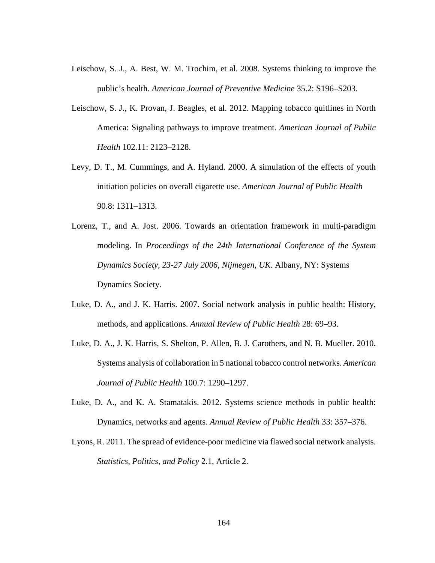- Leischow, S. J., A. Best, W. M. Trochim, et al. 2008. Systems thinking to improve the public's health. *American Journal of Preventive Medicine* 35.2: S196–S203.
- Leischow, S. J., K. Provan, J. Beagles, et al. 2012. Mapping tobacco quitlines in North America: Signaling pathways to improve treatment. *American Journal of Public Health* 102.11: 2123–2128.
- Levy, D. T., M. Cummings, and A. Hyland. 2000. A simulation of the effects of youth initiation policies on overall cigarette use. *American Journal of Public Health* 90.8: 1311–1313.
- Lorenz, T., and A. Jost. 2006. Towards an orientation framework in multi-paradigm modeling. In *Proceedings of the 24th International Conference of the System Dynamics Society, 23-27 July 2006, Nijmegen, UK*. Albany, NY: Systems Dynamics Society.
- Luke, D. A., and J. K. Harris. 2007. Social network analysis in public health: History, methods, and applications. *Annual Review of Public Health* 28: 69–93.
- Luke, D. A., J. K. Harris, S. Shelton, P. Allen, B. J. Carothers, and N. B. Mueller. 2010. Systems analysis of collaboration in 5 national tobacco control networks. *American Journal of Public Health* 100.7: 1290–1297.
- Luke, D. A., and K. A. Stamatakis. 2012. Systems science methods in public health: Dynamics, networks and agents. *Annual Review of Public Health* 33: 357–376.
- Lyons, R. 2011. The spread of evidence-poor medicine via flawed social network analysis. *Statistics, Politics, and Policy* 2.1, Article 2.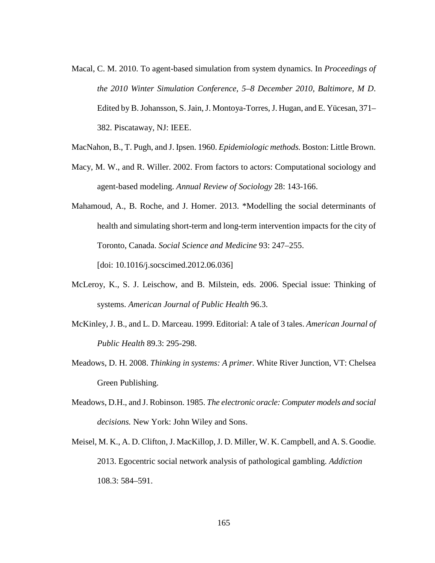- Macal, C. M. 2010. To agent-based simulation from system dynamics. In *Proceedings of the 2010 Winter Simulation Conference, 5–8 December 2010, Baltimore, M D*. Edited by B. Johansson, S. Jain, J. Montoya-Torres, J. Hugan, and E. Yücesan, 371– 382. Piscataway, NJ: IEEE.
- MacNahon, B., T. Pugh, and J. Ipsen. 1960. *Epidemiologic methods.* Boston: Little Brown.
- Macy, M. W., and R. Willer. 2002. From factors to actors: Computational sociology and agent-based modeling. *Annual Review of Sociology* 28: 143-166.
- Mahamoud, A., B. Roche, and J. Homer. 2013. \*Modelling the social determinants of health and simulating short-term and long-term intervention impacts for the city of Toronto, Canada. *Social Science and Medicine* 93: 247–255. [doi: 10.1016/j.socscimed.2012.06.036]
- McLeroy, K., S. J. Leischow, and B. Milstein, eds. 2006. Special issue: Thinking of systems. *American Journal of Public Health* 96.3.
- McKinley, J. B., and L. D. Marceau. 1999. Editorial: A tale of 3 tales. *American Journal of Public Health* 89.3: 295-298.
- Meadows, D. H. 2008. *Thinking in systems: A primer.* White River Junction, VT: Chelsea Green Publishing.
- Meadows, D.H., and J. Robinson. 1985. *The electronic oracle: Computer models and social decisions.* New York: John Wiley and Sons.
- Meisel, M. K., A. D. Clifton, J. MacKillop, J. D. Miller, W. K. Campbell, and A. S. Goodie. 2013. Egocentric social network analysis of pathological gambling. *Addiction* 108.3: 584–591.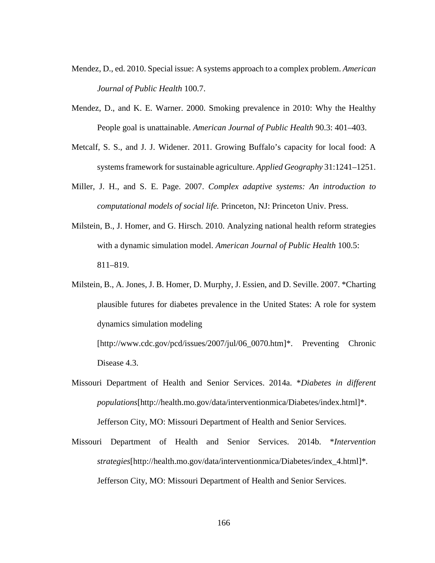- Mendez, D., ed. 2010. Special issue: A systems approach to a complex problem. *American Journal of Public Health* 100.7.
- Mendez, D., and K. E. Warner. 2000. Smoking prevalence in 2010: Why the Healthy People goal is unattainable. *American Journal of Public Health* 90.3: 401–403.
- Metcalf, S. S., and J. J. Widener. 2011. Growing Buffalo's capacity for local food: A systems framework for sustainable agriculture. *Applied Geography* 31:1241–1251.
- Miller, J. H., and S. E. Page. 2007. *Complex adaptive systems: An introduction to computational models of social life.* Princeton, NJ: Princeton Univ. Press.
- Milstein, B., J. Homer, and G. Hirsch. 2010. Analyzing national health reform strategies with a dynamic simulation model. *American Journal of Public Health* 100.5: 811–819.
- Milstein, B., A. Jones, J. B. Homer, D. Murphy, J. Essien, and D. Seville. 2007. \*Charting plausible futures for diabetes prevalence in the United States: A role for system dynamics simulation modeling

[http://www.cdc.gov/pcd/issues/2007/jul/06\_0070.htm]\*. Preventing Chronic Disease 4.3.

- Missouri Department of Health and Senior Services. 2014a. \**Diabetes in different populations*[http://health.mo.gov/data/interventionmica/Diabetes/index.html]\*. Jefferson City, MO: Missouri Department of Health and Senior Services.
- Missouri Department of Health and Senior Services. 2014b. \**Intervention strategies*[http://health.mo.gov/data/interventionmica/Diabetes/index\_4.html]\**.* Jefferson City, MO: Missouri Department of Health and Senior Services.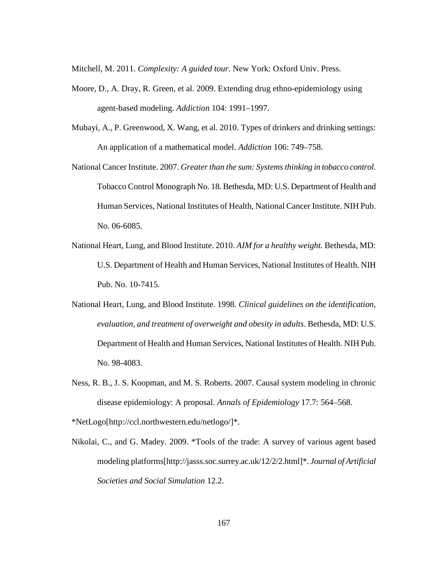Mitchell, M. 2011. *Complexity: A guided tour.* New York: Oxford Univ. Press.

- Moore, D., A. Dray, R. Green, et al. 2009. Extending drug ethno-epidemiology using agent-based modeling. *Addiction* 104: 1991–1997.
- Mubayi, A., P. Greenwood, X. Wang, et al. 2010. Types of drinkers and drinking settings: An application of a mathematical model. *Addiction* 106: 749–758.
- National Cancer Institute. 2007. *Greater than the sum: Systems thinking in tobacco control.* Tobacco Control Monograph No. 18. Bethesda, MD: U.S. Department of Health and Human Services, National Institutes of Health, National Cancer Institute. NIH Pub. No. 06-6085.
- National Heart, Lung, and Blood Institute. 2010. *AIM for a healthy weight.* Bethesda, MD: U.S. Department of Health and Human Services, National Institutes of Health. NIH Pub. No. 10-7415.
- National Heart, Lung, and Blood Institute. 1998. *Clinical guidelines on the identification, evaluation, and treatment of overweight and obesity in adults*. Bethesda, MD: U.S. Department of Health and Human Services, National Institutes of Health. NIH Pub. No. 98-4083.
- Ness, R. B., J. S. Koopman, and M. S. Roberts. 2007. Causal system modeling in chronic disease epidemiology: A proposal. *Annals of Epidemiology* 17.7: 564–568.

\*NetLogo[http://ccl.northwestern.edu/netlogo/]\*.

Nikolai, C., and G. Madey. 2009. \*Tools of the trade: A survey of various agent based modeling platforms[http://jasss.soc.surrey.ac.uk/12/2/2.html]\*. *Journal of Artificial Societies and Social Simulation* 12.2.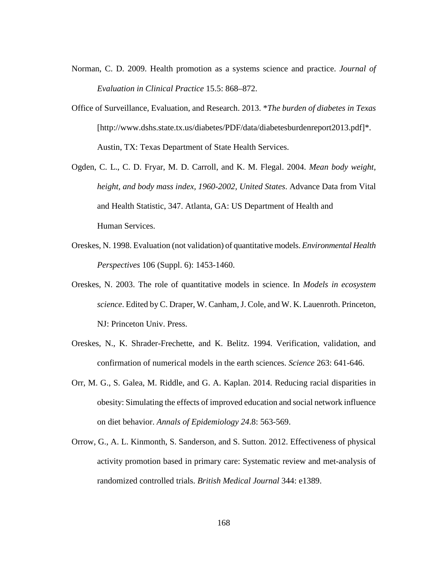- Norman, C. D. 2009. Health promotion as a systems science and practice. *Journal of Evaluation in Clinical Practice* 15.5: 868–872.
- Office of Surveillance, Evaluation, and Research. 2013. \**The burden of diabetes in Texas* [http://www.dshs.state.tx.us/diabetes/PDF/data/diabetesburdenreport2013.pdf]\**.* Austin, TX: Texas Department of State Health Services.
- Ogden, C. L., C. D. Fryar, M. D. Carroll, and K. M. Flegal. 2004. *Mean body weight, height, and body mass index, 1960-2002, United States*. Advance Data from Vital and Health Statistic, 347. Atlanta, GA: US Department of Health and Human Services.
- Oreskes, N. 1998. Evaluation (not validation) of quantitative models. *Environmental Health Perspectives* 106 (Suppl. 6): 1453-1460.
- Oreskes, N. 2003. The role of quantitative models in science. In *Models in ecosystem science*. Edited by C. Draper, W. Canham, J. Cole, and W. K. Lauenroth. Princeton, NJ: Princeton Univ. Press.
- Oreskes, N., K. Shrader-Frechette, and K. Belitz. 1994. Verification, validation, and confirmation of numerical models in the earth sciences. *Science* 263: 641-646.
- Orr, M. G., S. Galea, M. Riddle, and G. A. Kaplan. 2014. Reducing racial disparities in obesity: Simulating the effects of improved education and social network influence on diet behavior. *Annals of Epidemiology 24*.8: 563-569.
- Orrow, G., A. L. Kinmonth, S. Sanderson, and S. Sutton. 2012. Effectiveness of physical activity promotion based in primary care: Systematic review and met-analysis of randomized controlled trials. *British Medical Journal* 344: e1389.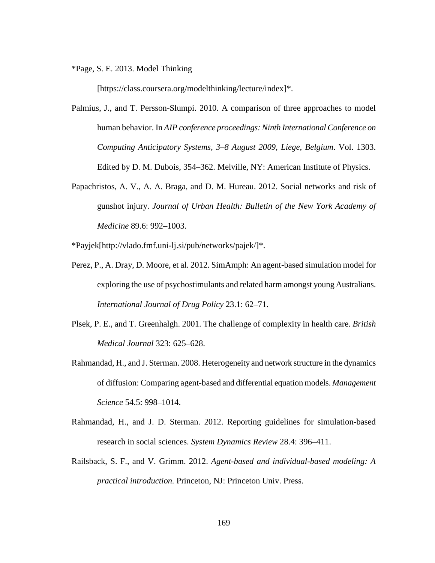\*Page, S. E. 2013. [Model Thinking](https://class.coursera.org/modelthinking/lecture/index)

[https://class.coursera.org/modelthinking/lecture/index]\*.

- Palmius, J., and T. Persson-Slumpi. 2010. A comparison of three approaches to model human behavior. In *AIP conference proceedings: Ninth International Conference on Computing Anticipatory Systems, 3–8 August 2009, Liege, Belgium*. Vol. 1303. Edited by D. M. Dubois, 354–362. Melville, NY: American Institute of Physics.
- Papachristos, A. V., A. A. Braga, and D. M. Hureau. 2012. Social networks and risk of gunshot injury. *Journal of Urban Health: Bulletin of the New York Academy of Medicine* 89.6: 992–1003.

[\\*Payjek\[](http://vlado.fmf.uni-lj.si/pub/networks/pajek/)http://vlado.fmf.uni-lj.si/pub/networks/pajek/]\*.

- Perez, P., A. Dray, D. Moore, et al. 2012. SimAmph: An agent-based simulation model for exploring the use of psychostimulants and related harm amongst young Australians. *International Journal of Drug Policy* 23.1: 62–71.
- Plsek, P. E., and T. Greenhalgh. 2001. The challenge of complexity in health care. *British Medical Journal* 323: 625–628.
- Rahmandad, H., and J. Sterman. 2008. Heterogeneity and network structure in the dynamics of diffusion: Comparing agent-based and differential equation models. *Management Science* 54.5: 998–1014.
- Rahmandad, H., and J. D. Sterman. 2012. Reporting guidelines for simulation-based research in social sciences. *System Dynamics Review* 28.4: 396–411.
- Railsback, S. F., and V. Grimm. 2012. *Agent-based and individual-based modeling: A practical introduction.* Princeton, NJ: Princeton Univ. Press.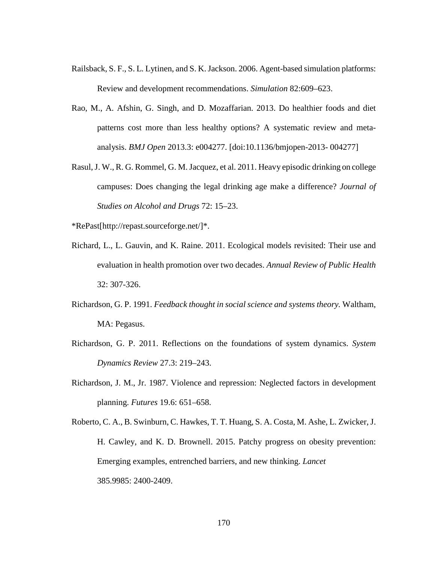- Railsback, S. F., S. L. Lytinen, and S. K. Jackson. 2006. Agent-based simulation platforms: Review and development recommendations. *Simulation* 82:609–623.
- Rao, M., A. Afshin, G. Singh, and D. Mozaffarian. 2013. Do healthier foods and diet patterns cost more than less healthy options? A systematic review and metaanalysis. *BMJ Open* 2013.3: e004277. [doi:10.1136/bmjopen-2013- 004277]
- Rasul, J. W., R. G. Rommel, G. M. Jacquez, et al. 2011. Heavy episodic drinking on college campuses: Does changing the legal drinking age make a difference? *Journal of Studies on Alcohol and Drugs* 72: 15–23.

[\\*RePast](http://repast.sourceforge.net/)[http://repast.sourceforge.net/]\*.

- Richard, L., L. Gauvin, and K. Raine. 2011. Ecological models revisited: Their use and evaluation in health promotion over two decades. *Annual Review of Public Health* 32: 307-326.
- Richardson, G. P. 1991. *Feedback thought in social science and systems theory.* Waltham, MA: Pegasus.
- Richardson, G. P. 2011. Reflections on the foundations of system dynamics. *System Dynamics Review* 27.3: 219–243.
- Richardson, J. M., Jr. 1987. Violence and repression: Neglected factors in development planning. *Futures* 19.6: 651–658.
- Roberto, C. A., B. Swinburn, C. Hawkes, T. T. Huang, S. A. Costa, M. Ashe, L. Zwicker, J. H. Cawley, and K. D. Brownell. 2015. Patchy progress on obesity prevention: Emerging examples, entrenched barriers, and new thinking. *Lancet* 385.9985: 2400-2409.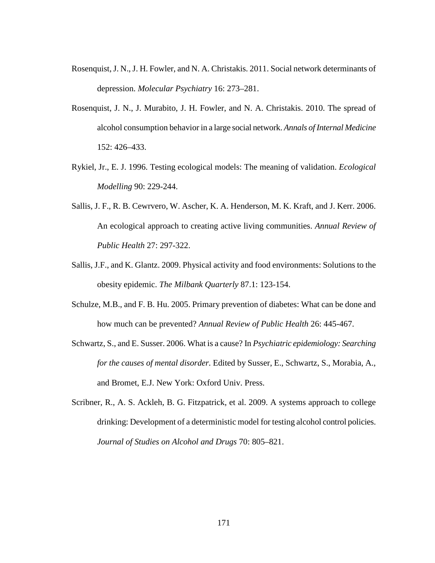- Rosenquist, J. N., J. H. Fowler, and N. A. Christakis. 2011. Social network determinants of depression. *Molecular Psychiatry* 16: 273–281.
- Rosenquist, J. N., J. Murabito, J. H. Fowler, and N. A. Christakis. 2010. The spread of alcohol consumption behavior in a large social network. *Annals of Internal Medicine*  152: 426–433.
- Rykiel, Jr., E. J. 1996. Testing ecological models: The meaning of validation. *Ecological Modelling* 90: 229-244.
- Sallis, J. F., R. B. Cewrvero, W. Ascher, K. A. Henderson, M. K. Kraft, and J. Kerr. 2006. An ecological approach to creating active living communities. *Annual Review of Public Health* 27: 297-322.
- Sallis, J.F., and K. Glantz. 2009. Physical activity and food environments: Solutions to the obesity epidemic. *The Milbank Quarterly* 87.1: 123-154.
- Schulze, M.B., and F. B. Hu. 2005. Primary prevention of diabetes: What can be done and how much can be prevented? *Annual Review of Public Health* 26: 445-467.
- Schwartz, S., and E. Susser. 2006. What is a cause? In *Psychiatric epidemiology: Searching for the causes of mental disorder.* Edited by Susser, E., Schwartz, S., Morabia, A., and Bromet, E.J. New York: Oxford Univ. Press.
- Scribner, R., A. S. Ackleh, B. G. Fitzpatrick, et al. 2009. A systems approach to college drinking: Development of a deterministic model for testing alcohol control policies. *Journal of Studies on Alcohol and Drugs* 70: 805–821.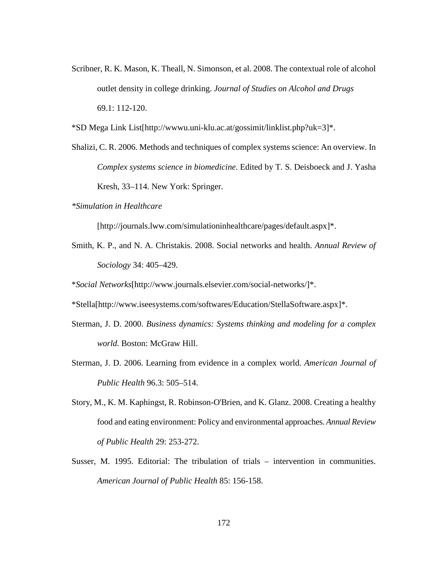Scribner, R. K. Mason, K. Theall, N. Simonson, et al. 2008. The contextual role of alcohol outlet density in college drinking. *Journal of Studies on Alcohol and Drugs* 69.1: 112-120.

[\\*SD Mega Link List](http://wwwu.uni-klu.ac.at/gossimit/linklist.php?uk=3)[http://wwwu.uni-klu.ac.at/gossimit/linklist.php?uk=3]\*.

- Shalizi, C. R. 2006. Methods and techniques of complex systems science: An overview. In *Complex systems science in biomedicine*. Edited by T. S. Deisboeck and J. Yasha Kresh, 33–114. New York: Springer.
- *[\\*Simulation in Healthcare](http://journals.lww.com/simulationinhealthcare/pages/default.aspx)*

[http://journals.lww.com/simulationinhealthcare/pages/default.aspx]\*.

Smith, K. P., and N. A. Christakis. 2008. Social networks and health. *Annual Review of Sociology* 34: 405–429.

\**Social Networks*[http://www.journals.elsevier.com/social-networks/]\*.

[\\*Stella\[](http://www.iseesystems.com/softwares/Education/StellaSoftware.aspx)http://www.iseesystems.com/softwares/Education/StellaSoftware.aspx]\*.

- Sterman, J. D. 2000. *Business dynamics: Systems thinking and modeling for a complex world.* Boston: McGraw Hill.
- Sterman, J. D. 2006. Learning from evidence in a complex world. *American Journal of Public Health* 96.3: 505–514.
- Story, M., K. M. Kaphingst, R. Robinson-O'Brien, and K. Glanz. 2008. Creating a healthy food and eating environment: Policy and environmental approaches. *Annual Review of Public Health* 29: 253-272.
- Susser, M. 1995. Editorial: The tribulation of trials intervention in communities. *American Journal of Public Health* 85: 156-158.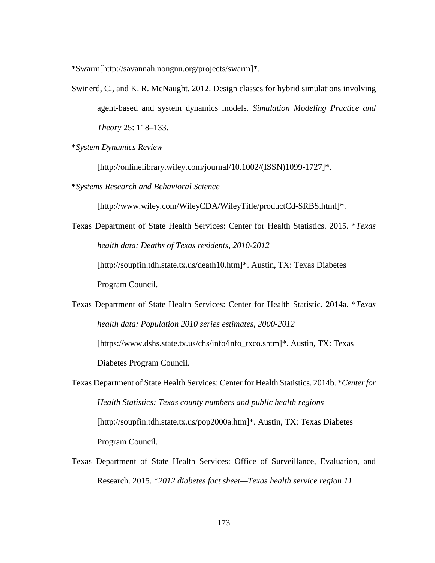[\\*Swarm\[](http://savannah.nongnu.org/projects/swarm)http://savannah.nongnu.org/projects/swarm]\*.

- Swinerd, C., and K. R. McNaught. 2012. Design classes for hybrid simulations involving agent-based and system dynamics models. *Simulation Modeling Practice and Theory* 25: 118–133.
- \**[System Dynamics Review](http://onlinelibrary.wiley.com/journal/10.1002/(ISSN)1099-1727)*

[http://onlinelibrary.wiley.com/journal/10.1002/(ISSN)1099-1727]\*.

\**Systems Research and Behavioral Science*

[http://www.wiley.com/WileyCDA/WileyTitle/productCd-SRBS.html]\*.

Texas Department of State Health Services: Center for Health Statistics. 2015. \**Texas health data: Deaths of Texas residents, 2010-2012* [\[http://soupfin.tdh.state.tx.us/death10.htm\]](http://soupfin.tdh.state.tx.us/death10.htm)\*. Austin, TX: Texas Diabetes Program Council.

Texas Department of State Health Services: Center for Health Statistic. 2014a. \**Texas health data: Population 2010 series estimates, 2000-2012* [https://www.dshs.state.tx.us/chs/info/info\_txco.shtm]\*. Austin, TX: Texas Diabetes Program Council.

Texas Department of State Health Services: Center for Health Statistics. 2014b. \**Center for Health Statistics: Texas county numbers and public health regions* [\[http://soupfin.tdh.state.tx.us/pop2000a.htm\]](http://soupfin.tdh.state.tx.us/pop2000a.htm)\**.* Austin, TX: Texas Diabetes Program Council.

Texas Department of State Health Services: Office of Surveillance, Evaluation, and Research. 2015. \**2012 diabetes fact sheet—Texas health service region 11*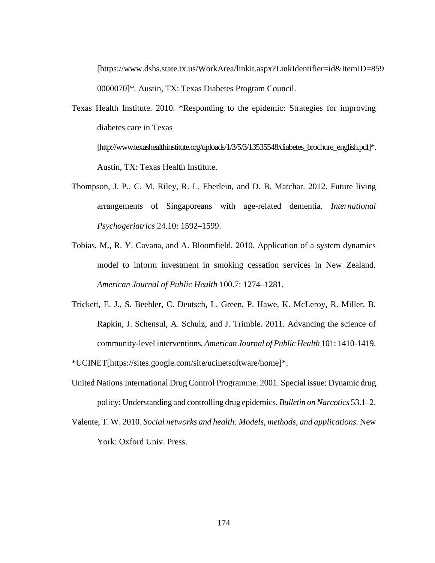[https://www.dshs.state.tx.us/WorkArea/linkit.aspx?LinkIdentifier=id&ItemID=859 0000070]\**.* Austin, TX: Texas Diabetes Program Council.

Texas Health Institute. 2010. \*Responding to the epidemic: Strategies for improving diabetes care in Texas [http://www.texashealthinstitute.org/uploads/1/3/5/3/13535548/diabetes\_brochure\_english.pdf]\*.

Austin, TX: Texas Health Institute.

- Thompson, J. P., C. M. Riley, R. L. Eberlein, and D. B. Matchar. 2012. Future living arrangements of Singaporeans with age-related dementia. *International Psychogeriatrics* 24.10: 1592–1599.
- Tobias, M., R. Y. Cavana, and A. Bloomfield. 2010. Application of a system dynamics model to inform investment in smoking cessation services in New Zealand. *American Journal of Public Health* 100.7: 1274–1281.
- Trickett, E. J., S. Beehler, C. Deutsch, L. Green, P. Hawe, K. McLeroy, R. Miller, B. Rapkin, J. Schensul, A. Schulz, and J. Trimble. 2011. Advancing the science of community-level interventions. *American Journal of Public Health* 101: 1410-1419.

\*UCINET[https://sites.google.com/site/ucinetsoftware/home]\*.

- United Nations International Drug Control Programme. 2001. Special issue: Dynamic drug policy: Understanding and controlling drug epidemics. *Bulletin on Narcotics* 53.1–2.
- Valente, T. W. 2010. *Social networks and health: Models, methods, and applications.* New York: Oxford Univ. Press.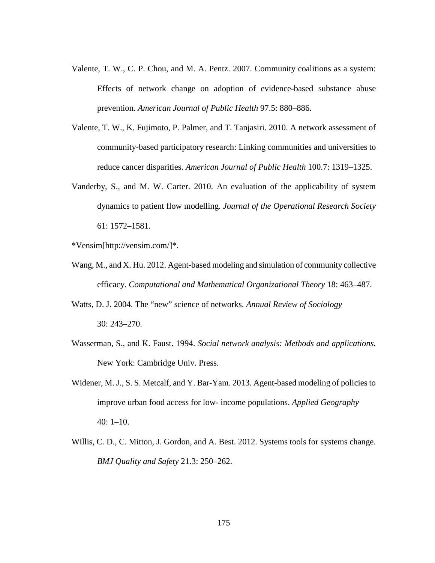- Valente, T. W., C. P. Chou, and M. A. Pentz. 2007. Community coalitions as a system: Effects of network change on adoption of evidence-based substance abuse prevention. *American Journal of Public Health* 97.5: 880–886.
- Valente, T. W., K. Fujimoto, P. Palmer, and T. Tanjasiri. 2010. A network assessment of community-based participatory research: Linking communities and universities to reduce cancer disparities. *American Journal of Public Health* 100.7: 1319–1325.
- Vanderby, S., and M. W. Carter. 2010. An evaluation of the applicability of system dynamics to patient flow modelling. *Journal of the Operational Research Society* 61: 1572–1581.

[\\*Vensim\[](http://vensim.com/)http://vensim.com/]\*.

- Wang, M., and X. Hu. 2012. Agent-based modeling and simulation of community collective efficacy. *Computational and Mathematical Organizational Theory* 18: 463–487.
- Watts, D. J. 2004. The "new" science of networks. *Annual Review of Sociology* 30: 243–270.
- Wasserman, S., and K. Faust. 1994. *Social network analysis: Methods and applications.* New York: Cambridge Univ. Press.
- Widener, M. J., S. S. Metcalf, and Y. Bar-Yam. 2013. Agent-based modeling of policies to improve urban food access for low- income populations. *Applied Geography*  $40: 1-10.$
- Willis, C. D., C. Mitton, J. Gordon, and A. Best. 2012. Systems tools for systems change. *BMJ Quality and Safety* 21.3: 250–262.